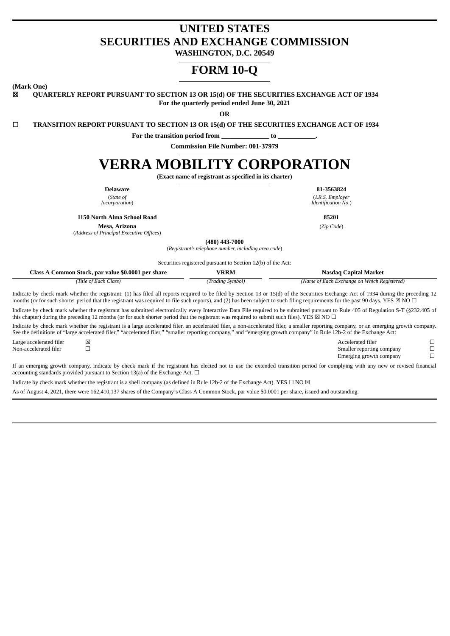# **UNITED STATES SECURITIES AND EXCHANGE COMMISSION**

**WASHINGTON, D.C. 20549**

# **FORM 10-Q**

**(Mark One)**

☒ **QUARTERLY REPORT PURSUANT TO SECTION 13 OR 15(d) OF THE SECURITIES EXCHANGE ACT OF 1934 For the quarterly period ended June 30, 2021**

**OR**

☐ **TRANSITION REPORT PURSUANT TO SECTION 13 OR 15(d) OF THE SECURITIES EXCHANGE ACT OF 1934**

**For the transition period from \_\_\_\_\_\_\_\_\_\_\_\_\_\_ to \_\_\_\_\_\_\_\_\_\_\_.**

**Commission File Number: 001-37979**

# **VERRA MOBILITY CORPORATION**

**(Exact name of registrant as specified in its charter)**

**Delaware 81-3563824** (*State of* (*I.R.S. Employer Incorporation*) *Identification No.*)

**1150 North Alma School Road 85201**

**Mesa, Arizona** (*Zip Code*)

(*Address of Principal Executive Offices*)

**(480) 443-7000**

(*Registrant's telephone number, including area code*)

Securities registered pursuant to Section 12(b) of the Act:

| Class A Common Stock, par value \$0.0001 per share | <b>VRRM</b>      | Nasdag Capital Market                       |
|----------------------------------------------------|------------------|---------------------------------------------|
| (Title of Each Class)                              | 'Tradina Symbol) | (Name of Each Exchange on Which Registered) |

Indicate by check mark whether the registrant: (1) has filed all reports required to be filed by Section 13 or 15(d) of the Securities Exchange Act of 1934 during the preceding 12 months (or for such shorter period that the registrant was required to file such reports), and (2) has been subject to such filing requirements for the past 90 days. YES  $\boxtimes$  NO  $\Box$ 

Indicate by check mark whether the registrant has submitted electronically every Interactive Data File required to be submitted pursuant to Rule 405 of Regulation S-T (§232.405 of this chapter) during the preceding 12 months (or for such shorter period that the registrant was required to submit such files). YES  $\boxtimes$  NO  $\Box$ 

Indicate by check mark whether the registrant is a large accelerated filer, an accelerated filer, a non-accelerated filer, a smaller reporting company, or an emerging growth company. See the definitions of "large accelerated filer," "accelerated filer," "smaller reporting company," and "emerging growth company" in Rule 12b-2 of the Exchange Act:

 $\Box$   $\Box$  Accelerated filer  $\Box$ Non-accelerated filer ☐ Smaller reporting company ☐ Emerging growth company  $\Box$ 

If an emerging growth company, indicate by check mark if the registrant has elected not to use the extended transition period for complying with any new or revised financial accounting standards provided pursuant to Section 13(a) of the Exchange Act.  $\Box$ 

Indicate by check mark whether the registrant is a shell company (as defined in Rule 12b-2 of the Exchange Act). YES  $\Box$  NO  $\boxtimes$ 

As of August 4, 2021, there were 162,410,137 shares of the Company's Class A Common Stock, par value \$0.0001 per share, issued and outstanding.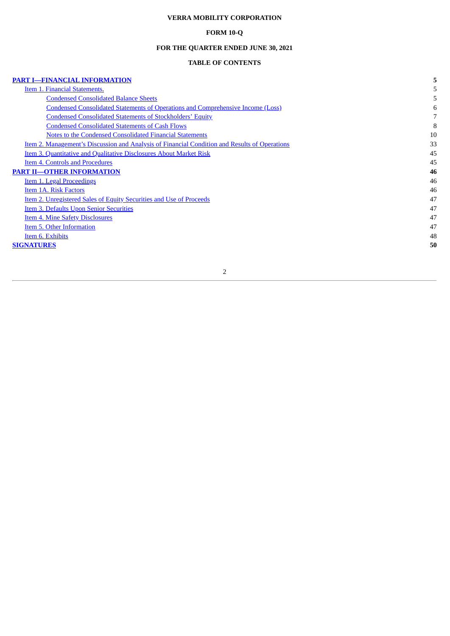# **VERRA MOBILITY CORPORATION**

# **FORM 10-Q**

# **FOR THE QUARTER ENDED JUNE 30, 2021**

# **TABLE OF CONTENTS**

# **PART I—FINANCIAL [INFORMATION](#page-4-0) 5**

| Item 1. Financial Statements.                                                                 | 5  |
|-----------------------------------------------------------------------------------------------|----|
| <b>Condensed Consolidated Balance Sheets</b>                                                  | 5  |
| <b>Condensed Consolidated Statements of Operations and Comprehensive Income (Loss)</b>        | 6  |
| <b>Condensed Consolidated Statements of Stockholders' Equity</b>                              |    |
| <b>Condensed Consolidated Statements of Cash Flows</b>                                        | 8  |
| Notes to the Condensed Consolidated Financial Statements                                      | 10 |
| Item 2. Management's Discussion and Analysis of Financial Condition and Results of Operations | 33 |
| Item 3. Quantitative and Qualitative Disclosures About Market Risk                            | 45 |
| Item 4. Controls and Procedures                                                               | 45 |
| <b>PART II-OTHER INFORMATION</b>                                                              | 46 |
| Item 1. Legal Proceedings                                                                     | 46 |
| Item 1A. Risk Factors                                                                         | 46 |
| Item 2. Unregistered Sales of Equity Securities and Use of Proceeds                           | 47 |
| <b>Item 3. Defaults Upon Senior Securities</b>                                                | 47 |
| <b>Item 4. Mine Safety Disclosures</b>                                                        | 47 |
| Item 5. Other Information                                                                     | 47 |
| Item 6. Exhibits                                                                              | 48 |
| SIGNATURES                                                                                    | 50 |
|                                                                                               |    |

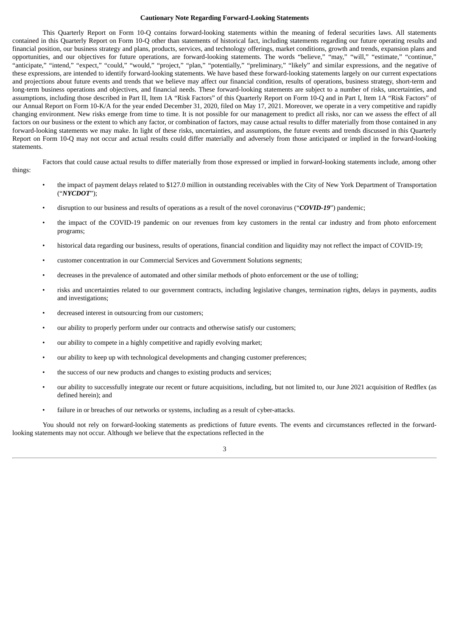#### **Cautionary Note Regarding Forward-Looking Statements**

This Quarterly Report on Form 10-Q contains forward-looking statements within the meaning of federal securities laws. All statements contained in this Quarterly Report on Form 10-Q other than statements of historical fact, including statements regarding our future operating results and financial position, our business strategy and plans, products, services, and technology offerings, market conditions, growth and trends, expansion plans and opportunities, and our objectives for future operations, are forward-looking statements. The words "believe," "may," "will," "estimate," "continue," "anticipate," "intend," "expect," "could," "would," "project," "plan," "potentially," "preliminary," "likely" and similar expressions, and the negative of these expressions, are intended to identify forward-looking statements. We have based these forward-looking statements largely on our current expectations and projections about future events and trends that we believe may affect our financial condition, results of operations, business strategy, short-term and long-term business operations and objectives, and financial needs. These forward-looking statements are subject to a number of risks, uncertainties, and assumptions, including those described in Part II, Item 1A "Risk Factors" of this Quarterly Report on Form 10-Q and in Part I, Item 1A "Risk Factors" of our Annual Report on Form 10-K/A for the year ended December 31, 2020, filed on May 17, 2021. Moreover, we operate in a very competitive and rapidly changing environment. New risks emerge from time to time. It is not possible for our management to predict all risks, nor can we assess the effect of all factors on our business or the extent to which any factor, or combination of factors, may cause actual results to differ materially from those contained in any forward-looking statements we may make. In light of these risks, uncertainties, and assumptions, the future events and trends discussed in this Quarterly Report on Form 10-Q may not occur and actual results could differ materially and adversely from those anticipated or implied in the forward-looking statements.

Factors that could cause actual results to differ materially from those expressed or implied in forward-looking statements include, among other things:

- the impact of payment delays related to \$127.0 million in outstanding receivables with the City of New York Department of Transportation ("*NYCDOT*");
- disruption to our business and results of operations as a result of the novel coronavirus ("*COVID-19*") pandemic;
- the impact of the COVID-19 pandemic on our revenues from key customers in the rental car industry and from photo enforcement programs;
- historical data regarding our business, results of operations, financial condition and liquidity may not reflect the impact of COVID-19;
- customer concentration in our Commercial Services and Government Solutions segments;
- decreases in the prevalence of automated and other similar methods of photo enforcement or the use of tolling;
- risks and uncertainties related to our government contracts, including legislative changes, termination rights, delays in payments, audits and investigations;
- decreased interest in outsourcing from our customers;
- our ability to properly perform under our contracts and otherwise satisfy our customers;
- our ability to compete in a highly competitive and rapidly evolving market;
- our ability to keep up with technological developments and changing customer preferences;
- the success of our new products and changes to existing products and services;
- our ability to successfully integrate our recent or future acquisitions, including, but not limited to, our June 2021 acquisition of Redflex (as defined herein); and
- failure in or breaches of our networks or systems, including as a result of cyber-attacks.

You should not rely on forward-looking statements as predictions of future events. The events and circumstances reflected in the forwardlooking statements may not occur. Although we believe that the expectations reflected in the

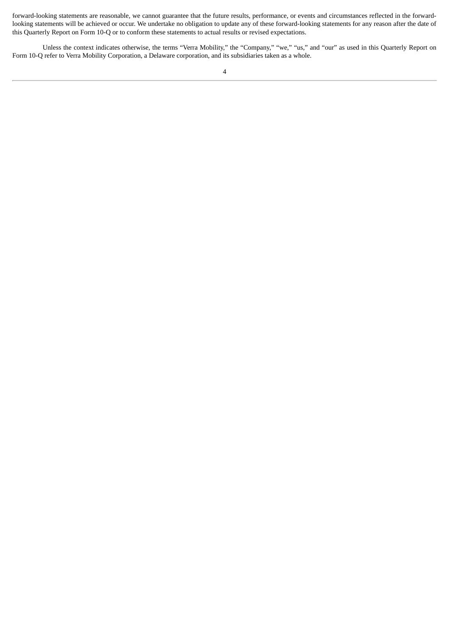forward-looking statements are reasonable, we cannot guarantee that the future results, performance, or events and circumstances reflected in the forwardlooking statements will be achieved or occur. We undertake no obligation to update any of these forward-looking statements for any reason after the date of this Quarterly Report on Form 10-Q or to conform these statements to actual results or revised expectations.

Unless the context indicates otherwise, the terms "Verra Mobility," the "Company," "we," "us," and "our" as used in this Quarterly Report on Form 10-Q refer to Verra Mobility Corporation, a Delaware corporation, and its subsidiaries taken as a whole.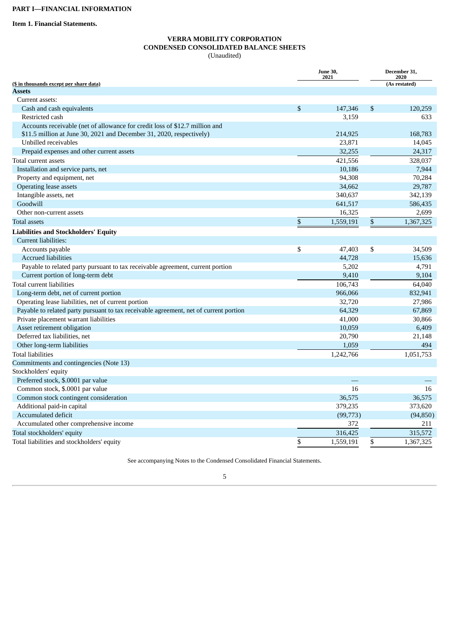<span id="page-4-2"></span><span id="page-4-1"></span><span id="page-4-0"></span>**Item 1. Financial Statements.**

# **VERRA MOBILITY CORPORATION CONDENSED CONSOLIDATED BALANCE SHEETS** (Unaudited)

|                                                                                              | <b>June 30,</b><br>2021 |                     |                           | December 31,<br>2020 |
|----------------------------------------------------------------------------------------------|-------------------------|---------------------|---------------------------|----------------------|
| <u>(\$ in thousands except per share data)</u>                                               |                         |                     |                           | (As restated)        |
| <b>Assets</b>                                                                                |                         |                     |                           |                      |
| Current assets:                                                                              |                         |                     |                           |                      |
| Cash and cash equivalents                                                                    | \$                      | 147,346             | \$                        | 120,259              |
| Restricted cash                                                                              |                         | 3,159               |                           | 633                  |
| Accounts receivable (net of allowance for credit loss of \$12.7 million and                  |                         | 214,925             |                           | 168,783              |
| \$11.5 million at June 30, 2021 and December 31, 2020, respectively)<br>Unbilled receivables |                         |                     |                           |                      |
|                                                                                              |                         | 23,871<br>32,255    |                           | 14,045<br>24,317     |
| Prepaid expenses and other current assets<br><b>Total current assets</b>                     |                         | 421,556             |                           | 328,037              |
|                                                                                              |                         |                     |                           |                      |
| Installation and service parts, net                                                          |                         | 10,186<br>94,308    |                           | 7,944<br>70,284      |
| Property and equipment, net                                                                  |                         |                     |                           | 29,787               |
| Operating lease assets                                                                       |                         | 34,662<br>340,637   |                           | 342,139              |
| Intangible assets, net<br>Goodwill                                                           |                         | 641,517             |                           | 586,435              |
| Other non-current assets                                                                     |                         |                     |                           |                      |
|                                                                                              |                         | 16,325<br>1,559,191 | $\boldsymbol{\mathsf{S}}$ | 2,699<br>1,367,325   |
| Total assets                                                                                 | \$                      |                     |                           |                      |
| <b>Liabilities and Stockholders' Equity</b>                                                  |                         |                     |                           |                      |
| <b>Current liabilities:</b>                                                                  |                         |                     |                           |                      |
| Accounts payable                                                                             | \$                      | 47,403              | \$                        | 34,509               |
| <b>Accrued liabilities</b>                                                                   |                         | 44,728              |                           | 15,636               |
| Payable to related party pursuant to tax receivable agreement, current portion               |                         | 5,202               |                           | 4,791                |
| Current portion of long-term debt                                                            |                         | 9,410               |                           | 9,104                |
| Total current liabilities                                                                    |                         | 106,743             |                           | 64,040               |
| Long-term debt, net of current portion                                                       |                         | 966,066             |                           | 832,941              |
| Operating lease liabilities, net of current portion                                          |                         | 32,720              |                           | 27,986               |
| Payable to related party pursuant to tax receivable agreement, net of current portion        |                         | 64,329              |                           | 67,869               |
| Private placement warrant liabilities                                                        |                         | 41,000              |                           | 30,866               |
| Asset retirement obligation                                                                  |                         | 10,059              |                           | 6,409                |
| Deferred tax liabilities, net                                                                |                         | 20,790              |                           | 21,148               |
| Other long-term liabilities                                                                  |                         | 1,059               |                           | 494                  |
| <b>Total liabilities</b>                                                                     |                         | 1,242,766           |                           | 1,051,753            |
| Commitments and contingencies (Note 13)                                                      |                         |                     |                           |                      |
| Stockholders' equity                                                                         |                         |                     |                           |                      |
| Preferred stock, \$.0001 par value                                                           |                         |                     |                           |                      |
| Common stock, \$.0001 par value                                                              |                         | 16                  |                           | 16                   |
| Common stock contingent consideration                                                        |                         | 36,575              |                           | 36,575               |
| Additional paid-in capital                                                                   |                         | 379,235             |                           | 373,620              |
| Accumulated deficit                                                                          |                         | (99, 773)           |                           | (94, 850)            |
| Accumulated other comprehensive income                                                       |                         | 372                 |                           | 211                  |
| Total stockholders' equity                                                                   |                         | 316,425             |                           | 315,572              |
| Total liabilities and stockholders' equity                                                   | \$                      | 1,559,191           | \$                        | 1,367,325            |

See accompanying Notes to the Condensed Consolidated Financial Statements.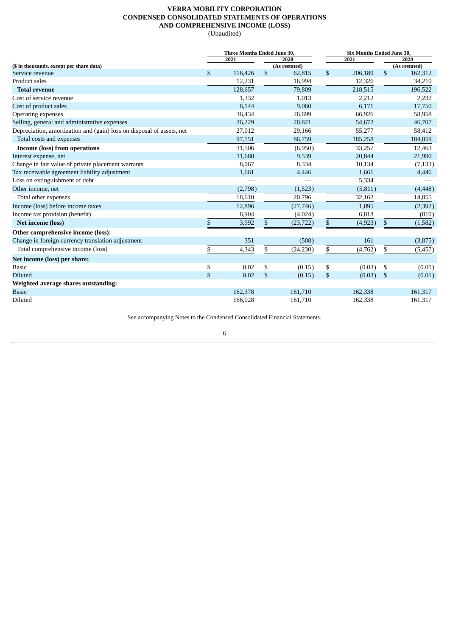# **VERRA MOBILITY CORPORATION CONDENSED CONSOLIDATED STATEMENTS OF OPERATIONS AND COMPREHENSIVE INCOME (LOSS)** (Unaudited)

<span id="page-5-0"></span>**Three Months Ended June 30, Six Months Ended June 30, 2021 2020 2021 2020 (\$ in thousands, except per share data) (As restated) (As restated)** Service revenue \$ 116,426 \$ 62,815 \$ 206,189 \$ 162,312 Product sales 24,210 12,231 16,994 12,326 34,210 **Total revenue** 128,657 79,809 218,515 196,522 Cost of service revenue 1,332 1,013 2,212 2,232 Cost of product sales 6,171 17,750 and 17,750 and 17,750 and 17,750 and 17,750 and 17,750 and 17,750 and 17,750 and 17,750 and 17,750 and 17,750 and 17,750 and 17,750 and 17,750 and 17,750 and 17,750 and 17,750 and 17,750 Operating expenses 36,958 58,958 58,958 36,434 26,699 66,926 58,958 Selling, general and administrative expenses 26,229 20,821 54,672 546,707 46,707 Depreciation, amortization and (gain) loss on disposal of assets, net 27,012 29,166 55,277 58,412 Total costs and expenses 184,059 185,258 184,059 185,258 184,059 185,258 184,059 **Income (loss) from operations** 31,506 (6,950) 33,257 12,463 Interest expense, net 11,680 9,539 20,844 21,990 Change in fair value of private placement warrants  $8,067$   $8,334$   $10,134$   $(7,133)$   $(7,133)$ Tax receivable agreement liability adjustment 1,661 1,661 4,446 1,661 4,446 1,661 4,446 4,446 4,446 4,446 4,446 Loss on extinguishment of debt  $\overline{ }$  5,334 Other income, net (2,798) (1,523) (5,811) (4,448) Total other expenses 18,610 20,796 32,162 14,855 Income (loss) before income taxes 12,896 (27,746) 1,095 (2,392) Income tax provision (benefit)  $8,904$   $(4,024)$   $6,018$   $(810)$ **Net income (loss)** \$ 3,992 \$ (23,722) \$ (4,923) \$ (1,582) **Other comprehensive income (loss):** Change in foreign currency translation adjustment (3,875) 351 (508) 161 (3,875) 361 (3,875) Total comprehensive income (loss)  $\overline{\$}$   $\overline{\$}$   $\overline{\$}$   $\overline{\$}$   $(24,230)$   $\overline{\$}$   $(4,762)$   $\overline{\$}$   $(5,457)$ **Net income (loss) per share:** Basic \$ 0.02 \$ (0.15) \$ (0.03) \$ (0.01) Diluted \$ 0.02 \$ (0.15) \$ (0.03) \$ (0.01) **Weighted average shares outstanding:** Basic 162,378 161,710 162,338 161,317 Diluted 166,028 161,710 162,338 161,317

See accompanying Notes to the Condensed Consolidated Financial Statements.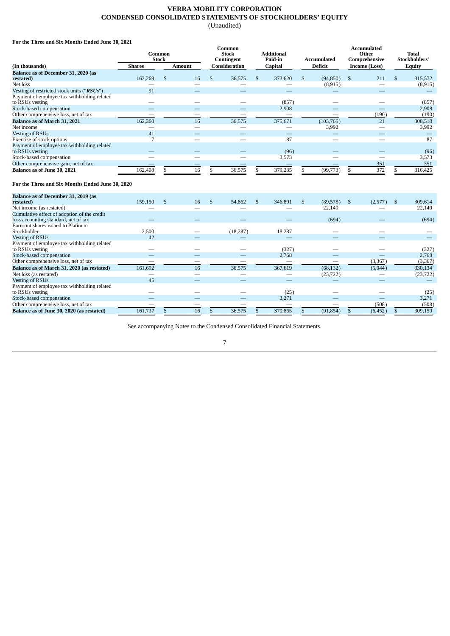# **VERRA MOBILITY CORPORATION CONDENSED CONSOLIDATED STATEMENTS OF STOCKHOLDERS' EQUITY**

(Unaudited)

<span id="page-6-0"></span>**For the Three and Six Months Ended June 30, 2021**

|                                                                                         |               | Common<br><b>Stock</b> |               |              | Common<br><b>Stock</b><br>Contingent |     | <b>Additional</b><br>Paid-in | Accumulated |                |    |                          |              |           |  |  |  |  |  |  |  |  |  |  |  |  |  |  |  |  |  | <b>Accumulated</b><br>Other<br>Comprehensive |  | <b>Total</b><br>Stockholders' |
|-----------------------------------------------------------------------------------------|---------------|------------------------|---------------|--------------|--------------------------------------|-----|------------------------------|-------------|----------------|----|--------------------------|--------------|-----------|--|--|--|--|--|--|--|--|--|--|--|--|--|--|--|--|--|----------------------------------------------|--|-------------------------------|
| (In thousands)                                                                          | <b>Shares</b> |                        | <b>Amount</b> |              | Consideration                        |     | Capital                      |             | <b>Deficit</b> |    | Income (Loss)            |              | Equity    |  |  |  |  |  |  |  |  |  |  |  |  |  |  |  |  |  |                                              |  |                               |
| Balance as of December 31, 2020 (as<br>restated)                                        | 162,269       | $\mathbb{S}$           | 16            | $\mathbb{S}$ | 36,575                               | \$  | 373,620                      | \$          | (94, 850)      | -S | 211                      | $\mathbb{S}$ | 315.572   |  |  |  |  |  |  |  |  |  |  |  |  |  |  |  |  |  |                                              |  |                               |
| Net loss                                                                                |               |                        |               |              |                                      |     |                              |             | (8,915)        |    |                          |              | (8,915)   |  |  |  |  |  |  |  |  |  |  |  |  |  |  |  |  |  |                                              |  |                               |
| Vesting of restricted stock units ("RSUs")                                              | 91            |                        |               |              |                                      |     |                              |             |                |    |                          |              |           |  |  |  |  |  |  |  |  |  |  |  |  |  |  |  |  |  |                                              |  |                               |
| Payment of employee tax withholding related<br>to RSUs vesting                          |               |                        |               |              |                                      |     | (857)                        |             |                |    |                          |              | (857)     |  |  |  |  |  |  |  |  |  |  |  |  |  |  |  |  |  |                                              |  |                               |
| Stock-based compensation                                                                |               |                        |               |              |                                      |     | 2,908                        |             |                |    |                          |              | 2,908     |  |  |  |  |  |  |  |  |  |  |  |  |  |  |  |  |  |                                              |  |                               |
| Other comprehensive loss, net of tax                                                    |               |                        |               |              |                                      |     |                              |             |                |    | (190)                    |              | (190)     |  |  |  |  |  |  |  |  |  |  |  |  |  |  |  |  |  |                                              |  |                               |
| Balance as of March 31, 2021                                                            | 162,360       |                        | 16            |              | 36,575                               |     | 375,671                      |             | (103, 765)     |    | 21                       |              | 308,518   |  |  |  |  |  |  |  |  |  |  |  |  |  |  |  |  |  |                                              |  |                               |
| Net income                                                                              |               |                        |               |              |                                      |     |                              |             | 3,992          |    |                          |              | 3,992     |  |  |  |  |  |  |  |  |  |  |  |  |  |  |  |  |  |                                              |  |                               |
| Vesting of RSUs                                                                         | 41            |                        |               |              |                                      |     |                              |             |                |    |                          |              |           |  |  |  |  |  |  |  |  |  |  |  |  |  |  |  |  |  |                                              |  |                               |
| Exercise of stock options                                                               | 7             |                        |               |              |                                      |     | 87                           |             |                |    | $\overline{\phantom{0}}$ |              | 87        |  |  |  |  |  |  |  |  |  |  |  |  |  |  |  |  |  |                                              |  |                               |
| Payment of employee tax withholding related<br>to RSUs vesting                          |               |                        |               |              |                                      |     | (96)                         |             |                |    |                          |              | (96)      |  |  |  |  |  |  |  |  |  |  |  |  |  |  |  |  |  |                                              |  |                               |
| Stock-based compensation                                                                |               |                        |               |              |                                      |     | 3,573                        |             |                |    |                          |              | 3,573     |  |  |  |  |  |  |  |  |  |  |  |  |  |  |  |  |  |                                              |  |                               |
| Other comprehensive gain, net of tax                                                    |               |                        |               |              |                                      |     |                              |             |                |    | 351                      |              | 351       |  |  |  |  |  |  |  |  |  |  |  |  |  |  |  |  |  |                                              |  |                               |
| Balance as of June 30, 2021                                                             | 162,408       | \$                     | 16            | \$.          | 36,575                               | \$. | 379,235                      | \$          | (99, 773)      | \$ | 372                      | \$           | 316,425   |  |  |  |  |  |  |  |  |  |  |  |  |  |  |  |  |  |                                              |  |                               |
| For the Three and Six Months Ended June 30, 2020<br>Balance as of December 31, 2019 (as |               |                        |               |              |                                      |     |                              |             |                |    |                          |              |           |  |  |  |  |  |  |  |  |  |  |  |  |  |  |  |  |  |                                              |  |                               |
| restated)                                                                               | 159,150       | \$                     | 16            | \$           | 54,862                               | \$  | 346,891                      | \$          | (89,578)       | \$ | (2,577)                  | \$           | 309.614   |  |  |  |  |  |  |  |  |  |  |  |  |  |  |  |  |  |                                              |  |                               |
| Net income (as restated)                                                                |               |                        |               |              |                                      |     |                              |             | 22,140         |    |                          |              | 22,140    |  |  |  |  |  |  |  |  |  |  |  |  |  |  |  |  |  |                                              |  |                               |
| Cumulative effect of adoption of the credit<br>loss accounting standard, net of tax     |               |                        |               |              |                                      |     |                              |             | (694)          |    |                          |              | (694)     |  |  |  |  |  |  |  |  |  |  |  |  |  |  |  |  |  |                                              |  |                               |
| Earn-out shares issued to Platinum                                                      |               |                        |               |              |                                      |     |                              |             |                |    |                          |              |           |  |  |  |  |  |  |  |  |  |  |  |  |  |  |  |  |  |                                              |  |                               |
| Stockholder                                                                             | 2,500         |                        |               |              | (18, 287)                            |     | 18,287                       |             |                |    |                          |              |           |  |  |  |  |  |  |  |  |  |  |  |  |  |  |  |  |  |                                              |  |                               |
| Vesting of RSUs                                                                         | 42            |                        |               |              |                                      |     |                              |             |                |    |                          |              |           |  |  |  |  |  |  |  |  |  |  |  |  |  |  |  |  |  |                                              |  |                               |
| Payment of employee tax withholding related<br>to RSUs vesting                          |               |                        |               |              |                                      |     | (327)                        |             |                |    |                          |              | (327)     |  |  |  |  |  |  |  |  |  |  |  |  |  |  |  |  |  |                                              |  |                               |
| Stock-based compensation                                                                |               |                        |               |              |                                      |     | 2,768                        |             |                |    |                          |              | 2,768     |  |  |  |  |  |  |  |  |  |  |  |  |  |  |  |  |  |                                              |  |                               |
| Other comprehensive loss, net of tax                                                    |               |                        |               |              |                                      |     |                              |             |                |    | (3,367)                  |              | (3, 367)  |  |  |  |  |  |  |  |  |  |  |  |  |  |  |  |  |  |                                              |  |                               |
| Balance as of March 31, 2020 (as restated)                                              | 161.692       |                        | 16            |              | 36,575                               |     | 367,619                      |             | (68, 132)      |    | (5,944)                  |              | 330,134   |  |  |  |  |  |  |  |  |  |  |  |  |  |  |  |  |  |                                              |  |                               |
| Net loss (as restated)                                                                  |               |                        |               |              |                                      |     |                              |             | (23, 722)      |    |                          |              | (23, 722) |  |  |  |  |  |  |  |  |  |  |  |  |  |  |  |  |  |                                              |  |                               |
| Vesting of RSUs                                                                         | 45            |                        |               |              |                                      |     | $\overline{\phantom{m}}$     |             |                |    | $\qquad \qquad -$        |              |           |  |  |  |  |  |  |  |  |  |  |  |  |  |  |  |  |  |                                              |  |                               |
| Payment of employee tax withholding related<br>to RSUs vesting                          |               |                        |               |              |                                      |     | (25)                         |             |                |    |                          |              | (25)      |  |  |  |  |  |  |  |  |  |  |  |  |  |  |  |  |  |                                              |  |                               |
| Stock-based compensation                                                                |               |                        |               |              |                                      |     | 3,271                        |             |                |    | $\overline{\phantom{0}}$ |              | 3,271     |  |  |  |  |  |  |  |  |  |  |  |  |  |  |  |  |  |                                              |  |                               |
| Other comprehensive loss, net of tax                                                    |               |                        |               |              |                                      |     |                              |             |                |    | (508)                    |              | (508)     |  |  |  |  |  |  |  |  |  |  |  |  |  |  |  |  |  |                                              |  |                               |
| Balance as of June 30, 2020 (as restated)                                               | 161,737       | \$                     | 16            | \$           | 36,575                               | \$  | 370,865                      | \$          | (91, 854)      | \$ | (6, 452)                 | \$.          | 309,150   |  |  |  |  |  |  |  |  |  |  |  |  |  |  |  |  |  |                                              |  |                               |

See accompanying Notes to the Condensed Consolidated Financial Statements.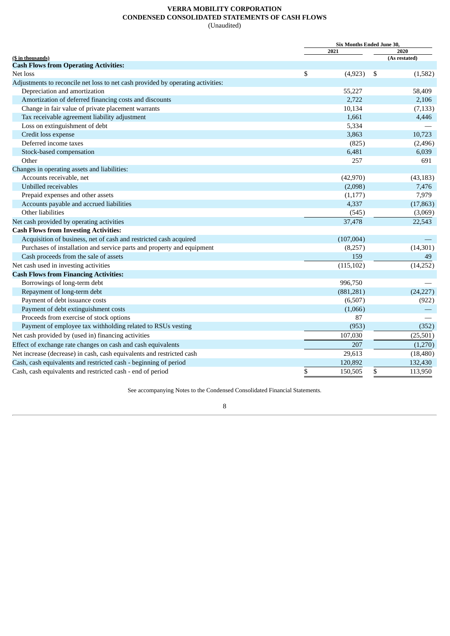# **VERRA MOBILITY CORPORATION CONDENSED CONSOLIDATED STATEMENTS OF CASH FLOWS** (Unaudited)

<span id="page-7-0"></span>

|                                                                                 | <b>Six Months Ended June 30,</b> |            |    |               |
|---------------------------------------------------------------------------------|----------------------------------|------------|----|---------------|
|                                                                                 |                                  | 2021       |    | 2020          |
| (\$ in thousands)                                                               |                                  |            |    | (As restated) |
| <b>Cash Flows from Operating Activities:</b>                                    |                                  |            |    |               |
| Net loss                                                                        | \$                               | (4,923)    | \$ | (1,582)       |
| Adjustments to reconcile net loss to net cash provided by operating activities: |                                  |            |    |               |
| Depreciation and amortization                                                   |                                  | 55,227     |    | 58,409        |
| Amortization of deferred financing costs and discounts                          |                                  | 2,722      |    | 2,106         |
| Change in fair value of private placement warrants                              |                                  | 10,134     |    | (7, 133)      |
| Tax receivable agreement liability adjustment                                   |                                  | 1,661      |    | 4,446         |
| Loss on extinguishment of debt                                                  |                                  | 5,334      |    |               |
| Credit loss expense                                                             |                                  | 3,863      |    | 10,723        |
| Deferred income taxes                                                           |                                  | (825)      |    | (2, 496)      |
| Stock-based compensation                                                        |                                  | 6,481      |    | 6,039         |
| Other                                                                           |                                  | 257        |    | 691           |
| Changes in operating assets and liabilities:                                    |                                  |            |    |               |
| Accounts receivable, net                                                        |                                  | (42, 970)  |    | (43, 183)     |
| Unbilled receivables                                                            |                                  | (2,098)    |    | 7,476         |
| Prepaid expenses and other assets                                               |                                  | (1,177)    |    | 7,979         |
| Accounts payable and accrued liabilities                                        |                                  | 4,337      |    | (17, 863)     |
| Other liabilities                                                               |                                  | (545)      |    | (3,069)       |
| Net cash provided by operating activities                                       |                                  | 37,478     |    | 22,543        |
| <b>Cash Flows from Investing Activities:</b>                                    |                                  |            |    |               |
| Acquisition of business, net of cash and restricted cash acquired               |                                  | (107,004)  |    |               |
| Purchases of installation and service parts and property and equipment          |                                  | (8,257)    |    | (14, 301)     |
| Cash proceeds from the sale of assets                                           |                                  | 159        |    | 49            |
| Net cash used in investing activities                                           |                                  | (115, 102) |    | (14,252)      |
| <b>Cash Flows from Financing Activities:</b>                                    |                                  |            |    |               |
| Borrowings of long-term debt                                                    |                                  | 996,750    |    |               |
| Repayment of long-term debt                                                     |                                  | (881, 281) |    | (24, 227)     |
| Payment of debt issuance costs                                                  |                                  | (6,507)    |    | (922)         |
| Payment of debt extinguishment costs                                            |                                  | (1,066)    |    |               |
| Proceeds from exercise of stock options                                         |                                  | 87         |    |               |
| Payment of employee tax withholding related to RSUs vesting                     |                                  | (953)      |    | (352)         |
| Net cash provided by (used in) financing activities                             |                                  | 107,030    |    | (25, 501)     |
| Effect of exchange rate changes on cash and cash equivalents                    |                                  | 207        |    | (1,270)       |
| Net increase (decrease) in cash, cash equivalents and restricted cash           |                                  | 29,613     |    | (18, 480)     |
| Cash, cash equivalents and restricted cash - beginning of period                |                                  | 120,892    |    | 132,430       |
| Cash, cash equivalents and restricted cash - end of period                      | \$                               | 150,505    | \$ | 113,950       |
|                                                                                 |                                  |            |    |               |

See accompanying Notes to the Condensed Consolidated Financial Statements.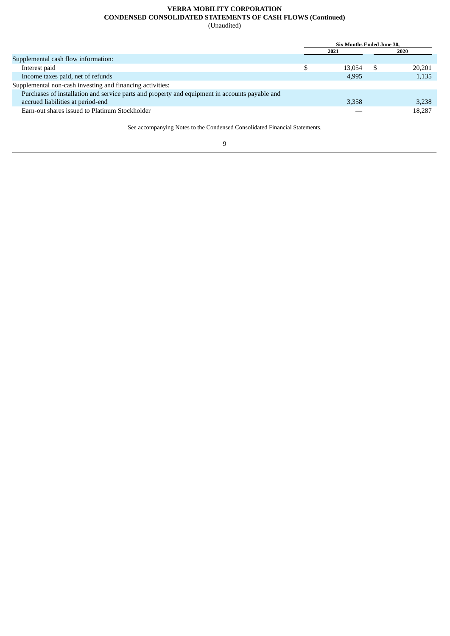# **VERRA MOBILITY CORPORATION CONDENSED CONSOLIDATED STATEMENTS OF CASH FLOWS (Continued)**

(Unaudited)

|                                                                                                | <b>Six Months Ended June 30.</b> |        |  |        |
|------------------------------------------------------------------------------------------------|----------------------------------|--------|--|--------|
|                                                                                                |                                  | 2021   |  | 2020   |
| Supplemental cash flow information:                                                            |                                  |        |  |        |
| Interest paid                                                                                  |                                  | 13.054 |  | 20,201 |
| Income taxes paid, net of refunds                                                              |                                  | 4,995  |  | 1,135  |
| Supplemental non-cash investing and financing activities:                                      |                                  |        |  |        |
| Purchases of installation and service parts and property and equipment in accounts payable and |                                  |        |  |        |
| accrued liabilities at period-end                                                              |                                  | 3,358  |  | 3,238  |
| Earn-out shares issued to Platinum Stockholder                                                 |                                  |        |  | 18,287 |

See accompanying Notes to the Condensed Consolidated Financial Statements.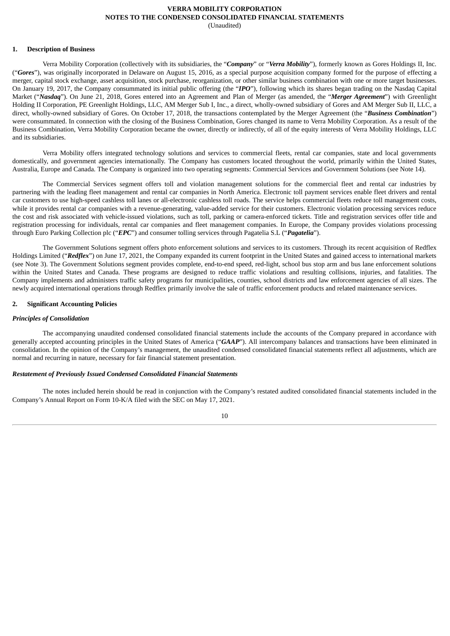# **VERRA MOBILITY CORPORATION NOTES TO THE CONDENSED CONSOLIDATED FINANCIAL STATEMENTS**

(Unaudited)

### <span id="page-9-0"></span>**1. Description of Business**

Verra Mobility Corporation (collectively with its subsidiaries, the "*Company*" or "*Verra Mobility*"), formerly known as Gores Holdings II, Inc. ("*Gores*"), was originally incorporated in Delaware on August 15, 2016, as a special purpose acquisition company formed for the purpose of effecting a merger, capital stock exchange, asset acquisition, stock purchase, reorganization, or other similar business combination with one or more target businesses. On January 19, 2017, the Company consummated its initial public offering (the "*IPO*"), following which its shares began trading on the Nasdaq Capital Market ("*Nasdaq*"). On June 21, 2018, Gores entered into an Agreement and Plan of Merger (as amended, the "*Merger Agreement*") with Greenlight Holding II Corporation, PE Greenlight Holdings, LLC, AM Merger Sub I, Inc., a direct, wholly-owned subsidiary of Gores and AM Merger Sub II, LLC, a direct, wholly-owned subsidiary of Gores. On October 17, 2018, the transactions contemplated by the Merger Agreement (the "*Business Combination*") were consummated. In connection with the closing of the Business Combination, Gores changed its name to Verra Mobility Corporation. As a result of the Business Combination, Verra Mobility Corporation became the owner, directly or indirectly, of all of the equity interests of Verra Mobility Holdings, LLC and its subsidiaries.

Verra Mobility offers integrated technology solutions and services to commercial fleets, rental car companies, state and local governments domestically, and government agencies internationally. The Company has customers located throughout the world, primarily within the United States, Australia, Europe and Canada. The Company is organized into two operating segments: Commercial Services and Government Solutions (see Note 14).

The Commercial Services segment offers toll and violation management solutions for the commercial fleet and rental car industries by partnering with the leading fleet management and rental car companies in North America. Electronic toll payment services enable fleet drivers and rental car customers to use high-speed cashless toll lanes or all-electronic cashless toll roads. The service helps commercial fleets reduce toll management costs, while it provides rental car companies with a revenue-generating, value-added service for their customers. Electronic violation processing services reduce the cost and risk associated with vehicle-issued violations, such as toll, parking or camera-enforced tickets. Title and registration services offer title and registration processing for individuals, rental car companies and fleet management companies. In Europe, the Company provides violations processing through Euro Parking Collection plc ("*EPC*") and consumer tolling services through Pagatelia S.L ("*Pagatelia*").

The Government Solutions segment offers photo enforcement solutions and services to its customers. Through its recent acquisition of Redflex Holdings Limited ("*Redflex*") on June 17, 2021, the Company expanded its current footprint in the United States and gained access to international markets (see Note 3). The Government Solutions segment provides complete, end-to-end speed, red-light, school bus stop arm and bus lane enforcement solutions within the United States and Canada. These programs are designed to reduce traffic violations and resulting collisions, injuries, and fatalities. The Company implements and administers traffic safety programs for municipalities, counties, school districts and law enforcement agencies of all sizes. The newly acquired international operations through Redflex primarily involve the sale of traffic enforcement products and related maintenance services.

#### **2. Significant Accounting Policies**

#### *Principles of Consolidation*

The accompanying unaudited condensed consolidated financial statements include the accounts of the Company prepared in accordance with generally accepted accounting principles in the United States of America ("*GAAP*"). All intercompany balances and transactions have been eliminated in consolidation. In the opinion of the Company's management, the unaudited condensed consolidated financial statements reflect all adjustments, which are normal and recurring in nature, necessary for fair financial statement presentation.

#### *Restatement of Previously Issued Condensed Consolidated Financial Statements*

The notes included herein should be read in conjunction with the Company's restated audited consolidated financial statements included in the Company's Annual Report on Form 10-K/A filed with the SEC on May 17, 2021.

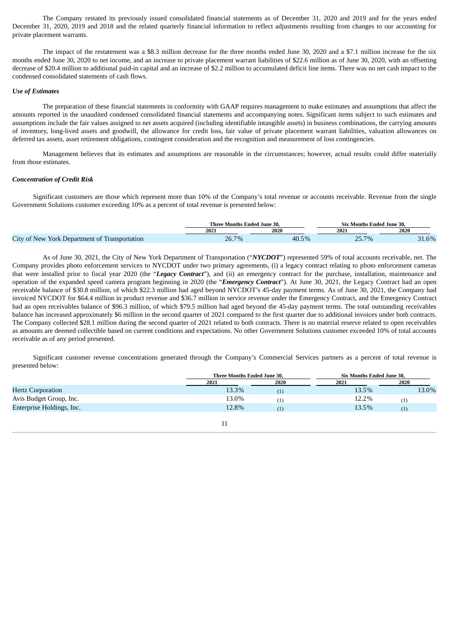The Company restated its previously issued consolidated financial statements as of December 31, 2020 and 2019 and for the years ended December 31, 2020, 2019 and 2018 and the related quarterly financial information to reflect adjustments resulting from changes to our accounting for private placement warrants.

The impact of the restatement was a \$8.3 million decrease for the three months ended June 30, 2020 and a \$7.1 million increase for the six months ended June 30, 2020 to net income, and an increase to private placement warrant liabilities of \$22.6 million as of June 30, 2020, with an offsetting decrease of \$20.4 million to additional paid-in capital and an increase of \$2.2 million to accumulated deficit line items. There was no net cash impact to the condensed consolidated statements of cash flows.

#### *Use of Estimates*

The preparation of these financial statements in conformity with GAAP requires management to make estimates and assumptions that affect the amounts reported in the unaudited condensed consolidated financial statements and accompanying notes. Significant items subject to such estimates and assumptions include the fair values assigned to net assets acquired (including identifiable intangible assets) in business combinations, the carrying amounts of inventory, long-lived assets and goodwill, the allowance for credit loss, fair value of private placement warrant liabilities, valuation allowances on deferred tax assets, asset retirement obligations, contingent consideration and the recognition and measurement of loss contingencies.

Management believes that its estimates and assumptions are reasonable in the circumstances; however, actual results could differ materially from those estimates.

#### *Concentration of Credit Risk*

Significant customers are those which represent more than 10% of the Company's total revenue or accounts receivable. Revenue from the single Government Solutions customer exceeding 10% as a percent of total revenue is presented below:

|                                                                             | Three Months Ended June 30. |                             | <b>Months Ended June 30,</b><br>Six. |        |
|-----------------------------------------------------------------------------|-----------------------------|-----------------------------|--------------------------------------|--------|
|                                                                             | 2021                        | 2020                        | 2021                                 | 2020   |
| City of<br><b>York</b> I<br><b>New</b><br>I Jenartment of<br>Transportation | 26.7%                       | $\Box$ 0/<br>$\sim$<br>ט.טי | 70/<br>$\cap$<br>- 70<br>، ن ک       | $.6\%$ |

As of June 30, 2021, the City of New York Department of Transportation ("*NYCDOT*") represented 59% of total accounts receivable, net. The Company provides photo enforcement services to NYCDOT under two primary agreements, (i) a legacy contract relating to photo enforcement cameras that were installed prior to fiscal year 2020 (the "*Legacy Contract*"), and (ii) an emergency contract for the purchase, installation, maintenance and operation of the expanded speed camera program beginning in 2020 (the "*Emergency Contract*"). At June 30, 2021, the Legacy Contract had an open receivable balance of \$30.8 million, of which \$22.3 million had aged beyond NYCDOT's 45-day payment terms. As of June 30, 2021, the Company had invoiced NYCDOT for \$64.4 million in product revenue and \$36.7 million in service revenue under the Emergency Contract, and the Emergency Contract had an open receivables balance of \$96.3 million, of which \$79.5 million had aged beyond the 45-day payment terms. The total outstanding receivables balance has increased approximately \$6 million in the second quarter of 2021 compared to the first quarter due to additional invoices under both contracts. The Company collected \$28.1 million during the second quarter of 2021 related to both contracts. There is no material reserve related to open receivables as amounts are deemed collectible based on current conditions and expectations. No other Government Solutions customer exceeded 10% of total accounts receivable as of any period presented.

Significant customer revenue concentrations generated through the Company's Commercial Services partners as a percent of total revenue is presented below:

|                           | <b>Three Months Ended June 30.</b> |                   | Six Months Ended June 30, |       |
|---------------------------|------------------------------------|-------------------|---------------------------|-------|
|                           | 2021                               | 2020              | 2021                      | 2020  |
| <b>Hertz Corporation</b>  | 13.3%                              | $\left( 1\right)$ | 13.5%                     | 13.0% |
| Avis Budget Group, Inc.   | 13.0%                              |                   | 12.2%                     |       |
| Enterprise Holdings, Inc. | 12.8%                              | $\left(1\right)$  | 13.5%                     |       |
|                           |                                    |                   |                           |       |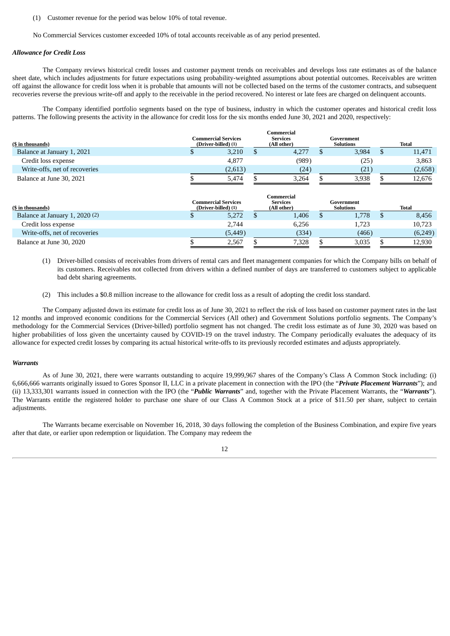(1) Customer revenue for the period was below 10% of total revenue.

No Commercial Services customer exceeded 10% of total accounts receivable as of any period presented.

# *Allowance for Credit Loss*

The Company reviews historical credit losses and customer payment trends on receivables and develops loss rate estimates as of the balance sheet date, which includes adjustments for future expectations using probability-weighted assumptions about potential outcomes. Receivables are written off against the allowance for credit loss when it is probable that amounts will not be collected based on the terms of the customer contracts, and subsequent recoveries reverse the previous write-off and apply to the receivable in the period recovered. No interest or late fees are charged on delinquent accounts.

The Company identified portfolio segments based on the type of business, industry in which the customer operates and historical credit loss patterns. The following presents the activity in the allowance for credit loss for the six months ended June 30, 2021 and 2020, respectively:

|                               |                                            | Commercial                     |                                |         |
|-------------------------------|--------------------------------------------|--------------------------------|--------------------------------|---------|
| (\$ in thousands)             | Commercial Services<br>(Driver-billed) (1) | <b>Services</b><br>(All other) | Government<br><b>Solutions</b> | Total   |
| Balance at January 1, 2021    | 3,210                                      | 4,277                          | 3,984                          | 11,471  |
| Credit loss expense           | 4,877                                      | (989)                          | (25)                           | 3,863   |
| Write-offs, net of recoveries | (2,613)                                    | (24)                           | (21)                           | (2,658) |
| Balance at June 30, 2021      | 5,474                                      | 3.264                          | 3,938                          | 12.676  |

|                                |                                            | Commercial                     |                                |         |
|--------------------------------|--------------------------------------------|--------------------------------|--------------------------------|---------|
| (\$ in thousands)              | Commercial Services<br>(Driver-billed) (1) | <b>Services</b><br>(All other) | Government<br><b>Solutions</b> | Total   |
| Balance at January 1, 2020 (2) | 5,272                                      | 1.406                          | 1,778                          | 8,456   |
| Credit loss expense            | 2,744                                      | 6.256                          | 1,723                          | 10,723  |
| Write-offs, net of recoveries  | (5.449)                                    | (334)                          | (466)                          | (6,249) |
| Balance at June 30, 2020       | 2.567                                      | 7,328                          | 3,035                          | 12,930  |

- (1) Driver-billed consists of receivables from drivers of rental cars and fleet management companies for which the Company bills on behalf of its customers. Receivables not collected from drivers within a defined number of days are transferred to customers subject to applicable bad debt sharing agreements.
- (2) This includes a \$0.8 million increase to the allowance for credit loss as a result of adopting the credit loss standard.

The Company adjusted down its estimate for credit loss as of June 30, 2021 to reflect the risk of loss based on customer payment rates in the last 12 months and improved economic conditions for the Commercial Services (All other) and Government Solutions portfolio segments. The Company's methodology for the Commercial Services (Driver-billed) portfolio segment has not changed. The credit loss estimate as of June 30, 2020 was based on higher probabilities of loss given the uncertainty caused by COVID-19 on the travel industry. The Company periodically evaluates the adequacy of its allowance for expected credit losses by comparing its actual historical write-offs to its previously recorded estimates and adjusts appropriately.

#### *Warrants*

As of June 30, 2021, there were warrants outstanding to acquire 19,999,967 shares of the Company's Class A Common Stock including: (i) 6,666,666 warrants originally issued to Gores Sponsor II, LLC in a private placement in connection with the IPO (the "*Private Placement Warrants*"); and (ii) 13,333,301 warrants issued in connection with the IPO (the "*Public Warrants*" and, together with the Private Placement Warrants, the "*Warrants*"). The Warrants entitle the registered holder to purchase one share of our Class A Common Stock at a price of \$11.50 per share, subject to certain adjustments.

The Warrants became exercisable on November 16, 2018, 30 days following the completion of the Business Combination, and expire five years after that date, or earlier upon redemption or liquidation. The Company may redeem the

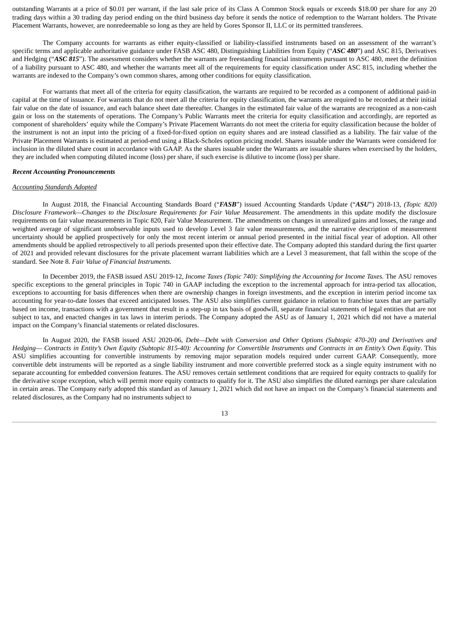outstanding Warrants at a price of \$0.01 per warrant, if the last sale price of its Class A Common Stock equals or exceeds \$18.00 per share for any 20 trading days within a 30 trading day period ending on the third business day before it sends the notice of redemption to the Warrant holders. The Private Placement Warrants, however, are nonredeemable so long as they are held by Gores Sponsor II, LLC or its permitted transferees.

The Company accounts for warrants as either equity-classified or liability-classified instruments based on an assessment of the warrant's specific terms and applicable authoritative guidance under FASB ASC 480, Distinguishing Liabilities from Equity ("*ASC 480*") and ASC 815, Derivatives and Hedging ("*ASC 815*"). The assessment considers whether the warrants are freestanding financial instruments pursuant to ASC 480, meet the definition of a liability pursuant to ASC 480, and whether the warrants meet all of the requirements for equity classification under ASC 815, including whether the warrants are indexed to the Company's own common shares, among other conditions for equity classification.

For warrants that meet all of the criteria for equity classification, the warrants are required to be recorded as a component of additional paid-in capital at the time of issuance. For warrants that do not meet all the criteria for equity classification, the warrants are required to be recorded at their initial fair value on the date of issuance, and each balance sheet date thereafter. Changes in the estimated fair value of the warrants are recognized as a non-cash gain or loss on the statements of operations. The Company's Public Warrants meet the criteria for equity classification and accordingly, are reported as component of shareholders' equity while the Company's Private Placement Warrants do not meet the criteria for equity classification because the holder of the instrument is not an input into the pricing of a fixed-for-fixed option on equity shares and are instead classified as a liability. The fair value of the Private Placement Warrants is estimated at period-end using a Black-Scholes option pricing model. Shares issuable under the Warrants were considered for inclusion in the diluted share count in accordance with GAAP. As the shares issuable under the Warrants are issuable shares when exercised by the holders, they are included when computing diluted income (loss) per share, if such exercise is dilutive to income (loss) per share.

#### *Recent Accounting Pronouncements*

#### *Accounting Standards Adopted*

In August 2018, the Financial Accounting Standards Board ("*FASB*") issued Accounting Standards Update ("*ASU*") 2018-13, *(Topic 820) Disclosure Framework—Changes to the Disclosure Requirements for Fair Value Measurement*. The amendments in this update modify the disclosure requirements on fair value measurements in Topic 820, Fair Value Measurement. The amendments on changes in unrealized gains and losses, the range and weighted average of significant unobservable inputs used to develop Level 3 fair value measurements, and the narrative description of measurement uncertainty should be applied prospectively for only the most recent interim or annual period presented in the initial fiscal year of adoption. All other amendments should be applied retrospectively to all periods presented upon their effective date. The Company adopted this standard during the first quarter of 2021 and provided relevant disclosures for the private placement warrant liabilities which are a Level 3 measurement, that fall within the scope of the standard. See Note 8. *Fair Value of Financial Instruments.*

In December 2019, the FASB issued ASU 2019-12, *Income Taxes (Topic 740): Simplifying the Accounting for Income Taxes.* The ASU removes specific exceptions to the general principles in Topic 740 in GAAP including the exception to the incremental approach for intra-period tax allocation, exceptions to accounting for basis differences when there are ownership changes in foreign investments, and the exception in interim period income tax accounting for year-to-date losses that exceed anticipated losses. The ASU also simplifies current guidance in relation to franchise taxes that are partially based on income, transactions with a government that result in a step-up in tax basis of goodwill, separate financial statements of legal entities that are not subject to tax, and enacted changes in tax laws in interim periods. The Company adopted the ASU as of January 1, 2021 which did not have a material impact on the Company's financial statements or related disclosures.

In August 2020, the FASB issued ASU 2020-06, *Debt—Debt with Conversion and Other Options (Subtopic 470-20) and Derivatives and* Hedging— Contracts in Entity's Own Equity (Subtopic 815-40): Accounting for Convertible Instruments and Contracts in an Entity's Own Equity. This ASU simplifies accounting for convertible instruments by removing major separation models required under current GAAP. Consequently, more convertible debt instruments will be reported as a single liability instrument and more convertible preferred stock as a single equity instrument with no separate accounting for embedded conversion features. The ASU removes certain settlement conditions that are required for equity contracts to qualify for the derivative scope exception, which will permit more equity contracts to qualify for it. The ASU also simplifies the diluted earnings per share calculation in certain areas. The Company early adopted this standard as of January 1, 2021 which did not have an impact on the Company's financial statements and related disclosures, as the Company had no instruments subject to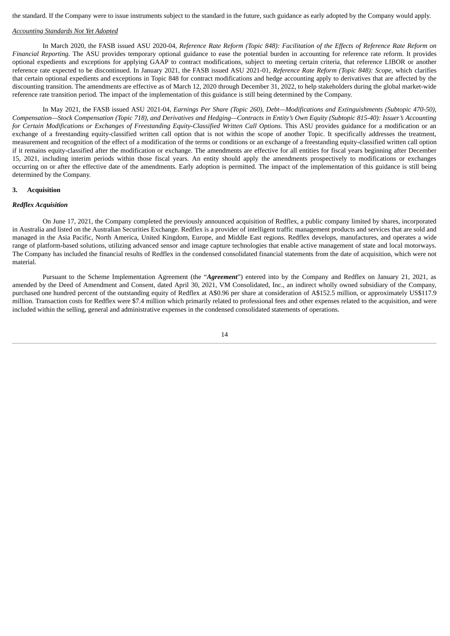the standard. If the Company were to issue instruments subject to the standard in the future, such guidance as early adopted by the Company would apply.

#### *Accounting Standards Not Yet Adopted*

In March 2020, the FASB issued ASU 2020-04, Reference Rate Reform (Topic 848): Facilitation of the Effects of Reference Rate Reform on *Financial Reporting.* The ASU provides temporary optional guidance to ease the potential burden in accounting for reference rate reform. It provides optional expedients and exceptions for applying GAAP to contract modifications, subject to meeting certain criteria, that reference LIBOR or another reference rate expected to be discontinued. In January 2021, the FASB issued ASU 2021-01, *Reference Rate Reform (Topic 848): Scope*, which clarifies that certain optional expedients and exceptions in Topic 848 for contract modifications and hedge accounting apply to derivatives that are affected by the discounting transition. The amendments are effective as of March 12, 2020 through December 31, 2022, to help stakeholders during the global market-wide reference rate transition period. The impact of the implementation of this guidance is still being determined by the Company.

In May 2021, the FASB issued ASU 2021-04, *Earnings Per Share (Topic 260), Debt—Modifications and Extinguishments (Subtopic 470-50),* Compensation—Stock Compensation (Topic 718), and Derivatives and Hedging—Contracts in Entity's Own Equity (Subtopic 815-40): Issuer's Accounting *for Certain Modifications or Exchanges of Freestanding Equity-Classified Written Call Options.* This ASU provides guidance for a modification or an exchange of a freestanding equity-classified written call option that is not within the scope of another Topic. It specifically addresses the treatment, measurement and recognition of the effect of a modification of the terms or conditions or an exchange of a freestanding equity-classified written call option if it remains equity-classified after the modification or exchange. The amendments are effective for all entities for fiscal years beginning after December 15, 2021, including interim periods within those fiscal years. An entity should apply the amendments prospectively to modifications or exchanges occurring on or after the effective date of the amendments. Early adoption is permitted. The impact of the implementation of this guidance is still being determined by the Company.

#### **3. Acquisition**

#### *Redflex Acquisition*

On June 17, 2021, the Company completed the previously announced acquisition of Redflex, a public company limited by shares, incorporated in Australia and listed on the Australian Securities Exchange. Redflex is a provider of intelligent traffic management products and services that are sold and managed in the Asia Pacific, North America, United Kingdom, Europe, and Middle East regions. Redflex develops, manufactures, and operates a wide range of platform-based solutions, utilizing advanced sensor and image capture technologies that enable active management of state and local motorways. The Company has included the financial results of Redflex in the condensed consolidated financial statements from the date of acquisition, which were not material.

Pursuant to the Scheme Implementation Agreement (the "*Agreement*") entered into by the Company and Redflex on January 21, 2021, as amended by the Deed of Amendment and Consent, dated April 30, 2021, VM Consolidated, Inc., an indirect wholly owned subsidiary of the Company, purchased one hundred percent of the outstanding equity of Redflex at A\$0.96 per share at consideration of A\$152.5 million, or approximately US\$117.9 million. Transaction costs for Redflex were \$7.4 million which primarily related to professional fees and other expenses related to the acquisition, and were included within the selling, general and administrative expenses in the condensed consolidated statements of operations.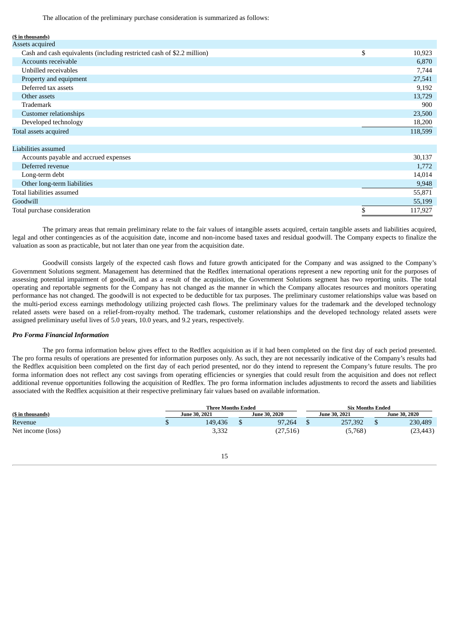The allocation of the preliminary purchase consideration is summarized as follows:

| (\$ in thousands)                                                      |              |
|------------------------------------------------------------------------|--------------|
| Assets acquired                                                        |              |
| Cash and cash equivalents (including restricted cash of \$2.2 million) | \$<br>10,923 |
| Accounts receivable                                                    | 6,870        |
| Unbilled receivables                                                   | 7,744        |
| Property and equipment                                                 | 27,541       |
| Deferred tax assets                                                    | 9,192        |
| Other assets                                                           | 13,729       |
| Trademark                                                              | 900          |
| Customer relationships                                                 | 23,500       |
| Developed technology                                                   | 18,200       |
| Total assets acquired                                                  | 118,599      |
|                                                                        |              |
| Liabilities assumed                                                    |              |

| Liabilities assumed                   |         |
|---------------------------------------|---------|
| Accounts payable and accrued expenses | 30,137  |
| Deferred revenue                      | 1,772   |
| Long-term debt                        | 14,014  |
| Other long-term liabilities           | 9,948   |
| Total liabilities assumed             | 55,871  |
| Goodwill                              | 55,199  |
| Total purchase consideration          | 117.927 |

The primary areas that remain preliminary relate to the fair values of intangible assets acquired, certain tangible assets and liabilities acquired, legal and other contingencies as of the acquisition date, income and non-income based taxes and residual goodwill. The Company expects to finalize the valuation as soon as practicable, but not later than one year from the acquisition date.

Goodwill consists largely of the expected cash flows and future growth anticipated for the Company and was assigned to the Company's Government Solutions segment. Management has determined that the Redflex international operations represent a new reporting unit for the purposes of assessing potential impairment of goodwill, and as a result of the acquisition, the Government Solutions segment has two reporting units. The total operating and reportable segments for the Company has not changed as the manner in which the Company allocates resources and monitors operating performance has not changed. The goodwill is not expected to be deductible for tax purposes. The preliminary customer relationships value was based on the multi-period excess earnings methodology utilizing projected cash flows. The preliminary values for the trademark and the developed technology related assets were based on a relief-from-royalty method. The trademark, customer relationships and the developed technology related assets were assigned preliminary useful lives of 5.0 years, 10.0 years, and 9.2 years, respectively.

### *Pro Forma Financial Information*

The pro forma information below gives effect to the Redflex acquisition as if it had been completed on the first day of each period presented. The pro forma results of operations are presented for information purposes only. As such, they are not necessarily indicative of the Company's results had the Redflex acquisition been completed on the first day of each period presented, nor do they intend to represent the Company's future results. The pro forma information does not reflect any cost savings from operating efficiencies or synergies that could result from the acquisition and does not reflect additional revenue opportunities following the acquisition of Redflex. The pro forma information includes adjustments to record the assets and liabilities associated with the Redflex acquisition at their respective preliminary fair values based on available information.

|                   | Three Months Ended |                      |  |                      |  | <b>Six Months Ended</b> |                      |
|-------------------|--------------------|----------------------|--|----------------------|--|-------------------------|----------------------|
| (\$ in thousands) |                    | <b>June 30, 2021</b> |  | <b>June 30, 2020</b> |  | <b>June 30, 2021</b>    | <b>June 30, 2020</b> |
| Revenue           |                    | 149.436              |  | 97.264               |  | 257.392                 | 230,489              |
| Net income (loss) |                    | 3,332                |  | (27,516)             |  | (5,768)                 | (23, 443)            |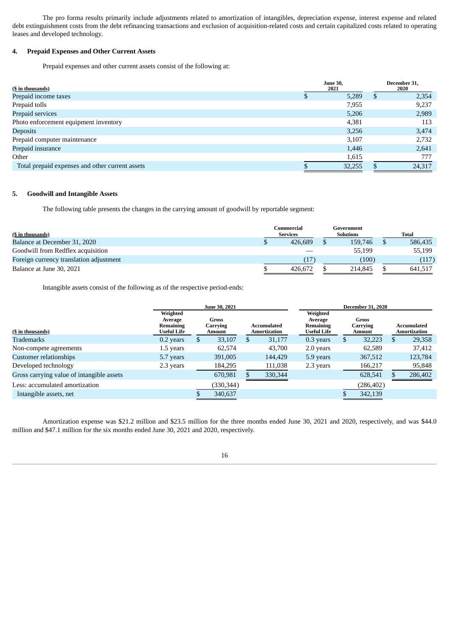The pro forma results primarily include adjustments related to amortization of intangibles, depreciation expense, interest expense and related debt extinguishment costs from the debt refinancing transactions and exclusion of acquisition-related costs and certain capitalized costs related to operating leases and developed technology.

# **4. Prepaid Expenses and Other Current Assets**

Prepaid expenses and other current assets consist of the following at:

| (\$ in thousands)                               | <b>June 30,</b><br>2021 |   | December 31.<br>2020 |
|-------------------------------------------------|-------------------------|---|----------------------|
| Prepaid income taxes                            | 5,289                   | ъ | 2,354                |
| Prepaid tolls                                   | 7,955                   |   | 9,237                |
| Prepaid services                                | 5,206                   |   | 2,989                |
| Photo enforcement equipment inventory           | 4,381                   |   | 113                  |
| <b>Deposits</b>                                 | 3,256                   |   | 3,474                |
| Prepaid computer maintenance                    | 3,107                   |   | 2,732                |
| Prepaid insurance                               | 1,446                   |   | 2,641                |
| Other                                           | 1,615                   |   | 777                  |
| Total prepaid expenses and other current assets | 32,255                  |   | 24,317               |

# **5. Goodwill and Intangible Assets**

The following table presents the changes in the carrying amount of goodwill by reportable segment:

| (\$ in thousands)                       | Commercial<br><b>Services</b> | Government<br><b>Solutions</b> | Total   |
|-----------------------------------------|-------------------------------|--------------------------------|---------|
| Balance at December 31, 2020            | 426.689                       | 159,746                        | 586,435 |
| Goodwill from Redflex acquisition       |                               | 55,199                         | 55,199  |
| Foreign currency translation adjustment | (17)                          | (100)                          | (117)   |
| Balance at June 30, 2021                | 426.672                       | 214,845                        | 641.517 |

Intangible assets consist of the following as of the respective period-ends:

|                                           |                                                        | June 30, 2021 |                             |   |                             |                                                        | <b>December 31, 2020</b> |                             |   |                             |  |  |
|-------------------------------------------|--------------------------------------------------------|---------------|-----------------------------|---|-----------------------------|--------------------------------------------------------|--------------------------|-----------------------------|---|-----------------------------|--|--|
| (\$ in thousands)                         | Weighted<br>Average<br>Remaining<br><b>Useful Life</b> |               | Gross<br>Carrying<br>Amount |   | Accumulated<br>Amortization | Weighted<br>Average<br>Remaining<br><b>Useful Life</b> |                          | Gross<br>Carrying<br>Amount |   | Accumulated<br>Amortization |  |  |
| Trademarks                                | 0.2 years                                              | D             | 33,107                      | Ъ | 31,177                      | $0.3$ years                                            | D                        | 32,223                      | S | 29,358                      |  |  |
| Non-compete agreements                    | 1.5 years                                              |               | 62,574                      |   | 43,700                      | 2.0 years                                              |                          | 62,589                      |   | 37,412                      |  |  |
| Customer relationships                    | 5.7 years                                              |               | 391,005                     |   | 144,429                     | 5.9 years                                              |                          | 367,512                     |   | 123,784                     |  |  |
| Developed technology                      | 2.3 years                                              |               | 184,295                     |   | 111,038                     | 2.3 years                                              |                          | 166,217                     |   | 95,848                      |  |  |
| Gross carrying value of intangible assets |                                                        |               | 670,981                     |   | 330,344                     |                                                        |                          | 628,541                     |   | 286,402                     |  |  |
| Less: accumulated amortization            |                                                        |               | (330, 344)                  |   |                             |                                                        |                          | (286, 402)                  |   |                             |  |  |
| Intangible assets, net                    |                                                        |               | 340,637                     |   |                             |                                                        |                          | 342,139                     |   |                             |  |  |

Amortization expense was \$21.2 million and \$23.5 million for the three months ended June 30, 2021 and 2020, respectively, and was \$44.0 million and \$47.1 million for the six months ended June 30, 2021 and 2020, respectively.

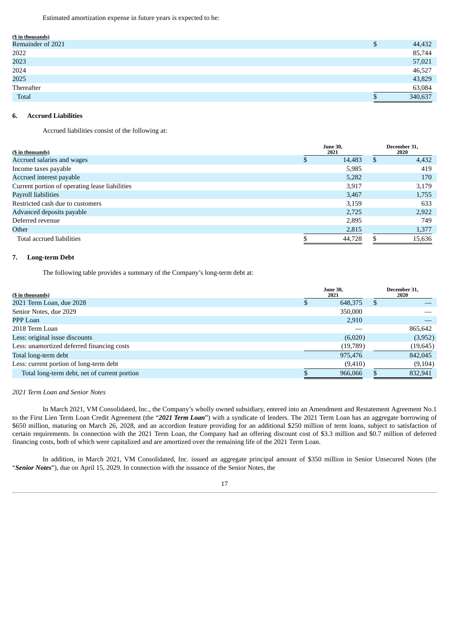Estimated amortization expense in future years is expected to be:

| 44,432<br>\$ |
|--------------|
| 85,744       |
| 57,021       |
| 46,527       |
| 43,829       |
| 63,084       |
| 340,637      |
|              |

# **6. Accrued Liabilities**

Accrued liabilities consist of the following at:

| (\$ in thousands)                              | <b>June 30.</b><br>2021 | December 31.<br>2020 |
|------------------------------------------------|-------------------------|----------------------|
| Accrued salaries and wages                     | 14,483                  | 4,432                |
| Income taxes payable                           | 5,985                   | 419                  |
| Accrued interest payable                       | 5,282                   | 170                  |
| Current portion of operating lease liabilities | 3,917                   | 3,179                |
| Payroll liabilities                            | 3,467                   | 1,755                |
| Restricted cash due to customers               | 3,159                   | 633                  |
| Advanced deposits payable                      | 2,725                   | 2,922                |
| Deferred revenue                               | 2,895                   | 749                  |
| Other                                          | 2,815                   | 1,377                |
| Total accrued liabilities                      | 44,728                  | 15,636               |

# **7. Long-term Debt**

The following table provides a summary of the Company's long-term debt at:

| (\$ in thousands)                            | <b>June 30.</b><br>2021 |          |  |           |
|----------------------------------------------|-------------------------|----------|--|-----------|
| 2021 Term Loan, due 2028                     |                         | 648,375  |  |           |
| Senior Notes, due 2029                       |                         | 350,000  |  |           |
| PPP Loan                                     |                         | 2,910    |  |           |
| 2018 Term Loan                               |                         |          |  | 865,642   |
| Less: original issue discounts               |                         | (6,020)  |  | (3,952)   |
| Less: unamortized deferred financing costs   |                         | (19,789) |  | (19, 645) |
| Total long-term debt                         |                         | 975,476  |  | 842,045   |
| Less: current portion of long-term debt      |                         | (9,410)  |  | (9,104)   |
| Total long-term debt, net of current portion |                         | 966,066  |  | 832,941   |

*2021 Term Loan and Senior Notes*

In March 2021, VM Consolidated, Inc., the Company's wholly owned subsidiary, entered into an Amendment and Restatement Agreement No.1 to the First Lien Term Loan Credit Agreement (the "*2021 Term Loan*") with a syndicate of lenders. The 2021 Term Loan has an aggregate borrowing of \$650 million, maturing on March 26, 2028, and an accordion feature providing for an additional \$250 million of term loans, subject to satisfaction of certain requirements. In connection with the 2021 Term Loan, the Company had an offering discount cost of \$3.3 million and \$0.7 million of deferred financing costs, both of which were capitalized and are amortized over the remaining life of the 2021 Term Loan.

In addition, in March 2021, VM Consolidated, Inc. issued an aggregate principal amount of \$350 million in Senior Unsecured Notes (the "*Senior Notes*"), due on April 15, 2029. In connection with the issuance of the Senior Notes, the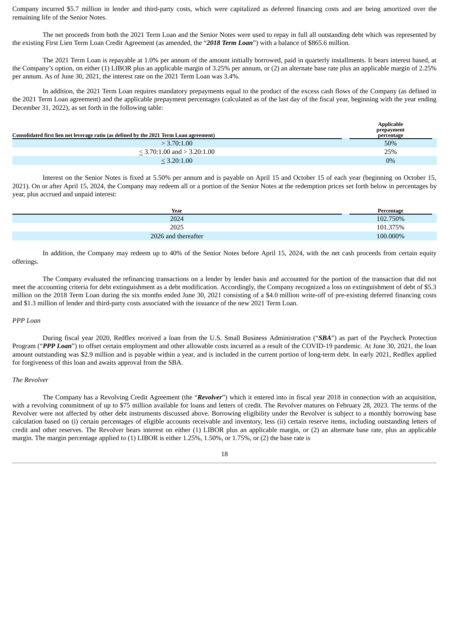Company incurred \$5.7 million in lender and third-party costs, which were capitalized as deferred financing costs and are being amortized over the remaining life of the Senior Notes.

The net proceeds from both the 2021 Term Loan and the Senior Notes were used to repay in full all outstanding debt which was represented by the existing First Lien Term Loan Credit Agreement (as amended, the "*2018 Term Loan*") with a balance of \$865.6 million.

The 2021 Term Loan is repayable at 1.0% per annum of the amount initially borrowed, paid in quarterly installments. It bears interest based, at the Company's option, on either (1) LIBOR plus an applicable margin of 3.25% per annum, or (2) an alternate base rate plus an applicable margin of 2.25% per annum. As of June 30, 2021, the interest rate on the 2021 Term Loan was 3.4%.

In addition, the 2021 Term Loan requires mandatory prepayments equal to the product of the excess cash flows of the Company (as defined in the 2021 Term Loan agreement) and the applicable prepayment percentages (calculated as of the last day of the fiscal year, beginning with the year ending December 31, 2022), as set forth in the following table:

|                                                                                         | Applicable               |
|-----------------------------------------------------------------------------------------|--------------------------|
| Consolidated first lien net leverage ratio (as defined by the 2021 Term Loan agreement) | prepayment<br>percentage |
| > 3.70:1.00                                                                             | 50%                      |
| $\leq$ 3.70:1.00 and $>$ 3.20:1.00                                                      | 25%                      |
| $<$ 3.20:1.00                                                                           | 0%                       |

Interest on the Senior Notes is fixed at 5.50% per annum and is payable on April 15 and October 15 of each year (beginning on October 15, 2021). On or after April 15, 2024, the Company may redeem all or a portion of the Senior Notes at the redemption prices set forth below in percentages by year, plus accrued and unpaid interest:

| Year                | Percentage    |
|---------------------|---------------|
| 2024                | 102.750%      |
| 2025                | .375%<br>' በ1 |
| 2026 and thereafter | 100.000%      |

In addition, the Company may redeem up to 40% of the Senior Notes before April 15, 2024, with the net cash proceeds from certain equity offerings.

The Company evaluated the refinancing transactions on a lender by lender basis and accounted for the portion of the transaction that did not meet the accounting criteria for debt extinguishment as a debt modification. Accordingly, the Company recognized a loss on extinguishment of debt of \$5.3 million on the 2018 Term Loan during the six months ended June 30, 2021 consisting of a \$4.0 million write-off of pre-existing deferred financing costs and \$1.3 million of lender and third-party costs associated with the issuance of the new 2021 Term Loan.

# *PPP Loan*

During fiscal year 2020, Redflex received a loan from the U.S. Small Business Administration ("*SBA*") as part of the Paycheck Protection Program ("*PPP Loan*") to offset certain employment and other allowable costs incurred as a result of the COVID-19 pandemic. At June 30, 2021, the loan amount outstanding was \$2.9 million and is payable within a year, and is included in the current portion of long-term debt. In early 2021, Redflex applied for forgiveness of this loan and awaits approval from the SBA.

### *The Revolver*

The Company has a Revolving Credit Agreement (the "*Revolver*") which it entered into in fiscal year 2018 in connection with an acquisition, with a revolving commitment of up to \$75 million available for loans and letters of credit. The Revolver matures on February 28, 2023. The terms of the Revolver were not affected by other debt instruments discussed above. Borrowing eligibility under the Revolver is subject to a monthly borrowing base calculation based on (i) certain percentages of eligible accounts receivable and inventory, less (ii) certain reserve items, including outstanding letters of credit and other reserves. The Revolver bears interest on either (1) LIBOR plus an applicable margin, or (2) an alternate base rate, plus an applicable margin. The margin percentage applied to (1) LIBOR is either 1.25%, 1.50%, or 1.75%, or (2) the base rate is

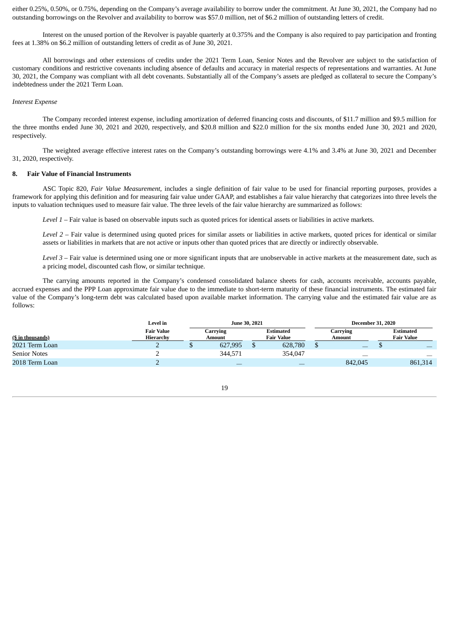either 0.25%, 0.50%, or 0.75%, depending on the Company's average availability to borrow under the commitment. At June 30, 2021, the Company had no outstanding borrowings on the Revolver and availability to borrow was \$57.0 million, net of \$6.2 million of outstanding letters of credit.

Interest on the unused portion of the Revolver is payable quarterly at 0.375% and the Company is also required to pay participation and fronting fees at 1.38% on \$6.2 million of outstanding letters of credit as of June 30, 2021.

All borrowings and other extensions of credits under the 2021 Term Loan, Senior Notes and the Revolver are subject to the satisfaction of customary conditions and restrictive covenants including absence of defaults and accuracy in material respects of representations and warranties. At June 30, 2021, the Company was compliant with all debt covenants. Substantially all of the Company's assets are pledged as collateral to secure the Company's indebtedness under the 2021 Term Loan.

#### *Interest Expense*

The Company recorded interest expense, including amortization of deferred financing costs and discounts, of \$11.7 million and \$9.5 million for the three months ended June 30, 2021 and 2020, respectively, and \$20.8 million and \$22.0 million for the six months ended June 30, 2021 and 2020, respectively.

The weighted average effective interest rates on the Company's outstanding borrowings were 4.1% and 3.4% at June 30, 2021 and December 31, 2020, respectively.

#### **8. Fair Value of Financial Instruments**

ASC Topic 820, *Fair Value Measurement,* includes a single definition of fair value to be used for financial reporting purposes, provides a framework for applying this definition and for measuring fair value under GAAP, and establishes a fair value hierarchy that categorizes into three levels the inputs to valuation techniques used to measure fair value. The three levels of the fair value hierarchy are summarized as follows:

*Level 1 –* Fair value is based on observable inputs such as quoted prices for identical assets or liabilities in active markets.

*Level 2* – Fair value is determined using quoted prices for similar assets or liabilities in active markets, quoted prices for identical or similar assets or liabilities in markets that are not active or inputs other than quoted prices that are directly or indirectly observable.

*Level 3* – Fair value is determined using one or more significant inputs that are unobservable in active markets at the measurement date, such as a pricing model, discounted cash flow, or similar technique.

The carrying amounts reported in the Company's condensed consolidated balance sheets for cash, accounts receivable, accounts payable, accrued expenses and the PPP Loan approximate fair value due to the immediate to short-term maturity of these financial instruments. The estimated fair value of the Company's long-term debt was calculated based upon available market information. The carrying value and the estimated fair value are as follows:

|                     | Level in                       | <b>June 30, 2021</b>                                        |  |                    | <b>December 31, 2020</b> |                                       |         |  |
|---------------------|--------------------------------|-------------------------------------------------------------|--|--------------------|--------------------------|---------------------------------------|---------|--|
| (\$ in thousands)   | <b>Fair Value</b><br>Hierarchy | <b>Estimated</b><br>Carrving<br><b>Fair Value</b><br>Amount |  | Carrving<br>Amount |                          | <b>Estimated</b><br><b>Fair Value</b> |         |  |
| 2021 Term Loan      |                                | 627,995                                                     |  | 628,780            | $-$                      |                                       |         |  |
| <b>Senior Notes</b> |                                | 344,571                                                     |  | 354,047            |                          |                                       |         |  |
| 2018 Term Loan      |                                | __                                                          |  |                    | 842,045                  |                                       | 861,314 |  |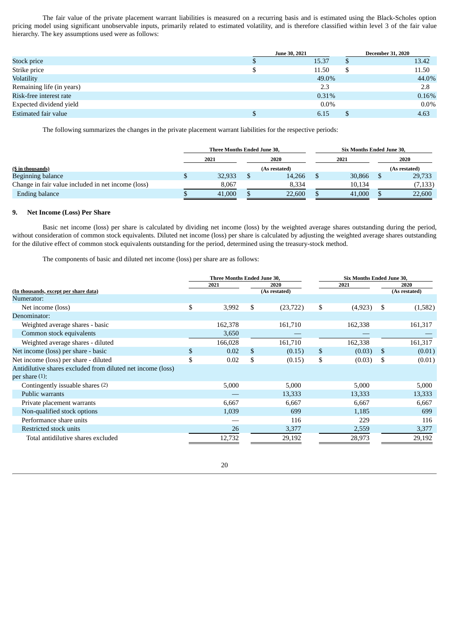The fair value of the private placement warrant liabilities is measured on a recurring basis and is estimated using the Black-Scholes option pricing model using significant unobservable inputs, primarily related to estimated volatility, and is therefore classified within level 3 of the fair value hierarchy. The key assumptions used were as follows:

|                           |   | <b>June 30, 2021</b> | <b>December 31, 2020</b> |         |
|---------------------------|---|----------------------|--------------------------|---------|
| Stock price               | Φ | 15.37                |                          | 13.42   |
| Strike price              |   | 11.50                |                          | 11.50   |
| Volatility                |   | 49.0%                |                          | 44.0%   |
| Remaining life (in years) |   | 2.3                  |                          | 2.8     |
| Risk-free interest rate   |   | 0.31%                |                          | 0.16%   |
| Expected dividend yield   |   | $0.0\%$              |                          | $0.0\%$ |
| Estimated fair value      | S | 6.15                 |                          | 4.63    |

The following summarizes the changes in the private placement warrant liabilities for the respective periods:

|                                                    | Three Months Ended June 30, |  |               |      |        | Six Months Ended June 30, |               |  |
|----------------------------------------------------|-----------------------------|--|---------------|------|--------|---------------------------|---------------|--|
|                                                    | 2021                        |  | 2020          | 2021 |        |                           | 2020          |  |
| (\$ in thousands)                                  |                             |  | (As restated) |      |        |                           | (As restated) |  |
| Beginning balance                                  | 32,933                      |  | 14,266        |      | 30,866 |                           | 29,733        |  |
| Change in fair value included in net income (loss) | 8,067                       |  | 8.334         |      | 10.134 |                           | (7, 133)      |  |
| Ending balance                                     | 41,000                      |  | 22,600        |      | 41,000 |                           | 22,600        |  |

# **9. Net Income (Loss) Per Share**

Basic net income (loss) per share is calculated by dividing net income (loss) by the weighted average shares outstanding during the period, without consideration of common stock equivalents. Diluted net income (loss) per share is calculated by adjusting the weighted average shares outstanding for the dilutive effect of common stock equivalents outstanding for the period, determined using the treasury-stock method.

The components of basic and diluted net income (loss) per share are as follows:

|                                                             |    | Three Months Ended June 30, |                       |               | Six Months Ended June 30, |    |         |  |  |
|-------------------------------------------------------------|----|-----------------------------|-----------------------|---------------|---------------------------|----|---------|--|--|
|                                                             |    | 2021                        | 2020<br>(As restated) |               | 2021                      |    | 2020    |  |  |
| (In thousands, except per share data)                       |    |                             |                       | (As restated) |                           |    |         |  |  |
| Numerator:                                                  |    |                             |                       |               |                           |    |         |  |  |
| Net income (loss)                                           | \$ | 3,992                       | \$<br>(23, 722)       | \$            | (4,923)                   | \$ | (1,582) |  |  |
| Denominator:                                                |    |                             |                       |               |                           |    |         |  |  |
| Weighted average shares - basic                             |    | 162,378                     | 161,710               |               | 162,338                   |    | 161,317 |  |  |
| Common stock equivalents                                    |    | 3,650                       |                       |               |                           |    |         |  |  |
| Weighted average shares - diluted                           |    | 166,028                     | 161,710               |               | 162,338                   |    | 161,317 |  |  |
| Net income (loss) per share - basic                         | S  | 0.02                        | \$<br>(0.15)          | \$            | (0.03)                    | \$ | (0.01)  |  |  |
| Net income (loss) per share - diluted                       | \$ | 0.02                        | \$<br>(0.15)          | \$            | (0.03)                    | \$ | (0.01)  |  |  |
| Antidilutive shares excluded from diluted net income (loss) |    |                             |                       |               |                           |    |         |  |  |
| per share $(1)$ :                                           |    |                             |                       |               |                           |    |         |  |  |
| Contingently issuable shares (2)                            |    | 5,000                       | 5,000                 |               | 5,000                     |    | 5,000   |  |  |
| Public warrants                                             |    |                             | 13,333                |               | 13,333                    |    | 13,333  |  |  |
| Private placement warrants                                  |    | 6,667                       | 6,667                 |               | 6,667                     |    | 6,667   |  |  |
| Non-qualified stock options                                 |    | 1,039                       | 699                   |               | 1,185                     |    | 699     |  |  |
| Performance share units                                     |    |                             | 116                   |               | 229                       |    | 116     |  |  |
| Restricted stock units                                      |    | 26                          | 3,377                 |               | 2,559                     |    | 3,377   |  |  |
| Total antidilutive shares excluded                          |    | 12,732                      | 29,192                |               | 28,973                    |    | 29,192  |  |  |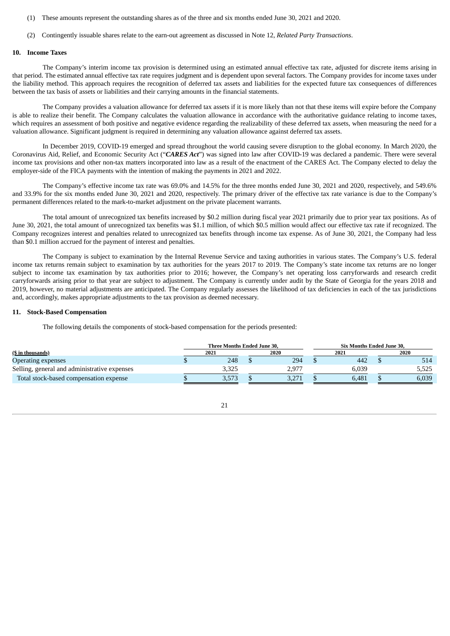- (1) These amounts represent the outstanding shares as of the three and six months ended June 30, 2021 and 2020.
- (2) Contingently issuable shares relate to the earn-out agreement as discussed in Note 12, *Related Party Transactions*.

# **10. Income Taxes**

The Company's interim income tax provision is determined using an estimated annual effective tax rate, adjusted for discrete items arising in that period. The estimated annual effective tax rate requires judgment and is dependent upon several factors. The Company provides for income taxes under the liability method. This approach requires the recognition of deferred tax assets and liabilities for the expected future tax consequences of differences between the tax basis of assets or liabilities and their carrying amounts in the financial statements.

The Company provides a valuation allowance for deferred tax assets if it is more likely than not that these items will expire before the Company is able to realize their benefit. The Company calculates the valuation allowance in accordance with the authoritative guidance relating to income taxes, which requires an assessment of both positive and negative evidence regarding the realizability of these deferred tax assets, when measuring the need for a valuation allowance. Significant judgment is required in determining any valuation allowance against deferred tax assets.

In December 2019, COVID-19 emerged and spread throughout the world causing severe disruption to the global economy. In March 2020, the Coronavirus Aid, Relief, and Economic Security Act ("*CARES Act*") was signed into law after COVID-19 was declared a pandemic. There were several income tax provisions and other non-tax matters incorporated into law as a result of the enactment of the CARES Act. The Company elected to delay the employer-side of the FICA payments with the intention of making the payments in 2021 and 2022.

The Company's effective income tax rate was 69.0% and 14.5% for the three months ended June 30, 2021 and 2020, respectively, and 549.6% and 33.9% for the six months ended June 30, 2021 and 2020, respectively. The primary driver of the effective tax rate variance is due to the Company's permanent differences related to the mark-to-market adjustment on the private placement warrants.

The total amount of unrecognized tax benefits increased by \$0.2 million during fiscal year 2021 primarily due to prior year tax positions. As of June 30, 2021, the total amount of unrecognized tax benefits was \$1.1 million, of which \$0.5 million would affect our effective tax rate if recognized. The Company recognizes interest and penalties related to unrecognized tax benefits through income tax expense. As of June 30, 2021, the Company had less than \$0.1 million accrued for the payment of interest and penalties.

The Company is subject to examination by the Internal Revenue Service and taxing authorities in various states. The Company's U.S. federal income tax returns remain subject to examination by tax authorities for the years 2017 to 2019. The Company's state income tax returns are no longer subject to income tax examination by tax authorities prior to 2016; however, the Company's net operating loss carryforwards and research credit carryforwards arising prior to that year are subject to adjustment. The Company is currently under audit by the State of Georgia for the years 2018 and 2019, however, no material adjustments are anticipated. The Company regularly assesses the likelihood of tax deficiencies in each of the tax jurisdictions and, accordingly, makes appropriate adjustments to the tax provision as deemed necessary.

## **11. Stock-Based Compensation**

The following details the components of stock-based compensation for the periods presented:

|                                              | <b>Three Months Ended June 30.</b> |       |       | <b>Six Months Ended June 30.</b> |       |  |  |
|----------------------------------------------|------------------------------------|-------|-------|----------------------------------|-------|--|--|
| (\$ in thousands)                            | 2021                               | 2020  | 2021  | 2020                             |       |  |  |
| <b>Operating expenses</b>                    | 248                                | 294   | 442   |                                  | 514   |  |  |
| Selling, general and administrative expenses | 3,325                              | 2.977 | 6.039 |                                  | 5,525 |  |  |
| Total stock-based compensation expense       | 3,573                              | 3,271 | 6.481 |                                  | 6,039 |  |  |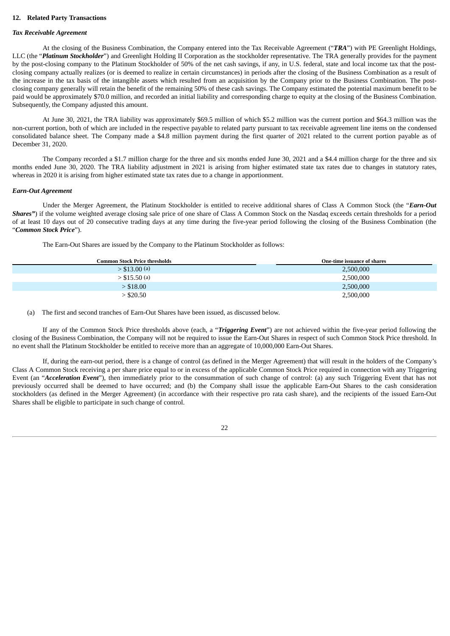#### **12. Related Party Transactions**

#### *Tax Receivable Agreement*

At the closing of the Business Combination, the Company entered into the Tax Receivable Agreement ("*TRA*") with PE Greenlight Holdings, LLC (the "*Platinum Stockholder*") and Greenlight Holding II Corporation as the stockholder representative. The TRA generally provides for the payment by the post-closing company to the Platinum Stockholder of 50% of the net cash savings, if any, in U.S. federal, state and local income tax that the postclosing company actually realizes (or is deemed to realize in certain circumstances) in periods after the closing of the Business Combination as a result of the increase in the tax basis of the intangible assets which resulted from an acquisition by the Company prior to the Business Combination. The postclosing company generally will retain the benefit of the remaining 50% of these cash savings. The Company estimated the potential maximum benefit to be paid would be approximately \$70.0 million, and recorded an initial liability and corresponding charge to equity at the closing of the Business Combination. Subsequently, the Company adjusted this amount.

At June 30, 2021, the TRA liability was approximately \$69.5 million of which \$5.2 million was the current portion and \$64.3 million was the non-current portion, both of which are included in the respective payable to related party pursuant to tax receivable agreement line items on the condensed consolidated balance sheet. The Company made a \$4.8 million payment during the first quarter of 2021 related to the current portion payable as of December 31, 2020.

The Company recorded a \$1.7 million charge for the three and six months ended June 30, 2021 and a \$4.4 million charge for the three and six months ended June 30, 2020. The TRA liability adjustment in 2021 is arising from higher estimated state tax rates due to changes in statutory rates, whereas in 2020 it is arising from higher estimated state tax rates due to a change in apportionment.

#### *Earn-Out Agreement*

Under the Merger Agreement, the Platinum Stockholder is entitled to receive additional shares of Class A Common Stock (the "*Earn-Out Shares"*) if the volume weighted average closing sale price of one share of Class A Common Stock on the Nasdaq exceeds certain thresholds for a period of at least 10 days out of 20 consecutive trading days at any time during the five-year period following the closing of the Business Combination (the "*Common Stock Price*").

The Earn-Out Shares are issued by the Company to the Platinum Stockholder as follows:

| <b>Common Stock Price thresholds</b> | One-time issuance of shares |
|--------------------------------------|-----------------------------|
| $> $13.00$ (a)                       | 2,500,000                   |
| $> $15.50$ (a)                       | 2,500,000                   |
| > \$18.00                            | 2,500,000                   |
| 820.50 >                             | 2,500,000                   |

(a) The first and second tranches of Earn-Out Shares have been issued, as discussed below.

If any of the Common Stock Price thresholds above (each, a "*Triggering Event*") are not achieved within the five-year period following the closing of the Business Combination, the Company will not be required to issue the Earn-Out Shares in respect of such Common Stock Price threshold. In no event shall the Platinum Stockholder be entitled to receive more than an aggregate of 10,000,000 Earn-Out Shares.

If, during the earn-out period, there is a change of control (as defined in the Merger Agreement) that will result in the holders of the Company's Class A Common Stock receiving a per share price equal to or in excess of the applicable Common Stock Price required in connection with any Triggering Event (an "*Acceleration Event*"), then immediately prior to the consummation of such change of control: (a) any such Triggering Event that has not previously occurred shall be deemed to have occurred; and (b) the Company shall issue the applicable Earn-Out Shares to the cash consideration stockholders (as defined in the Merger Agreement) (in accordance with their respective pro rata cash share), and the recipients of the issued Earn-Out Shares shall be eligible to participate in such change of control.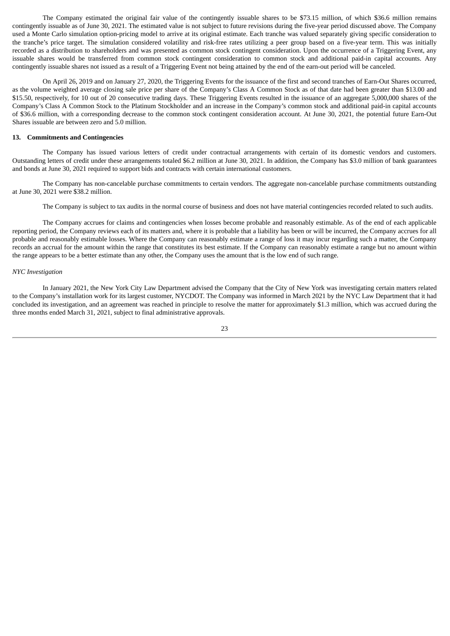The Company estimated the original fair value of the contingently issuable shares to be \$73.15 million, of which \$36.6 million remains contingently issuable as of June 30, 2021. The estimated value is not subject to future revisions during the five-year period discussed above. The Company used a Monte Carlo simulation option-pricing model to arrive at its original estimate. Each tranche was valued separately giving specific consideration to the tranche's price target. The simulation considered volatility and risk-free rates utilizing a peer group based on a five-year term. This was initially recorded as a distribution to shareholders and was presented as common stock contingent consideration. Upon the occurrence of a Triggering Event, any issuable shares would be transferred from common stock contingent consideration to common stock and additional paid-in capital accounts. Any contingently issuable shares not issued as a result of a Triggering Event not being attained by the end of the earn-out period will be canceled.

On April 26, 2019 and on January 27, 2020, the Triggering Events for the issuance of the first and second tranches of Earn-Out Shares occurred, as the volume weighted average closing sale price per share of the Company's Class A Common Stock as of that date had been greater than \$13.00 and \$15.50, respectively, for 10 out of 20 consecutive trading days. These Triggering Events resulted in the issuance of an aggregate 5,000,000 shares of the Company's Class A Common Stock to the Platinum Stockholder and an increase in the Company's common stock and additional paid-in capital accounts of \$36.6 million, with a corresponding decrease to the common stock contingent consideration account. At June 30, 2021, the potential future Earn-Out Shares issuable are between zero and 5.0 million.

# **13. Commitments and Contingencies**

The Company has issued various letters of credit under contractual arrangements with certain of its domestic vendors and customers. Outstanding letters of credit under these arrangements totaled \$6.2 million at June 30, 2021. In addition, the Company has \$3.0 million of bank guarantees and bonds at June 30, 2021 required to support bids and contracts with certain international customers.

The Company has non-cancelable purchase commitments to certain vendors. The aggregate non-cancelable purchase commitments outstanding at June 30, 2021 were \$38.2 million.

The Company is subject to tax audits in the normal course of business and does not have material contingencies recorded related to such audits.

The Company accrues for claims and contingencies when losses become probable and reasonably estimable. As of the end of each applicable reporting period, the Company reviews each of its matters and, where it is probable that a liability has been or will be incurred, the Company accrues for all probable and reasonably estimable losses. Where the Company can reasonably estimate a range of loss it may incur regarding such a matter, the Company records an accrual for the amount within the range that constitutes its best estimate. If the Company can reasonably estimate a range but no amount within the range appears to be a better estimate than any other, the Company uses the amount that is the low end of such range.

#### *NYC Investigation*

In January 2021, the New York City Law Department advised the Company that the City of New York was investigating certain matters related to the Company's installation work for its largest customer, NYCDOT. The Company was informed in March 2021 by the NYC Law Department that it had concluded its investigation, and an agreement was reached in principle to resolve the matter for approximately \$1.3 million, which was accrued during the three months ended March 31, 2021, subject to final administrative approvals.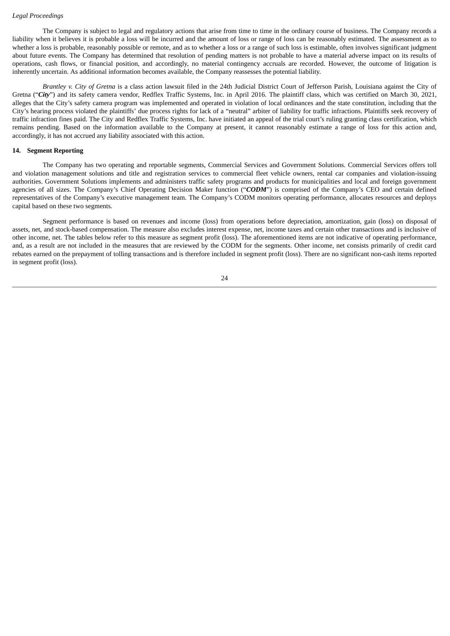The Company is subject to legal and regulatory actions that arise from time to time in the ordinary course of business. The Company records a liability when it believes it is probable a loss will be incurred and the amount of loss or range of loss can be reasonably estimated. The assessment as to whether a loss is probable, reasonably possible or remote, and as to whether a loss or a range of such loss is estimable, often involves significant judgment about future events. The Company has determined that resolution of pending matters is not probable to have a material adverse impact on its results of operations, cash flows, or financial position, and accordingly, no material contingency accruals are recorded. However, the outcome of litigation is inherently uncertain. As additional information becomes available, the Company reassesses the potential liability.

*Brantley v. City of Gretna* is a class action lawsuit filed in the 24th Judicial District Court of Jefferson Parish, Louisiana against the City of Gretna ("*City*") and its safety camera vendor, Redflex Traffic Systems, Inc. in April 2016. The plaintiff class, which was certified on March 30, 2021, alleges that the City's safety camera program was implemented and operated in violation of local ordinances and the state constitution, including that the City's hearing process violated the plaintiffs' due process rights for lack of a "neutral" arbiter of liability for traffic infractions. Plaintiffs seek recovery of traffic infraction fines paid. The City and Redflex Traffic Systems, Inc. have initiated an appeal of the trial court's ruling granting class certification, which remains pending. Based on the information available to the Company at present, it cannot reasonably estimate a range of loss for this action and, accordingly, it has not accrued any liability associated with this action.

#### **14. Segment Reporting**

The Company has two operating and reportable segments, Commercial Services and Government Solutions. Commercial Services offers toll and violation management solutions and title and registration services to commercial fleet vehicle owners, rental car companies and violation-issuing authorities. Government Solutions implements and administers traffic safety programs and products for municipalities and local and foreign government agencies of all sizes. The Company's Chief Operating Decision Maker function ("*CODM*") is comprised of the Company's CEO and certain defined representatives of the Company's executive management team. The Company's CODM monitors operating performance, allocates resources and deploys capital based on these two segments.

Segment performance is based on revenues and income (loss) from operations before depreciation, amortization, gain (loss) on disposal of assets, net, and stock-based compensation. The measure also excludes interest expense, net, income taxes and certain other transactions and is inclusive of other income, net. The tables below refer to this measure as segment profit (loss). The aforementioned items are not indicative of operating performance, and, as a result are not included in the measures that are reviewed by the CODM for the segments. Other income, net consists primarily of credit card rebates earned on the prepayment of tolling transactions and is therefore included in segment profit (loss). There are no significant non-cash items reported in segment profit (loss).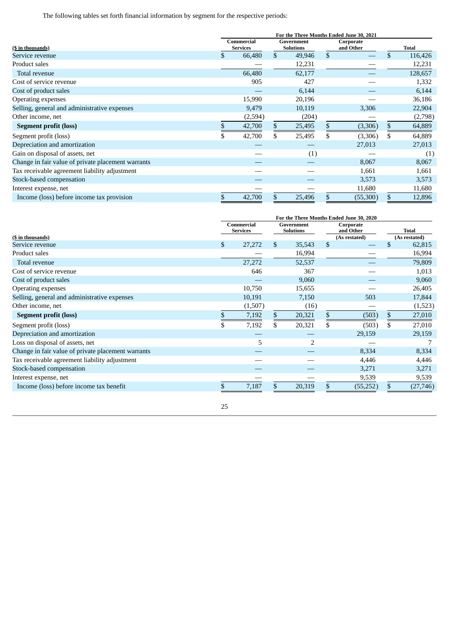The following tables set forth financial information by segment for the respective periods:

|                                                    | For the Three Months Ended June 30, 2021 |    |                                |              |                        |    |              |  |  |  |  |  |
|----------------------------------------------------|------------------------------------------|----|--------------------------------|--------------|------------------------|----|--------------|--|--|--|--|--|
| (\$ in thousands)                                  | Commercial<br><b>Services</b>            |    | Government<br><b>Solutions</b> |              | Corporate<br>and Other |    | <b>Total</b> |  |  |  |  |  |
| Service revenue                                    | \$<br>66,480                             | \$ | 49,946                         | $\mathbb{S}$ |                        |    | 116,426      |  |  |  |  |  |
| Product sales                                      |                                          |    | 12,231                         |              |                        |    | 12,231       |  |  |  |  |  |
| Total revenue                                      | 66,480                                   |    | 62,177                         |              |                        |    | 128,657      |  |  |  |  |  |
| Cost of service revenue                            | 905                                      |    | 427                            |              |                        |    | 1,332        |  |  |  |  |  |
| Cost of product sales                              |                                          |    | 6,144                          |              |                        |    | 6,144        |  |  |  |  |  |
| <b>Operating expenses</b>                          | 15,990                                   |    | 20,196                         |              |                        |    | 36,186       |  |  |  |  |  |
| Selling, general and administrative expenses       | 9,479                                    |    | 10,119                         |              | 3,306                  |    | 22,904       |  |  |  |  |  |
| Other income, net                                  | (2,594)                                  |    | (204)                          |              |                        |    | (2,798)      |  |  |  |  |  |
| Segment profit (loss)                              | 42,700                                   | \$ | 25,495                         | \$           | (3,306)                | \$ | 64,889       |  |  |  |  |  |
| Segment profit (loss)                              | \$<br>42,700                             | \$ | 25,495                         | \$           | (3,306)                | \$ | 64,889       |  |  |  |  |  |
| Depreciation and amortization                      |                                          |    |                                |              | 27,013                 |    | 27,013       |  |  |  |  |  |
| Gain on disposal of assets, net                    |                                          |    | (1)                            |              |                        |    | (1)          |  |  |  |  |  |
| Change in fair value of private placement warrants |                                          |    |                                |              | 8,067                  |    | 8,067        |  |  |  |  |  |
| Tax receivable agreement liability adjustment      |                                          |    |                                |              | 1,661                  |    | 1,661        |  |  |  |  |  |
| Stock-based compensation                           |                                          |    |                                |              | 3,573                  |    | 3,573        |  |  |  |  |  |
| Interest expense, net                              |                                          |    |                                |              | 11,680                 |    | 11,680       |  |  |  |  |  |
| Income (loss) before income tax provision          | 42,700                                   | \$ | 25,496                         | \$           | (55,300)               |    | 12,896       |  |  |  |  |  |

|                                                    | For the Three Months Ended June 30, 2020 |                               |    |                                |                |                        |    |               |  |  |  |
|----------------------------------------------------|------------------------------------------|-------------------------------|----|--------------------------------|----------------|------------------------|----|---------------|--|--|--|
|                                                    |                                          | Commercial<br><b>Services</b> |    | Government<br><b>Solutions</b> |                | Corporate<br>and Other |    | Total         |  |  |  |
| (\$ in thousands)                                  |                                          |                               |    |                                |                | (As restated)          |    | (As restated) |  |  |  |
| Service revenue                                    | \$                                       | 27,272                        | \$ | 35,543                         | $\mathfrak{S}$ |                        | \$ | 62,815        |  |  |  |
| Product sales                                      |                                          |                               |    | 16,994                         |                |                        |    | 16,994        |  |  |  |
| Total revenue                                      |                                          | 27,272                        |    | 52,537                         |                |                        |    | 79,809        |  |  |  |
| Cost of service revenue                            |                                          | 646                           |    | 367                            |                |                        |    | 1,013         |  |  |  |
| Cost of product sales                              |                                          |                               |    | 9,060                          |                |                        |    | 9,060         |  |  |  |
| <b>Operating expenses</b>                          |                                          | 10,750                        |    | 15,655                         |                |                        |    | 26,405        |  |  |  |
| Selling, general and administrative expenses       |                                          | 10,191                        |    | 7,150                          |                | 503                    |    | 17,844        |  |  |  |
| Other income, net                                  |                                          | (1,507)                       |    | (16)                           |                |                        |    | (1,523)       |  |  |  |
| <b>Segment profit (loss)</b>                       |                                          | 7,192                         | \$ | 20,321                         | \$             | (503)                  | \$ | 27,010        |  |  |  |
| Segment profit (loss)                              |                                          | 7,192                         | \$ | 20,321                         | \$             | (503)                  | \$ | 27,010        |  |  |  |
| Depreciation and amortization                      |                                          |                               |    |                                |                | 29,159                 |    | 29,159        |  |  |  |
| Loss on disposal of assets, net                    |                                          | 5                             |    | $\overline{2}$                 |                |                        |    |               |  |  |  |
| Change in fair value of private placement warrants |                                          |                               |    |                                |                | 8,334                  |    | 8,334         |  |  |  |
| Tax receivable agreement liability adjustment      |                                          |                               |    |                                |                | 4,446                  |    | 4,446         |  |  |  |
| Stock-based compensation                           |                                          |                               |    |                                |                | 3,271                  |    | 3,271         |  |  |  |
| Interest expense, net                              |                                          |                               |    |                                |                | 9,539                  |    | 9,539         |  |  |  |
| Income (loss) before income tax benefit            |                                          | 7,187                         | \$ | 20,319                         | \$             | (55,252)               |    | (27, 746)     |  |  |  |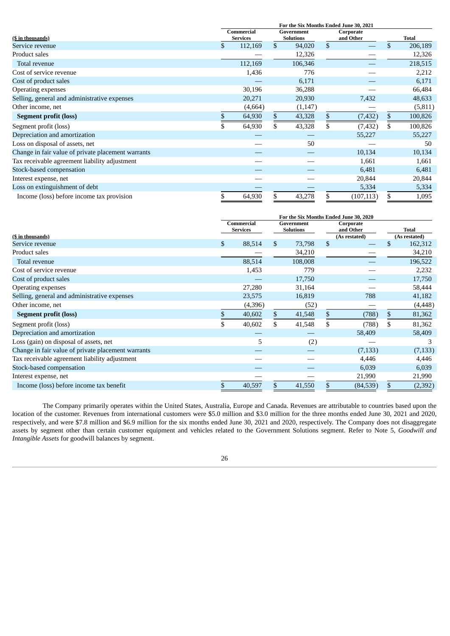|                                                    | For the Six Months Ended June 30, 2021 |    |                                |              |                        |    |              |  |  |  |  |  |
|----------------------------------------------------|----------------------------------------|----|--------------------------------|--------------|------------------------|----|--------------|--|--|--|--|--|
| (\$ in thousands)                                  | Commercial<br><b>Services</b>          |    | Government<br><b>Solutions</b> |              | Corporate<br>and Other |    | <b>Total</b> |  |  |  |  |  |
| Service revenue                                    | 112,169                                | \$ | 94,020                         | $\mathbb{S}$ |                        | \$ | 206,189      |  |  |  |  |  |
| Product sales                                      |                                        |    | 12,326                         |              |                        |    | 12,326       |  |  |  |  |  |
| Total revenue                                      | 112,169                                |    | 106,346                        |              |                        |    | 218,515      |  |  |  |  |  |
| Cost of service revenue                            | 1,436                                  |    | 776                            |              |                        |    | 2,212        |  |  |  |  |  |
| Cost of product sales                              |                                        |    | 6,171                          |              |                        |    | 6,171        |  |  |  |  |  |
| <b>Operating expenses</b>                          | 30,196                                 |    | 36,288                         |              |                        |    | 66,484       |  |  |  |  |  |
| Selling, general and administrative expenses       | 20,271                                 |    | 20,930                         |              | 7,432                  |    | 48,633       |  |  |  |  |  |
| Other income, net                                  | (4, 664)                               |    | (1, 147)                       |              |                        |    | (5, 811)     |  |  |  |  |  |
| Segment profit (loss)                              | 64,930                                 | \$ | 43,328                         | \$           | (7, 432)               | \$ | 100,826      |  |  |  |  |  |
| Segment profit (loss)                              | \$<br>64,930                           | \$ | 43,328                         | \$           | (7, 432)               | \$ | 100,826      |  |  |  |  |  |
| Depreciation and amortization                      |                                        |    |                                |              | 55,227                 |    | 55,227       |  |  |  |  |  |
| Loss on disposal of assets, net                    |                                        |    | 50                             |              |                        |    | 50           |  |  |  |  |  |
| Change in fair value of private placement warrants |                                        |    |                                |              | 10,134                 |    | 10,134       |  |  |  |  |  |
| Tax receivable agreement liability adjustment      |                                        |    |                                |              | 1,661                  |    | 1,661        |  |  |  |  |  |
| Stock-based compensation                           |                                        |    |                                |              | 6,481                  |    | 6,481        |  |  |  |  |  |
| Interest expense, net                              |                                        |    |                                |              | 20,844                 |    | 20,844       |  |  |  |  |  |
| Loss on extinguishment of debt                     |                                        |    |                                |              | 5,334                  |    | 5,334        |  |  |  |  |  |
| Income (loss) before income tax provision          | \$<br>64,930                           | \$ | 43,278                         | \$           | (107, 113)             | \$ | 1,095        |  |  |  |  |  |

|                                                    |                               |                                |                        | For the Six Months Ended June 30, 2020 |    |               |
|----------------------------------------------------|-------------------------------|--------------------------------|------------------------|----------------------------------------|----|---------------|
|                                                    | Commercial<br><b>Services</b> | Government<br><b>Solutions</b> | Corporate<br>and Other |                                        |    | <b>Total</b>  |
| (\$ in thousands)                                  |                               |                                |                        | (As restated)                          |    | (As restated) |
| Service revenue                                    | \$<br>88,514                  | \$<br>73,798                   | $\mathbb{S}$           |                                        | \$ | 162,312       |
| Product sales                                      |                               | 34,210                         |                        |                                        |    | 34,210        |
| Total revenue                                      | 88,514                        | 108,008                        |                        |                                        |    | 196,522       |
| Cost of service revenue                            | 1,453                         | 779                            |                        |                                        |    | 2,232         |
| Cost of product sales                              |                               | 17,750                         |                        |                                        |    | 17,750        |
| <b>Operating expenses</b>                          | 27,280                        | 31,164                         |                        |                                        |    | 58,444        |
| Selling, general and administrative expenses       | 23,575                        | 16,819                         |                        | 788                                    |    | 41,182        |
| Other income, net                                  | (4,396)                       | (52)                           |                        |                                        |    | (4, 448)      |
| Segment profit (loss)                              | 40,602                        | \$<br>41,548                   | \$                     | (788)                                  | S  | 81,362        |
| Segment profit (loss)                              | 40,602                        | \$<br>41,548                   |                        | (788)                                  |    | 81,362        |
| Depreciation and amortization                      |                               |                                |                        | 58,409                                 |    | 58,409        |
| Loss (gain) on disposal of assets, net             | 5                             | (2)                            |                        |                                        |    | 3             |
| Change in fair value of private placement warrants |                               |                                |                        | (7, 133)                               |    | (7, 133)      |
| Tax receivable agreement liability adjustment      |                               |                                |                        | 4,446                                  |    | 4,446         |
| Stock-based compensation                           |                               |                                |                        | 6,039                                  |    | 6,039         |
| Interest expense, net                              |                               |                                |                        | 21,990                                 |    | 21,990        |
| Income (loss) before income tax benefit            | 40,597                        | \$<br>41,550                   | \$                     | (84, 539)                              |    | (2, 392)      |

The Company primarily operates within the United States, Australia, Europe and Canada. Revenues are attributable to countries based upon the location of the customer. Revenues from international customers were \$5.0 million and \$3.0 million for the three months ended June 30, 2021 and 2020, respectively, and were \$7.8 million and \$6.9 million for the six months ended June 30, 2021 and 2020, respectively. The Company does not disaggregate assets by segment other than certain customer equipment and vehicles related to the Government Solutions segment. Refer to Note 5, *Goodwill and Intangible Assets* for goodwill balances by segment.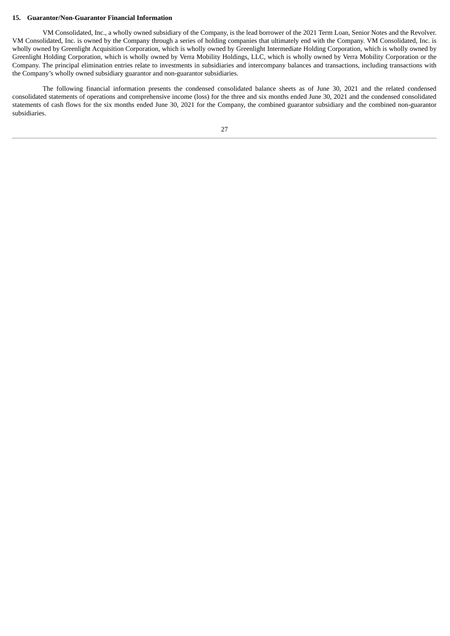#### **15. Guarantor/Non-Guarantor Financial Information**

VM Consolidated, Inc., a wholly owned subsidiary of the Company, is the lead borrower of the 2021 Term Loan, Senior Notes and the Revolver. VM Consolidated, Inc. is owned by the Company through a series of holding companies that ultimately end with the Company. VM Consolidated, Inc. is wholly owned by Greenlight Acquisition Corporation, which is wholly owned by Greenlight Intermediate Holding Corporation, which is wholly owned by Greenlight Holding Corporation, which is wholly owned by Verra Mobility Holdings, LLC, which is wholly owned by Verra Mobility Corporation or the Company. The principal elimination entries relate to investments in subsidiaries and intercompany balances and transactions, including transactions with the Company's wholly owned subsidiary guarantor and non-guarantor subsidiaries.

The following financial information presents the condensed consolidated balance sheets as of June 30, 2021 and the related condensed consolidated statements of operations and comprehensive income (loss) for the three and six months ended June 30, 2021 and the condensed consolidated statements of cash flows for the six months ended June 30, 2021 for the Company, the combined guarantor subsidiary and the combined non-guarantor subsidiaries.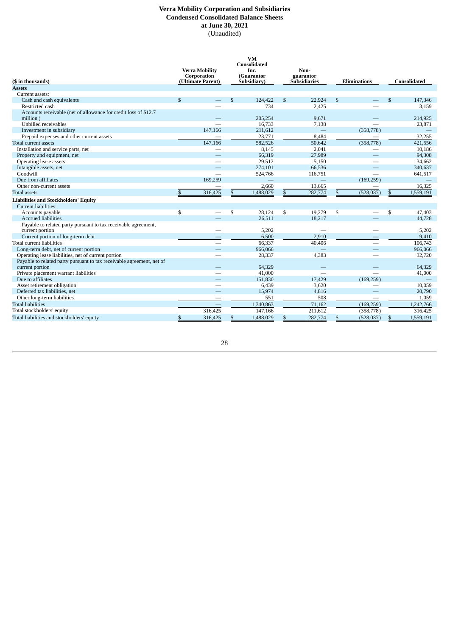# **Verra Mobility Corporation and Subsidiaries Condensed Consolidated Balance Sheets at June 30, 2021** (Unaudited)

| (\$ in thousands)                                                           | <b>VM</b><br>Consolidated<br><b>Verra Mobility</b><br>Inc.<br>Corporation<br>(Guarantor<br>(Ultimate Parent)<br>Subsidiary) |              |           |              | Non-<br>guarantor<br><b>Subsidiaries</b> |              | <b>Eliminations</b>      |     | <b>Consolidated</b> |
|-----------------------------------------------------------------------------|-----------------------------------------------------------------------------------------------------------------------------|--------------|-----------|--------------|------------------------------------------|--------------|--------------------------|-----|---------------------|
| <b>Assets</b>                                                               |                                                                                                                             |              |           |              |                                          |              |                          |     |                     |
| Current assets:                                                             |                                                                                                                             |              |           |              |                                          |              |                          |     |                     |
| Cash and cash equivalents                                                   | \$                                                                                                                          | \$           | 124,422   | \$           | 22,924                                   | $\mathbb{S}$ |                          | \$. | 147,346             |
| Restricted cash                                                             |                                                                                                                             |              | 734       |              | 2,425                                    |              |                          |     | 3,159               |
| Accounts receivable (net of allowance for credit loss of \$12.7<br>million) |                                                                                                                             |              | 205,254   |              | 9,671                                    |              |                          |     | 214.925             |
| Unbilled receivables                                                        |                                                                                                                             |              | 16,733    |              | 7,138                                    |              | $\overline{\phantom{0}}$ |     | 23,871              |
| Investment in subsidiary                                                    | 147,166                                                                                                                     |              | 211,612   |              |                                          |              | (358, 778)               |     |                     |
| Prepaid expenses and other current assets                                   |                                                                                                                             |              | 23,771    |              | 8,484                                    |              |                          |     | 32,255              |
| <b>Total current assets</b>                                                 | 147,166                                                                                                                     |              | 582,526   |              | 50.642                                   |              | (358, 778)               |     | 421.556             |
| Installation and service parts, net                                         | $\overline{\phantom{0}}$                                                                                                    |              | 8,145     |              | 2.041                                    |              |                          |     | 10,186              |
| Property and equipment, net                                                 |                                                                                                                             |              | 66,319    |              | 27,989                                   |              |                          |     | 94,308              |
| Operating lease assets                                                      | $\sim$                                                                                                                      |              | 29,512    |              | 5,150                                    |              |                          |     | 34,662              |
| Intangible assets, net                                                      |                                                                                                                             |              | 274,101   |              | 66,536                                   |              |                          |     | 340,637             |
| Goodwill                                                                    | $\overline{\phantom{0}}$                                                                                                    |              | 524,766   |              | 116,751                                  |              | $\overline{\phantom{0}}$ |     | 641,517             |
| Due from affiliates                                                         | 169,259                                                                                                                     |              |           |              |                                          |              | (169, 259)               |     |                     |
| Other non-current assets                                                    |                                                                                                                             |              | 2,660     |              | 13,665                                   |              |                          |     | 16,325              |
| <b>Total assets</b>                                                         | \$<br>316,425                                                                                                               | $\mathbb{S}$ | 1,488,029 | $\mathbb{S}$ | 282,774                                  | \$           | (528, 037)               | \$  | 1,559,191           |
| <b>Liabilities and Stockholders' Equity</b>                                 |                                                                                                                             |              |           |              |                                          |              |                          |     |                     |
| Current liabilities:                                                        |                                                                                                                             |              |           |              |                                          |              |                          |     |                     |
| Accounts payable                                                            | \$<br>$\overline{\phantom{0}}$                                                                                              | \$           | 28,124    | \$           | 19,279                                   | \$           | $\overline{\phantom{0}}$ | \$  | 47,403              |
| <b>Accrued liabilities</b>                                                  |                                                                                                                             |              | 26,511    |              | 18,217                                   |              |                          |     | 44,728              |
| Payable to related party pursuant to tax receivable agreement,              |                                                                                                                             |              |           |              |                                          |              |                          |     |                     |
| current portion                                                             |                                                                                                                             |              | 5,202     |              |                                          |              |                          |     | 5,202               |
| Current portion of long-term debt                                           |                                                                                                                             |              | 6,500     |              | 2,910                                    |              |                          |     | 9,410               |
| Total current liabilities                                                   |                                                                                                                             |              | 66,337    |              | 40,406                                   |              |                          |     | 106,743             |
| Long-term debt, net of current portion                                      |                                                                                                                             |              | 966,066   |              |                                          |              |                          |     | 966.066             |
| Operating lease liabilities, net of current portion                         | $\overline{\phantom{0}}$                                                                                                    |              | 28,337    |              | 4,383                                    |              | $\overline{\phantom{0}}$ |     | 32,720              |
| Payable to related party pursuant to tax receivable agreement, net of       |                                                                                                                             |              |           |              |                                          |              |                          |     |                     |
| current portion                                                             |                                                                                                                             |              | 64.329    |              |                                          |              |                          |     | 64.329              |
| Private placement warrant liabilities                                       |                                                                                                                             |              | 41,000    |              | $\overline{\phantom{a}}$                 |              |                          |     | 41,000              |
| Due to affiliates                                                           |                                                                                                                             |              | 151,830   |              | 17,429                                   |              | (169, 259)               |     |                     |
| Asset retirement obligation                                                 |                                                                                                                             |              | 6,439     |              | 3,620                                    |              | $\overline{\phantom{0}}$ |     | 10,059              |
| Deferred tax liabilities, net                                               |                                                                                                                             |              | 15,974    |              | 4,816                                    |              |                          |     | 20,790              |
| Other long-term liabilities                                                 | —                                                                                                                           |              | 551       |              | 508                                      |              |                          |     | 1,059               |
| <b>Total liabilities</b>                                                    |                                                                                                                             |              | 1,340,863 |              | 71,162                                   |              | (169, 259)               |     | 1,242,766           |
| Total stockholders' equity                                                  | 316,425                                                                                                                     |              | 147,166   |              | 211,612                                  |              | (358, 778)               |     | 316,425             |
| Total liabilities and stockholders' equity                                  | \$<br>316,425                                                                                                               | \$           | 1,488,029 | \$           | 282,774                                  | \$           | (528, 037)               | \$  | 1,559,191           |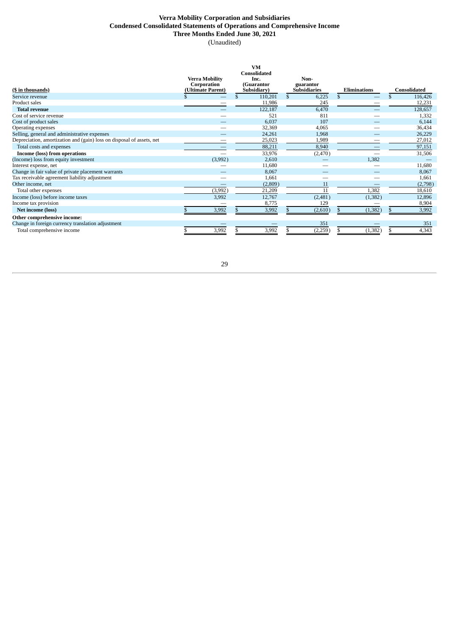# **Verra Mobility Corporation and Subsidiaries Condensed Consolidated Statements of Operations and Comprehensive Income Three Months Ended June 30, 2021** (Unaudited)

|                                                                       |                                        | <b>VM</b><br>Consolidated |                                  |                     |              |
|-----------------------------------------------------------------------|----------------------------------------|---------------------------|----------------------------------|---------------------|--------------|
|                                                                       | <b>Verra Mobility</b>                  | Inc.                      | Non-                             |                     |              |
| (\$ in thousands)                                                     | Corporation<br><b>Ultimate Parent)</b> | (Guarantor<br>Subsidiary) | guarantor<br><b>Subsidiaries</b> | <b>Eliminations</b> | Consolidated |
| Service revenue                                                       |                                        | 110,201                   | \$<br>6,225                      |                     | 116,426      |
| Product sales                                                         |                                        | 11,986                    | 245                              |                     | 12,231       |
| <b>Total revenue</b>                                                  |                                        | 122,187                   | 6,470                            |                     | 128,657      |
| Cost of service revenue                                               |                                        | 521                       | 811                              |                     | 1,332        |
| Cost of product sales                                                 |                                        | 6,037                     | 107                              |                     | 6,144        |
| <b>Operating expenses</b>                                             |                                        | 32,369                    | 4,065                            |                     | 36,434       |
| Selling, general and administrative expenses                          |                                        | 24,261                    | 1,968                            |                     | 26,229       |
| Depreciation, amortization and (gain) loss on disposal of assets, net |                                        | 25,023                    | 1,989                            |                     | 27,012       |
| Total costs and expenses                                              |                                        | 88,211                    | 8,940                            |                     | 97,151       |
| Income (loss) from operations                                         |                                        | 33,976                    | (2,470)                          |                     | 31,506       |
| (Income) loss from equity investment                                  | (3,992)                                | 2,610                     |                                  | 1,382               |              |
| Interest expense, net                                                 |                                        | 11,680                    |                                  |                     | 11,680       |
| Change in fair value of private placement warrants                    |                                        | 8,067                     |                                  |                     | 8,067        |
| Tax receivable agreement liability adjustment                         |                                        | 1,661                     |                                  |                     | 1,661        |
| Other income, net                                                     |                                        | (2,809)                   | 11                               |                     | (2,798)      |
| Total other expenses                                                  | (3,992)                                | 21,209                    | 11                               | 1,382               | 18,610       |
| Income (loss) before income taxes                                     | 3,992                                  | 12,767                    | (2,481)                          | (1,382)             | 12,896       |
| Income tax provision                                                  |                                        | 8,775                     | 129                              |                     | 8,904        |
| Net income (loss)                                                     | 3,992                                  | 3,992                     | (2,610)                          | (1, 382)            | 3,992        |
| Other comprehensive income:                                           |                                        |                           |                                  |                     |              |
| Change in foreign currency translation adjustment                     |                                        |                           | 351                              |                     | 351          |
| Total comprehensive income                                            | 3,992                                  | 3,992                     | (2,259)                          | (1, 382)            | 4,343        |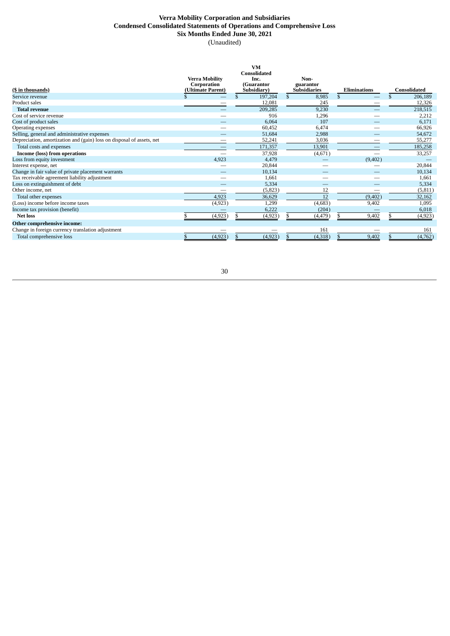# **Verra Mobility Corporation and Subsidiaries Condensed Consolidated Statements of Operations and Comprehensive Loss Six Months Ended June 30, 2021** (Unaudited)

| (\$ in thousands)                                                     | <b>Verra Mobility</b><br>Corporation<br>(Ultimate Parent) |    | <b>VM</b><br>Consolidated<br>Non-<br>Inc.<br>(Guarantor<br>guarantor<br>Subsidiary)<br><b>Subsidiaries</b> |    |          | <b>Eliminations</b> | Consolidated |
|-----------------------------------------------------------------------|-----------------------------------------------------------|----|------------------------------------------------------------------------------------------------------------|----|----------|---------------------|--------------|
| Service revenue                                                       |                                                           |    | 197,204                                                                                                    | \$ | 8,985    | \$                  | 206,189      |
| Product sales                                                         |                                                           |    | 12,081                                                                                                     |    | 245      |                     | 12,326       |
| <b>Total revenue</b>                                                  |                                                           |    | 209,285                                                                                                    |    | 9,230    |                     | 218,515      |
| Cost of service revenue                                               |                                                           |    | 916                                                                                                        |    | 1,296    |                     | 2,212        |
| Cost of product sales                                                 |                                                           |    | 6,064                                                                                                      |    | 107      |                     | 6,171        |
| Operating expenses                                                    |                                                           |    | 60,452                                                                                                     |    | 6,474    |                     | 66,926       |
| Selling, general and administrative expenses                          |                                                           |    | 51,684                                                                                                     |    | 2,988    |                     | 54,672       |
| Depreciation, amortization and (gain) loss on disposal of assets, net |                                                           |    | 52,241                                                                                                     |    | 3,036    |                     | 55,277       |
| Total costs and expenses                                              |                                                           |    | 171,357                                                                                                    |    | 13,901   |                     | 185,258      |
| Income (loss) from operations                                         |                                                           |    | 37,928                                                                                                     |    | (4,671)  |                     | 33,257       |
| Loss from equity investment                                           | 4,923                                                     |    | 4,479                                                                                                      |    |          | (9,402)             |              |
| Interest expense, net                                                 |                                                           |    | 20,844                                                                                                     |    |          |                     | 20,844       |
| Change in fair value of private placement warrants                    |                                                           |    | 10,134                                                                                                     |    |          |                     | 10,134       |
| Tax receivable agreement liability adjustment                         |                                                           |    | 1,661                                                                                                      |    |          |                     | 1,661        |
| Loss on extinguishment of debt                                        |                                                           |    | 5,334                                                                                                      |    |          |                     | 5,334        |
| Other income, net                                                     |                                                           |    | (5,823)                                                                                                    |    | 12       |                     | (5, 811)     |
| Total other expenses                                                  | 4,923                                                     |    | 36,629                                                                                                     |    | 12       | (9,402)             | 32,162       |
| (Loss) income before income taxes                                     | (4, 923)                                                  |    | 1,299                                                                                                      |    | (4,683)  | 9,402               | 1,095        |
| Income tax provision (benefit)                                        |                                                           |    | 6,222                                                                                                      |    | (204)    |                     | 6,018        |
| <b>Net loss</b>                                                       | (4, 923)                                                  |    | (4,923)                                                                                                    |    | (4, 479) | 9,402               | (4,923)      |
| Other comprehensive income:                                           |                                                           |    |                                                                                                            |    |          |                     |              |
| Change in foreign currency translation adjustment                     |                                                           |    |                                                                                                            |    | 161      |                     | 161          |
| Total comprehensive loss                                              | \$<br>(4, 923)                                            | \$ | (4,923)                                                                                                    | \$ | (4,318)  | \$<br>9,402         | (4,762)      |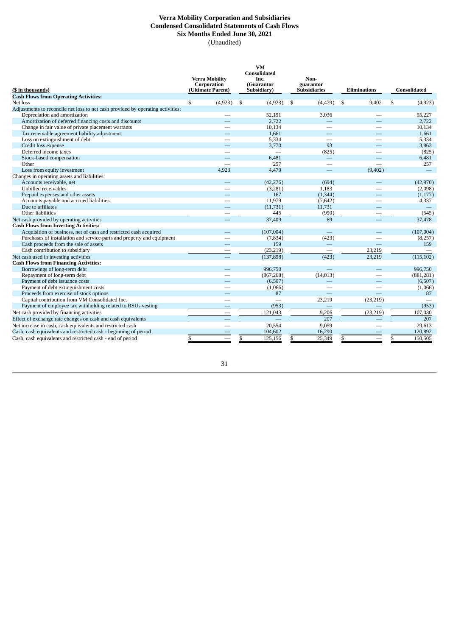# **Verra Mobility Corporation and Subsidiaries Condensed Consolidated Statements of Cash Flows Six Months Ended June 30, 2021** (Unaudited)

| (\$ in thousands)                                                               | <b>Verra Mobility</b><br>Corporation<br>(Ultimate Parent) | <b>VM</b><br><b>Consolidated</b><br>Inc.<br>(Guarantor<br>Subsidiary) | Non-<br>guarantor<br><b>Subsidiaries</b> | <b>Eliminations</b> | Consolidated             |               |
|---------------------------------------------------------------------------------|-----------------------------------------------------------|-----------------------------------------------------------------------|------------------------------------------|---------------------|--------------------------|---------------|
| <b>Cash Flows from Operating Activities:</b>                                    |                                                           |                                                                       |                                          |                     |                          |               |
| Net loss                                                                        | \$<br>(4,923)                                             | \$<br>(4,923)                                                         | \$<br>(4, 479)                           | \$                  | 9,402                    | \$<br>(4,923) |
| Adjustments to reconcile net loss to net cash provided by operating activities: |                                                           |                                                                       |                                          |                     |                          |               |
| Depreciation and amortization                                                   |                                                           | 52,191                                                                | 3.036                                    |                     |                          | 55,227        |
| Amortization of deferred financing costs and discounts                          |                                                           | 2,722                                                                 |                                          |                     |                          | 2,722         |
| Change in fair value of private placement warrants                              |                                                           | 10,134                                                                |                                          |                     |                          | 10,134        |
| Tax receivable agreement liability adjustment                                   |                                                           | 1,661                                                                 |                                          |                     |                          | 1.661         |
| Loss on extinguishment of debt                                                  |                                                           | 5,334                                                                 |                                          |                     | $\overline{\phantom{0}}$ | 5,334         |
| Credit loss expense                                                             |                                                           | 3,770                                                                 | 93                                       |                     |                          | 3,863         |
| Deferred income taxes                                                           |                                                           | $\overline{\phantom{0}}$                                              | (825)                                    |                     |                          | (825)         |
| Stock-based compensation                                                        |                                                           | 6,481                                                                 | $\overline{\phantom{0}}$                 |                     |                          | 6,481         |
| Other                                                                           |                                                           | 257                                                                   |                                          |                     | $\overline{\phantom{0}}$ | 257           |
| Loss from equity investment                                                     | 4.923                                                     | 4,479                                                                 |                                          |                     | (9,402)                  |               |
| Changes in operating assets and liabilities:                                    |                                                           |                                                                       |                                          |                     |                          |               |
| Accounts receivable, net                                                        |                                                           | (42, 276)                                                             | (694)                                    |                     |                          | (42,970)      |
| Unbilled receivables                                                            |                                                           | (3,281)                                                               | 1,183                                    |                     |                          | (2,098)       |
| Prepaid expenses and other assets                                               |                                                           | 167                                                                   | (1,344)                                  |                     |                          | (1,177)       |
| Accounts payable and accrued liabilities                                        |                                                           | 11,979                                                                | (7,642)                                  |                     |                          | 4,337         |
| Due to affiliates                                                               |                                                           | (11, 731)                                                             | 11,731                                   |                     |                          |               |
| Other liabilities                                                               |                                                           | 445                                                                   | (990)                                    |                     |                          | (545)         |
| Net cash provided by operating activities                                       |                                                           | 37,409                                                                | 69                                       |                     |                          | 37,478        |
| <b>Cash Flows from Investing Activities:</b>                                    |                                                           |                                                                       |                                          |                     |                          |               |
| Acquisition of business, net of cash and restricted cash acquired               |                                                           | (107,004)                                                             | 二                                        |                     |                          | (107,004)     |
| Purchases of installation and service parts and property and equipment          |                                                           | (7, 834)                                                              | (423)                                    |                     |                          | (8,257)       |
| Cash proceeds from the sale of assets                                           |                                                           | 159                                                                   |                                          |                     |                          | 159           |
| Cash contribution to subsidiary                                                 |                                                           | (23, 219)                                                             |                                          |                     | 23,219                   |               |
| Net cash used in investing activities                                           |                                                           | (137, 898)                                                            | (423)                                    |                     | 23,219                   | (115, 102)    |
| <b>Cash Flows from Financing Activities:</b>                                    |                                                           |                                                                       |                                          |                     |                          |               |
| Borrowings of long-term debt                                                    |                                                           | 996,750                                                               |                                          |                     |                          | 996,750       |
| Repayment of long-term debt                                                     |                                                           | (867, 268)                                                            | (14, 013)                                |                     |                          | (881, 281)    |
| Payment of debt issuance costs                                                  |                                                           | (6,507)                                                               |                                          |                     |                          | (6,507)       |
| Payment of debt extinguishment costs                                            |                                                           | (1,066)                                                               |                                          |                     |                          | (1,066)       |
| Proceeds from exercise of stock options                                         |                                                           | 87                                                                    |                                          |                     |                          | 87            |
| Capital contribution from VM Consolidated Inc.                                  | $\sim$                                                    |                                                                       | 23,219                                   |                     | (23, 219)                |               |
| Payment of employee tax withholding related to RSUs vesting                     |                                                           | (953)                                                                 |                                          |                     |                          | (953)         |
| Net cash provided by financing activities                                       |                                                           | 121,043                                                               | 9,206                                    |                     | (23, 219)                | 107,030       |
| Effect of exchange rate changes on cash and cash equivalents                    | $\overline{\phantom{0}}$                                  |                                                                       | 207                                      |                     |                          | 207           |
| Net increase in cash, cash equivalents and restricted cash                      | $\overline{\phantom{0}}$                                  | 20.554                                                                | 9,059                                    |                     |                          | 29.613        |
| Cash, cash equivalents and restricted cash - beginning of period                |                                                           | 104,602                                                               | 16,290                                   |                     |                          | 120,892       |
| Cash, cash equivalents and restricted cash - end of period                      | \$<br>$\overline{\phantom{m}}$                            | \$<br>125,156                                                         | \$<br>25,349                             | \$                  |                          | \$<br>150,505 |

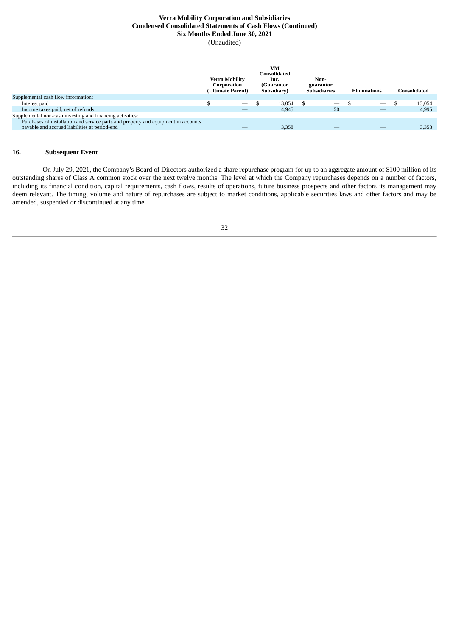# **Verra Mobility Corporation and Subsidiaries Condensed Consolidated Statements of Cash Flows (Continued) Six Months Ended June 30, 2021** (Unaudited)

|                                                                                                                                     | <b>Verra Mobility</b><br>Corporation<br>(Ultimate Parent) |                                 | <b>VM</b><br>Consolidated<br>Inc.<br><b>(Guarantor</b><br>Subsidiarv) | Non-<br>guarantor<br><b>Subsidiaries</b> | Eliminations |                   | Consolidated |
|-------------------------------------------------------------------------------------------------------------------------------------|-----------------------------------------------------------|---------------------------------|-----------------------------------------------------------------------|------------------------------------------|--------------|-------------------|--------------|
| Supplemental cash flow information:                                                                                                 |                                                           |                                 |                                                                       |                                          |              |                   |              |
| Interest paid                                                                                                                       |                                                           | $\hspace{0.1mm}-\hspace{0.1mm}$ | 13.054                                                                | $\hspace{0.05cm}$                        |              | $\hspace{0.05cm}$ | 13,054       |
| Income taxes paid, net of refunds                                                                                                   |                                                           |                                 | 4.945                                                                 | 50                                       |              |                   | 4.995        |
| Supplemental non-cash investing and financing activities:                                                                           |                                                           |                                 |                                                                       |                                          |              |                   |              |
| Purchases of installation and service parts and property and equipment in accounts<br>payable and accrued liabilities at period-end |                                                           |                                 | 3,358                                                                 |                                          |              |                   | 3,358        |

# **16. Subsequent Event**

On July 29, 2021, the Company's Board of Directors authorized a share repurchase program for up to an aggregate amount of \$100 million of its outstanding shares of Class A common stock over the next twelve months. The level at which the Company repurchases depends on a number of factors, including its financial condition, capital requirements, cash flows, results of operations, future business prospects and other factors its management may deem relevant. The timing, volume and nature of repurchases are subject to market conditions, applicable securities laws and other factors and may be amended, suspended or discontinued at any time.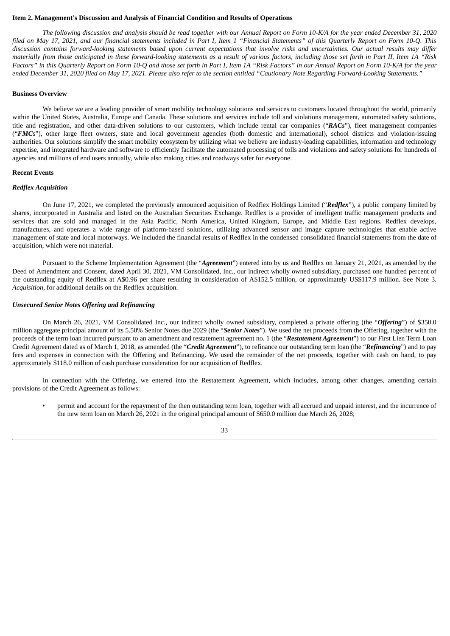#### <span id="page-32-0"></span>**Item 2. Management's Discussion and Analysis of Financial Condition and Results of Operations**

The following discussion and analysis should be read together with our Annual Report on Form 10-K/A for the year ended December 31, 2020 filed on May 17, 2021, and our financial statements included in Part I, Item 1 "Financial Statements" of this Quarterly Report on Form 10-O. This discussion contains forward-looking statements based upon current expectations that involve risks and uncertainties. Our actual results may differ materially from those anticipated in these forward-looking statements as a result of various factors, including those set forth in Part II, Item 1A "Risk Factors" in this Quarterly Report on Form 10-Q and those set forth in Part I, Item 1A "Risk Factors" in our Annual Report on Form 10-K/A for the year ended December 31, 2020 filed on May 17, 2021. Please also refer to the section entitled "Cautionary Note Regarding Forward-Looking Statements."

#### **Business Overview**

We believe we are a leading provider of smart mobility technology solutions and services to customers located throughout the world, primarily within the United States, Australia, Europe and Canada. These solutions and services include toll and violations management, automated safety solutions, title and registration, and other data-driven solutions to our customers, which include rental car companies ("*RACs*"), fleet management companies ("*FMC*s"), other large fleet owners, state and local government agencies (both domestic and international), school districts and violation-issuing authorities. Our solutions simplify the smart mobility ecosystem by utilizing what we believe are industry-leading capabilities, information and technology expertise, and integrated hardware and software to efficiently facilitate the automated processing of tolls and violations and safety solutions for hundreds of agencies and millions of end users annually, while also making cities and roadways safer for everyone.

#### **Recent Events**

### *Redflex Acquisition*

On June 17, 2021, we completed the previously announced acquisition of Redflex Holdings Limited ("*Redflex*"), a public company limited by shares, incorporated in Australia and listed on the Australian Securities Exchange. Redflex is a provider of intelligent traffic management products and services that are sold and managed in the Asia Pacific, North America, United Kingdom, Europe, and Middle East regions. Redflex develops, manufactures, and operates a wide range of platform-based solutions, utilizing advanced sensor and image capture technologies that enable active management of state and local motorways. We included the financial results of Redflex in the condensed consolidated financial statements from the date of acquisition, which were not material.

Pursuant to the Scheme Implementation Agreement (the "*Agreement*") entered into by us and Redflex on January 21, 2021, as amended by the Deed of Amendment and Consent, dated April 30, 2021, VM Consolidated, Inc., our indirect wholly owned subsidiary, purchased one hundred percent of the outstanding equity of Redflex at A\$0.96 per share resulting in consideration of A\$152.5 million, or approximately US\$117.9 million. See Note 3*. Acquisition,* for additional details on the Redflex acquisition.

#### *Unsecured Senior Notes Offering and Refinancing*

On March 26, 2021, VM Consolidated Inc., our indirect wholly owned subsidiary, completed a private offering (the "*Offering*") of \$350.0 million aggregate principal amount of its 5.50% Senior Notes due 2029 (the "*Senior Notes*"). We used the net proceeds from the Offering, together with the proceeds of the term loan incurred pursuant to an amendment and restatement agreement no. 1 (the "*Restatement Agreement*") to our First Lien Term Loan Credit Agreement dated as of March 1, 2018, as amended (the "*Credit Agreement*"), to refinance our outstanding term loan (the "*Refinancing*") and to pay fees and expenses in connection with the Offering and Refinancing. We used the remainder of the net proceeds, together with cash on hand, to pay approximately \$118.0 million of cash purchase consideration for our acquisition of Redflex.

In connection with the Offering, we entered into the Restatement Agreement, which includes, among other changes, amending certain provisions of the Credit Agreement as follows:

• permit and account for the repayment of the then outstanding term loan, together with all accrued and unpaid interest, and the incurrence of the new term loan on March 26, 2021 in the original principal amount of \$650.0 million due March 26, 2028;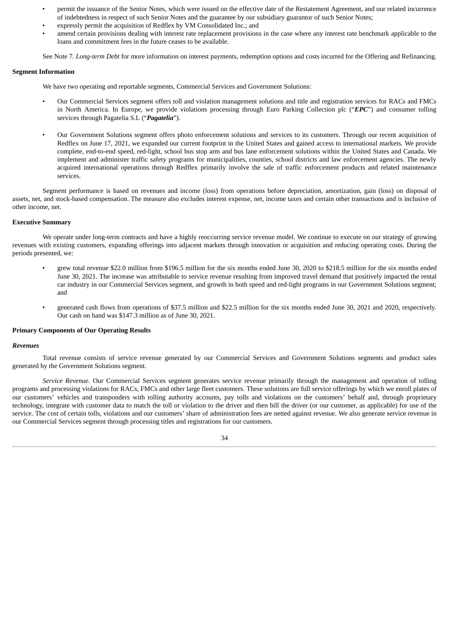- permit the issuance of the Senior Notes, which were issued on the effective date of the Restatement Agreement, and our related incurrence of indebtedness in respect of such Senior Notes and the guarantee by our subsidiary guarantor of such Senior Notes;
- expressly permit the acquisition of Redflex by VM Consolidated Inc.; and
- amend certain provisions dealing with interest rate replacement provisions in the case where any interest rate benchmark applicable to the loans and commitment fees in the future ceases to be available.

See Note 7*. Long-term Debt* for more information on interest payments, redemption options and costs incurred for the Offering and Refinancing.

# **Segment Information**

We have two operating and reportable segments, Commercial Services and Government Solutions:

- Our Commercial Services segment offers toll and violation management solutions and title and registration services for RACs and FMCs in North America. In Europe, we provide violations processing through Euro Parking Collection plc ("*EPC*") and consumer tolling services through Pagatelia S.L ("*Pagatelia*").
- Our Government Solutions segment offers photo enforcement solutions and services to its customers. Through our recent acquisition of Redflex on June 17, 2021, we expanded our current footprint in the United States and gained access to international markets. We provide complete, end-to-end speed, red-light, school bus stop arm and bus lane enforcement solutions within the United States and Canada. We implement and administer traffic safety programs for municipalities, counties, school districts and law enforcement agencies. The newly acquired international operations through Redflex primarily involve the sale of traffic enforcement products and related maintenance services.

Segment performance is based on revenues and income (loss) from operations before depreciation, amortization, gain (loss) on disposal of assets, net, and stock-based compensation. The measure also excludes interest expense, net, income taxes and certain other transactions and is inclusive of other income, net.

#### **Executive Summary**

We operate under long-term contracts and have a highly reoccurring service revenue model. We continue to execute on our strategy of growing revenues with existing customers, expanding offerings into adjacent markets through innovation or acquisition and reducing operating costs. During the periods presented, we:

- grew total revenue \$22.0 million from \$196.5 million for the six months ended June 30, 2020 to \$218.5 million for the six months ended June 30, 2021. The increase was attributable to service revenue resulting from improved travel demand that positively impacted the rental car industry in our Commercial Services segment, and growth in both speed and red-light programs in our Government Solutions segment; and
- generated cash flows from operations of \$37.5 million and \$22.5 million for the six months ended June 30, 2021 and 2020, respectively. Our cash on hand was \$147.3 million as of June 30, 2021.

### **Primary Components of Our Operating Results**

## *Revenues*

Total revenue consists of service revenue generated by our Commercial Services and Government Solutions segments and product sales generated by the Government Solutions segment.

*Service Revenue*. Our Commercial Services segment generates service revenue primarily through the management and operation of tolling programs and processing violations for RACs, FMCs and other large fleet customers. These solutions are full service offerings by which we enroll plates of our customers' vehicles and transponders with tolling authority accounts, pay tolls and violations on the customers' behalf and, through proprietary technology, integrate with customer data to match the toll or violation to the driver and then bill the driver (or our customer, as applicable) for use of the service. The cost of certain tolls, violations and our customers' share of administration fees are netted against revenue. We also generate service revenue in our Commercial Services segment through processing titles and registrations for our customers.

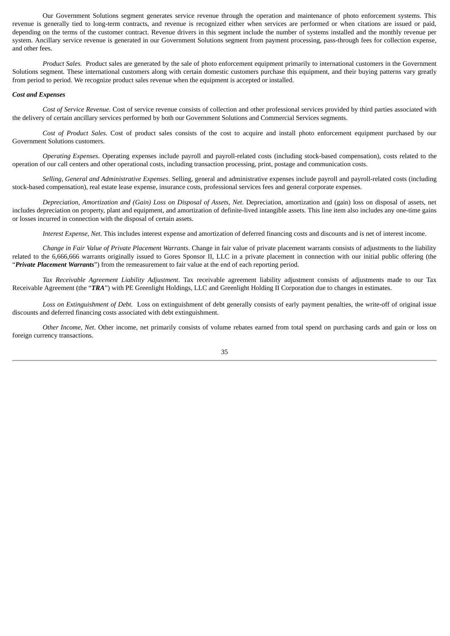Our Government Solutions segment generates service revenue through the operation and maintenance of photo enforcement systems. This revenue is generally tied to long-term contracts, and revenue is recognized either when services are performed or when citations are issued or paid, depending on the terms of the customer contract. Revenue drivers in this segment include the number of systems installed and the monthly revenue per system. Ancillary service revenue is generated in our Government Solutions segment from payment processing, pass-through fees for collection expense, and other fees.

*Product Sales.* Product sales are generated by the sale of photo enforcement equipment primarily to international customers in the Government Solutions segment. These international customers along with certain domestic customers purchase this equipment, and their buying patterns vary greatly from period to period. We recognize product sales revenue when the equipment is accepted or installed.

# *Cost and Expenses*

*Cost of Service Revenue.* Cost of service revenue consists of collection and other professional services provided by third parties associated with the delivery of certain ancillary services performed by both our Government Solutions and Commercial Services segments.

*Cost of Product Sales.* Cost of product sales consists of the cost to acquire and install photo enforcement equipment purchased by our Government Solutions customers.

*Operating Expenses*. Operating expenses include payroll and payroll-related costs (including stock-based compensation), costs related to the operation of our call centers and other operational costs, including transaction processing, print, postage and communication costs.

*Selling, General and Administrative Expenses*. Selling, general and administrative expenses include payroll and payroll-related costs (including stock-based compensation), real estate lease expense, insurance costs, professional services fees and general corporate expenses.

*Depreciation, Amortization and (Gain) Loss on Disposal of Assets, Net*. Depreciation, amortization and (gain) loss on disposal of assets, net includes depreciation on property, plant and equipment, and amortization of definite-lived intangible assets. This line item also includes any one-time gains or losses incurred in connection with the disposal of certain assets.

*Interest Expense, Net*. This includes interest expense and amortization of deferred financing costs and discounts and is net of interest income.

*Change in Fair Value of Private Placement Warrants*. Change in fair value of private placement warrants consists of adjustments to the liability related to the 6,666,666 warrants originally issued to Gores Sponsor II, LLC in a private placement in connection with our initial public offering (the "*Private Placement Warrants*") from the remeasurement to fair value at the end of each reporting period.

*Tax Receivable Agreement Liability Adjustment*. Tax receivable agreement liability adjustment consists of adjustments made to our Tax Receivable Agreement (the "*TRA*") with PE Greenlight Holdings, LLC and Greenlight Holding II Corporation due to changes in estimates.

*Loss on Extinguishment of Debt.* Loss on extinguishment of debt generally consists of early payment penalties, the write-off of original issue discounts and deferred financing costs associated with debt extinguishment.

*Other Income, Net*. Other income, net primarily consists of volume rebates earned from total spend on purchasing cards and gain or loss on foreign currency transactions.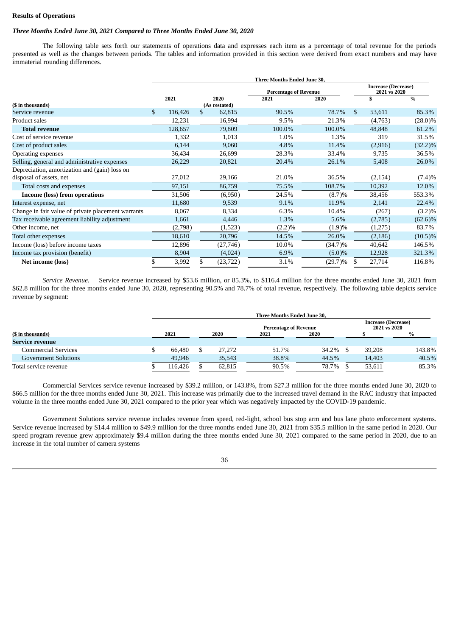#### **Results of Operations**

# *Three Months Ended June 30, 2021 Compared to Three Months Ended June 30, 2020*

The following table sets forth our statements of operations data and expresses each item as a percentage of total revenue for the periods presented as well as the changes between periods. The tables and information provided in this section were derived from exact numbers and may have immaterial rounding differences.

|                                                    |               |     |               | <b>Three Months Ended June 30,</b> |            |    |                                            |            |
|----------------------------------------------------|---------------|-----|---------------|------------------------------------|------------|----|--------------------------------------------|------------|
|                                                    |               |     |               | <b>Percentage of Revenue</b>       |            |    | <b>Increase (Decrease)</b><br>2021 vs 2020 |            |
|                                                    | 2021          |     | 2020          | 2021                               | 2020       |    |                                            | $\%$       |
| (\$ in thousands)                                  |               |     | (As restated) |                                    |            |    |                                            |            |
| Service revenue                                    | \$<br>116,426 | \$. | 62,815        | 90.5%                              | 78.7%      | S. | 53,611                                     | 85.3%      |
| Product sales                                      | 12,231        |     | 16,994        | 9.5%                               | 21.3%      |    | (4,763)                                    | $(28.0)\%$ |
| <b>Total revenue</b>                               | 128,657       |     | 79,809        | 100.0%                             | 100.0%     |    | 48,848                                     | 61.2%      |
| Cost of service revenue                            | 1,332         |     | 1,013         | 1.0%                               | 1.3%       |    | 319                                        | 31.5%      |
| Cost of product sales                              | 6,144         |     | 9,060         | 4.8%                               | 11.4%      |    | (2,916)                                    | (32.2)%    |
| Operating expenses                                 | 36,434        |     | 26,699        | 28.3%                              | 33.4%      |    | 9,735                                      | 36.5%      |
| Selling, general and administrative expenses       | 26,229        |     | 20,821        | 20.4%                              | 26.1%      |    | 5,408                                      | 26.0%      |
| Depreciation, amortization and (gain) loss on      |               |     |               |                                    |            |    |                                            |            |
| disposal of assets, net                            | 27,012        |     | 29,166        | 21.0%                              | 36.5%      |    | (2, 154)                                   | (7.4)%     |
| Total costs and expenses                           | 97,151        |     | 86,759        | 75.5%                              | 108.7%     |    | 10,392                                     | 12.0%      |
| Income (loss) from operations                      | 31,506        |     | (6,950)       | 24.5%                              | (8.7)%     |    | 38,456                                     | 553.3%     |
| Interest expense, net                              | 11,680        |     | 9,539         | 9.1%                               | 11.9%      |    | 2,141                                      | 22.4%      |
| Change in fair value of private placement warrants | 8,067         |     | 8,334         | 6.3%                               | 10.4%      |    | (267)                                      | $(3.2)\%$  |
| Tax receivable agreement liability adjustment      | 1,661         |     | 4,446         | 1.3%                               | 5.6%       |    | (2,785)                                    | $(62.6)\%$ |
| Other income, net                                  | (2,798)       |     | (1,523)       | (2.2)%                             | (1.9)%     |    | (1,275)                                    | 83.7%      |
| Total other expenses                               | 18,610        |     | 20,796        | 14.5%                              | 26.0%      |    | (2, 186)                                   | $(10.5)\%$ |
| Income (loss) before income taxes                  | 12,896        |     | (27, 746)     | 10.0%                              | $(34.7)\%$ |    | 40,642                                     | 146.5%     |
| Income tax provision (benefit)                     | 8,904         |     | (4,024)       | 6.9%                               | $(5.0)\%$  |    | 12,928                                     | 321.3%     |
| Net income (loss)                                  | 3,992         | S   | (23, 722)     | 3.1%                               | $(29.7)\%$ | S  | 27,714                                     | 116.8%     |

*Service Revenue.* Service revenue increased by \$53.6 million, or 85.3%, to \$116.4 million for the three months ended June 30, 2021 from \$62.8 million for the three months ended June 30, 2020, representing 90.5% and 78.7% of total revenue, respectively. The following table depicts service revenue by segment:

|                             |              |  |        | Three Months Ended June 30.  |             |                                            |        |        |
|-----------------------------|--------------|--|--------|------------------------------|-------------|--------------------------------------------|--------|--------|
|                             |              |  |        | <b>Percentage of Revenue</b> |             | <b>Increase (Decrease)</b><br>2021 vs 2020 |        |        |
| (\$ in thousands)           | 2021<br>2020 |  | 2021   | 2020                         |             |                                            | %      |        |
| <b>Service revenue</b>      |              |  |        |                              |             |                                            |        |        |
| Commercial Services         | 66.480       |  | 27.272 | 51.7%                        | $34.2\%$ \$ |                                            | 39,208 | 143.8% |
| <b>Government Solutions</b> | 49.946       |  | 35.543 | 38.8%                        | 44.5%       |                                            | 14.403 | 40.5%  |
| Total service revenue       | 116,426      |  | 62,815 | 90.5%                        | 78.7%       |                                            | 53,611 | 85.3%  |

Commercial Services service revenue increased by \$39.2 million, or 143.8%, from \$27.3 million for the three months ended June 30, 2020 to \$66.5 million for the three months ended June 30, 2021. This increase was primarily due to the increased travel demand in the RAC industry that impacted volume in the three months ended June 30, 2021 compared to the prior year which was negatively impacted by the COVID-19 pandemic.

Government Solutions service revenue includes revenue from speed, red-light, school bus stop arm and bus lane photo enforcement systems. Service revenue increased by \$14.4 million to \$49.9 million for the three months ended June 30, 2021 from \$35.5 million in the same period in 2020. Our speed program revenue grew approximately \$9.4 million during the three months ended June 30, 2021 compared to the same period in 2020, due to an increase in the total number of camera systems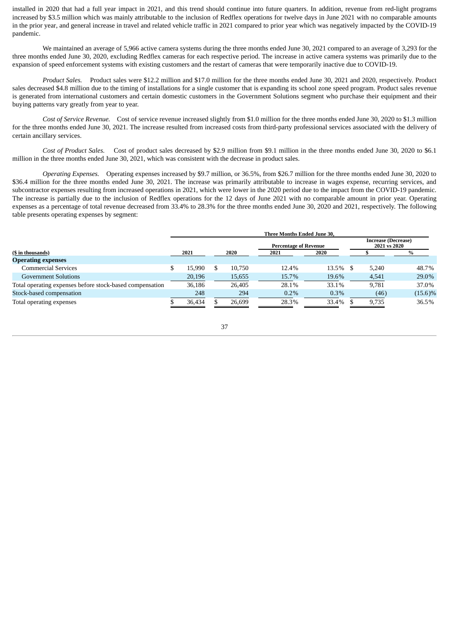installed in 2020 that had a full year impact in 2021, and this trend should continue into future quarters. In addition, revenue from red-light programs increased by \$3.5 million which was mainly attributable to the inclusion of Redflex operations for twelve days in June 2021 with no comparable amounts in the prior year, and general increase in travel and related vehicle traffic in 2021 compared to prior year which was negatively impacted by the COVID-19 pandemic.

We maintained an average of 5,966 active camera systems during the three months ended June 30, 2021 compared to an average of 3,293 for the three months ended June 30, 2020, excluding Redflex cameras for each respective period. The increase in active camera systems was primarily due to the expansion of speed enforcement systems with existing customers and the restart of cameras that were temporarily inactive due to COVID-19.

*Product Sales.* Product sales were \$12.2 million and \$17.0 million for the three months ended June 30, 2021 and 2020, respectively. Product sales decreased \$4.8 million due to the timing of installations for a single customer that is expanding its school zone speed program. Product sales revenue is generated from international customers and certain domestic customers in the Government Solutions segment who purchase their equipment and their buying patterns vary greatly from year to year.

*Cost of Service Revenue.* Cost of service revenue increased slightly from \$1.0 million for the three months ended June 30, 2020 to \$1.3 million for the three months ended June 30, 2021. The increase resulted from increased costs from third-party professional services associated with the delivery of certain ancillary services.

*Cost of Product Sales.* Cost of product sales decreased by \$2.9 million from \$9.1 million in the three months ended June 30, 2020 to \$6.1 million in the three months ended June 30, 2021, which was consistent with the decrease in product sales.

*Operating Expenses.* Operating expenses increased by \$9.7 million, or 36.5%, from \$26.7 million for the three months ended June 30, 2020 to \$36.4 million for the three months ended June 30, 2021. The increase was primarily attributable to increase in wages expense, recurring services, and subcontractor expenses resulting from increased operations in 2021, which were lower in the 2020 period due to the impact from the COVID-19 pandemic. The increase is partially due to the inclusion of Redflex operations for the 12 days of June 2021 with no comparable amount in prior year. Operating expenses as a percentage of total revenue decreased from 33.4% to 28.3% for the three months ended June 30, 2020 and 2021, respectively. The following table presents operating expenses by segment:

|                                                          |        |  |        | Three Months Ended June 30.  |             |                                            |            |
|----------------------------------------------------------|--------|--|--------|------------------------------|-------------|--------------------------------------------|------------|
|                                                          |        |  |        | <b>Percentage of Revenue</b> |             | <b>Increase (Decrease)</b><br>2021 vs 2020 |            |
| (\$ in thousands)                                        | 2021   |  | 2020   | 2021                         | 2020        |                                            | %          |
| <b>Operating expenses</b>                                |        |  |        |                              |             |                                            |            |
| <b>Commercial Services</b>                               | 15.990 |  | 10.750 | 12.4%                        | $13.5\%$ \$ | 5.240                                      | 48.7%      |
| <b>Government Solutions</b>                              | 20,196 |  | 15,655 | 15.7%                        | 19.6%       | 4,541                                      | 29.0%      |
| Total operating expenses before stock-based compensation | 36.186 |  | 26.405 | 28.1%                        | 33.1%       | 9.781                                      | 37.0%      |
| Stock-based compensation                                 | 248    |  | 294    | $0.2\%$                      | $0.3\%$     | (46)                                       | $(15.6)\%$ |
| Total operating expenses                                 | 36.434 |  | 26.699 | 28.3%                        | 33.4%       | 9,735                                      | 36.5%      |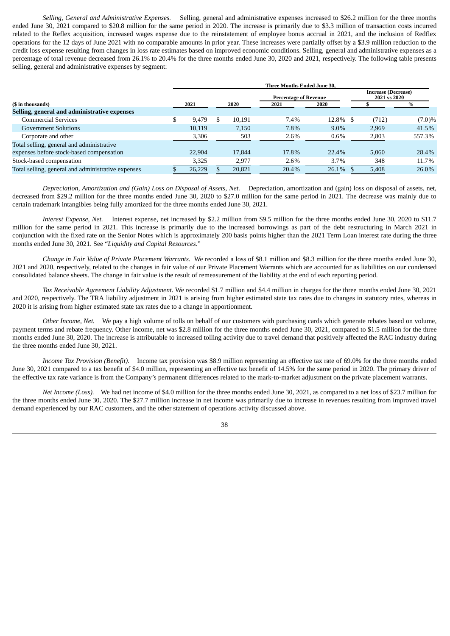*Selling, General and Administrative Expenses.* Selling, general and administrative expenses increased to \$26.2 million for the three months ended June 30, 2021 compared to \$20.8 million for the same period in 2020. The increase is primarily due to \$3.3 million of transaction costs incurred related to the Reflex acquisition, increased wages expense due to the reinstatement of employee bonus accrual in 2021, and the inclusion of Redflex operations for the 12 days of June 2021 with no comparable amounts in prior year. These increases were partially offset by a \$3.9 million reduction to the credit loss expense resulting from changes in loss rate estimates based on improved economic conditions. Selling, general and administrative expenses as a percentage of total revenue decreased from 26.1% to 20.4% for the three months ended June 30, 2020 and 2021, respectively. The following table presents selling, general and administrative expenses by segment:

|                                                    | <b>Three Months Ended June 30.</b> |        |  |        |                              |             |  |                                            |           |  |  |  |
|----------------------------------------------------|------------------------------------|--------|--|--------|------------------------------|-------------|--|--------------------------------------------|-----------|--|--|--|
|                                                    |                                    |        |  |        | <b>Percentage of Revenue</b> |             |  | <b>Increase (Decrease)</b><br>2021 vs 2020 |           |  |  |  |
| (\$ in thousands)                                  |                                    | 2021   |  | 2020   | 2021                         | 2020        |  |                                            | $\%$      |  |  |  |
| Selling, general and administrative expenses       |                                    |        |  |        |                              |             |  |                                            |           |  |  |  |
| Commercial Services                                | \$                                 | 9.479  |  | 10.191 | 7.4%                         | 12.8% \$    |  | (712)                                      | $(7.0)\%$ |  |  |  |
| <b>Government Solutions</b>                        |                                    | 10.119 |  | 7,150  | 7.8%                         | $9.0\%$     |  | 2.969                                      | 41.5%     |  |  |  |
| Corporate and other                                |                                    | 3,306  |  | 503    | 2.6%                         | 0.6%        |  | 2,803                                      | 557.3%    |  |  |  |
| Total selling, general and administrative          |                                    |        |  |        |                              |             |  |                                            |           |  |  |  |
| expenses before stock-based compensation           |                                    | 22,904 |  | 17,844 | 17.8%                        | 22.4%       |  | 5.060                                      | 28.4%     |  |  |  |
| Stock-based compensation                           |                                    | 3,325  |  | 2,977  | 2.6%                         | 3.7%        |  | 348                                        | 11.7%     |  |  |  |
| Total selling, general and administrative expenses |                                    | 26.229 |  | 20.821 | 20.4%                        | $26.1\%$ \$ |  | 5.408                                      | 26.0%     |  |  |  |

*Depreciation, Amortization and (Gain) Loss on Disposal of Assets, Net.* Depreciation, amortization and (gain) loss on disposal of assets, net, decreased from \$29.2 million for the three months ended June 30, 2020 to \$27.0 million for the same period in 2021. The decrease was mainly due to certain trademark intangibles being fully amortized for the three months ended June 30, 2021.

*Interest Expense, Net.* Interest expense, net increased by \$2.2 million from \$9.5 million for the three months ended June 30, 2020 to \$11.7 million for the same period in 2021. This increase is primarily due to the increased borrowings as part of the debt restructuring in March 2021 in conjunction with the fixed rate on the Senior Notes which is approximately 200 basis points higher than the 2021 Term Loan interest rate during the three months ended June 30, 2021. See "*Liquidity and Capital Resources*."

*Change in Fair Value of Private Placement Warrants*. We recorded a loss of \$8.1 million and \$8.3 million for the three months ended June 30, 2021 and 2020, respectively, related to the changes in fair value of our Private Placement Warrants which are accounted for as liabilities on our condensed consolidated balance sheets. The change in fair value is the result of remeasurement of the liability at the end of each reporting period.

*Tax Receivable Agreement Liability Adjustment*. We recorded \$1.7 million and \$4.4 million in charges for the three months ended June 30, 2021 and 2020, respectively. The TRA liability adjustment in 2021 is arising from higher estimated state tax rates due to changes in statutory rates, whereas in 2020 it is arising from higher estimated state tax rates due to a change in apportionment.

*Other Income, Net.* We pay a high volume of tolls on behalf of our customers with purchasing cards which generate rebates based on volume, payment terms and rebate frequency. Other income, net was \$2.8 million for the three months ended June 30, 2021, compared to \$1.5 million for the three months ended June 30, 2020. The increase is attributable to increased tolling activity due to travel demand that positively affected the RAC industry during the three months ended June 30, 2021.

*Income Tax Provision (Benefit).* Income tax provision was \$8.9 million representing an effective tax rate of 69.0% for the three months ended June 30, 2021 compared to a tax benefit of \$4.0 million, representing an effective tax benefit of 14.5% for the same period in 2020. The primary driver of the effective tax rate variance is from the Company's permanent differences related to the mark-to-market adjustment on the private placement warrants.

*Net Income (Loss).* We had net income of \$4.0 million for the three months ended June 30, 2021, as compared to a net loss of \$23.7 million for the three months ended June 30, 2020. The \$27.7 million increase in net income was primarily due to increase in revenues resulting from improved travel demand experienced by our RAC customers, and the other statement of operations activity discussed above.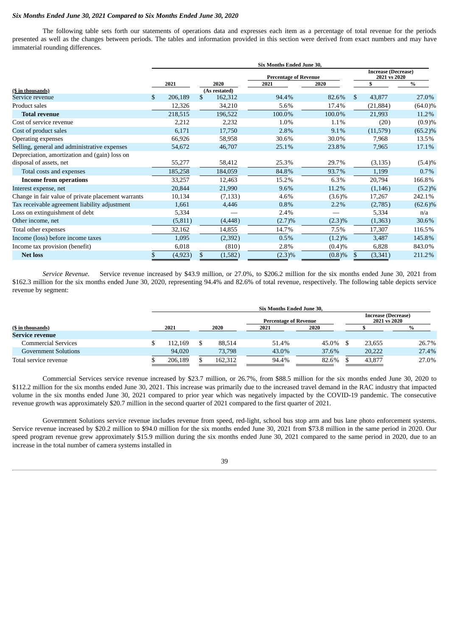#### *Six Months Ended June 30, 2021 Compared to Six Months Ended June 30, 2020*

The following table sets forth our statements of operations data and expresses each item as a percentage of total revenue for the periods presented as well as the changes between periods. The tables and information provided in this section were derived from exact numbers and may have immaterial rounding differences.

|                                                    |                |               | Six Months Ended June 30,    |           |                                            |               |
|----------------------------------------------------|----------------|---------------|------------------------------|-----------|--------------------------------------------|---------------|
|                                                    |                |               | <b>Percentage of Revenue</b> |           | <b>Increase (Decrease)</b><br>2021 vs 2020 |               |
|                                                    | 2021           | 2020          | 2021                         | 2020      |                                            | $\frac{0}{0}$ |
| (\$ in thousands)                                  |                | (As restated) |                              |           |                                            |               |
| Service revenue                                    | \$<br>206,189  | \$<br>162,312 | 94.4%                        | 82.6%     | \$<br>43,877                               | 27.0%         |
| Product sales                                      | 12,326         | 34,210        | 5.6%                         | 17.4%     | (21, 884)                                  | $(64.0)\%$    |
| <b>Total revenue</b>                               | 218,515        | 196,522       | 100.0%                       | 100.0%    | 21,993                                     | 11.2%         |
| Cost of service revenue                            | 2,212          | 2,232         | 1.0%                         | 1.1%      | (20)                                       | (0.9)%        |
| Cost of product sales                              | 6,171          | 17,750        | 2.8%                         | 9.1%      | (11,579)                                   | $(65.2)\%$    |
| Operating expenses                                 | 66,926         | 58,958        | 30.6%                        | 30.0%     | 7,968                                      | 13.5%         |
| Selling, general and administrative expenses       | 54,672         | 46,707        | 25.1%                        | 23.8%     | 7,965                                      | 17.1%         |
| Depreciation, amortization and (gain) loss on      |                |               |                              |           |                                            |               |
| disposal of assets, net                            | 55,277         | 58,412        | 25.3%                        | 29.7%     | (3, 135)                                   | (5.4)%        |
| Total costs and expenses                           | 185,258        | 184,059       | 84.8%                        | 93.7%     | 1,199                                      | 0.7%          |
| <b>Income from operations</b>                      | 33,257         | 12,463        | 15.2%                        | 6.3%      | 20,794                                     | 166.8%        |
| Interest expense, net                              | 20,844         | 21,990        | 9.6%                         | 11.2%     | (1,146)                                    | (5.2)%        |
| Change in fair value of private placement warrants | 10,134         | (7, 133)      | 4.6%                         | $(3.6)\%$ | 17,267                                     | 242.1%        |
| Tax receivable agreement liability adjustment      | 1,661          | 4,446         | $0.8\%$                      | $2.2\%$   | (2,785)                                    | $(62.6)\%$    |
| Loss on extinguishment of debt                     | 5,334          |               | 2.4%                         |           | 5,334                                      | n/a           |
| Other income, net                                  | (5,811)        | (4, 448)      | (2.7)%                       | $(2.3)\%$ | (1,363)                                    | 30.6%         |
| Total other expenses                               | 32,162         | 14,855        | 14.7%                        | 7.5%      | 17,307                                     | 116.5%        |
| Income (loss) before income taxes                  | 1,095          | (2, 392)      | 0.5%                         | $(1.2)\%$ | 3,487                                      | 145.8%        |
| Income tax provision (benefit)                     | 6,018          | (810)         | 2.8%                         | (0.4)%    | 6,828                                      | 843.0%        |
| <b>Net loss</b>                                    | \$<br>(4, 923) | \$<br>(1,582) | $(2.3)\%$                    | (0.8)%    | \$<br>(3,341)                              | 211.2%        |

*Service Revenue.* Service revenue increased by \$43.9 million, or 27.0%, to \$206.2 million for the six months ended June 30, 2021 from \$162.3 million for the six months ended June 30, 2020, representing 94.4% and 82.6% of total revenue, respectively. The following table depicts service revenue by segment:

|                             |  | <b>Six Months Ended June 30.</b> |  |         |                              |          |  |                                            |               |  |  |  |  |
|-----------------------------|--|----------------------------------|--|---------|------------------------------|----------|--|--------------------------------------------|---------------|--|--|--|--|
| (\$ in thousands)           |  |                                  |  |         | <b>Percentage of Revenue</b> |          |  | <b>Increase (Decrease)</b><br>2021 vs 2020 |               |  |  |  |  |
|                             |  | 2021                             |  | 2020    | 2021                         | 2020     |  |                                            | $\frac{0}{0}$ |  |  |  |  |
| <b>Service revenue</b>      |  |                                  |  |         |                              |          |  |                                            |               |  |  |  |  |
| Commercial Services         |  | 112.169                          |  | 88.514  | 51.4%                        | 45.0% \$ |  | 23,655                                     | 26.7%         |  |  |  |  |
| <b>Government Solutions</b> |  | 94,020                           |  | 73.798  | 43.0%                        | 37.6%    |  | 20,222                                     | 27.4%         |  |  |  |  |
| Total service revenue       |  | 206,189                          |  | 162,312 | 94.4%                        | 82.6%    |  | 43,877                                     | 27.0%         |  |  |  |  |

Commercial Services service revenue increased by \$23.7 million, or 26.7%, from \$88.5 million for the six months ended June 30, 2020 to \$112.2 million for the six months ended June 30, 2021. This increase was primarily due to the increased travel demand in the RAC industry that impacted volume in the six months ended June 30, 2021 compared to prior year which was negatively impacted by the COVID-19 pandemic. The consecutive revenue growth was approximately \$20.7 million in the second quarter of 2021 compared to the first quarter of 2021.

Government Solutions service revenue includes revenue from speed, red-light, school bus stop arm and bus lane photo enforcement systems. Service revenue increased by \$20.2 million to \$94.0 million for the six months ended June 30, 2021 from \$73.8 million in the same period in 2020. Our speed program revenue grew approximately \$15.9 million during the six months ended June 30, 2021 compared to the same period in 2020, due to an increase in the total number of camera systems installed in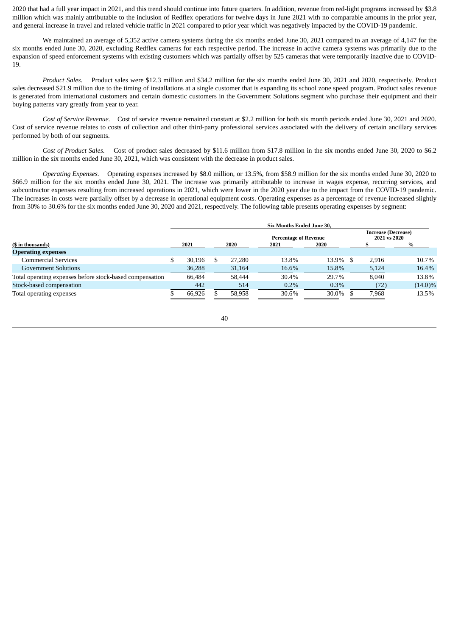2020 that had a full year impact in 2021, and this trend should continue into future quarters. In addition, revenue from red-light programs increased by \$3.8 million which was mainly attributable to the inclusion of Redflex operations for twelve days in June 2021 with no comparable amounts in the prior year, and general increase in travel and related vehicle traffic in 2021 compared to prior year which was negatively impacted by the COVID-19 pandemic.

We maintained an average of 5,352 active camera systems during the six months ended June 30, 2021 compared to an average of 4,147 for the six months ended June 30, 2020, excluding Redflex cameras for each respective period. The increase in active camera systems was primarily due to the expansion of speed enforcement systems with existing customers which was partially offset by 525 cameras that were temporarily inactive due to COVID-19.

*Product Sales.* Product sales were \$12.3 million and \$34.2 million for the six months ended June 30, 2021 and 2020, respectively. Product sales decreased \$21.9 million due to the timing of installations at a single customer that is expanding its school zone speed program. Product sales revenue is generated from international customers and certain domestic customers in the Government Solutions segment who purchase their equipment and their buying patterns vary greatly from year to year.

*Cost of Service Revenue.* Cost of service revenue remained constant at \$2.2 million for both six month periods ended June 30, 2021 and 2020. Cost of service revenue relates to costs of collection and other third-party professional services associated with the delivery of certain ancillary services performed by both of our segments.

*Cost of Product Sales.* Cost of product sales decreased by \$11.6 million from \$17.8 million in the six months ended June 30, 2020 to \$6.2 million in the six months ended June 30, 2021, which was consistent with the decrease in product sales.

*Operating Expenses.* Operating expenses increased by \$8.0 million, or 13.5%, from \$58.9 million for the six months ended June 30, 2020 to \$66.9 million for the six months ended June 30, 2021. The increase was primarily attributable to increase in wages expense, recurring services, and subcontractor expenses resulting from increased operations in 2021, which were lower in the 2020 year due to the impact from the COVID-19 pandemic. The increases in costs were partially offset by a decrease in operational equipment costs. Operating expenses as a percentage of revenue increased slightly from 30% to 30.6% for the six months ended June 30, 2020 and 2021, respectively. The following table presents operating expenses by segment:

|                                                          |        |  |        | <b>Six Months Ended June 30.</b> |                              |  |       |                                            |
|----------------------------------------------------------|--------|--|--------|----------------------------------|------------------------------|--|-------|--------------------------------------------|
|                                                          |        |  |        |                                  | <b>Percentage of Revenue</b> |  |       | <b>Increase (Decrease)</b><br>2021 vs 2020 |
| (\$ in thousands)                                        | 2021   |  | 2020   | 2021                             | 2020                         |  |       | $\%$                                       |
| <b>Operating expenses</b>                                |        |  |        |                                  |                              |  |       |                                            |
| <b>Commercial Services</b>                               | 30.196 |  | 27,280 | 13.8%                            | 13.9% \$                     |  | 2.916 | 10.7%                                      |
| <b>Government Solutions</b>                              | 36,288 |  | 31,164 | 16.6%                            | 15.8%                        |  | 5,124 | 16.4%                                      |
| Total operating expenses before stock-based compensation | 66.484 |  | 58.444 | 30.4%                            | 29.7%                        |  | 8.040 | 13.8%                                      |
| Stock-based compensation                                 | 442    |  | 514    | $0.2\%$                          | $0.3\%$                      |  | (72)  | $(14.0)\%$                                 |
| Total operating expenses                                 | 66.926 |  | 58,958 | 30.6%                            | 30.0%                        |  | 7,968 | 13.5%                                      |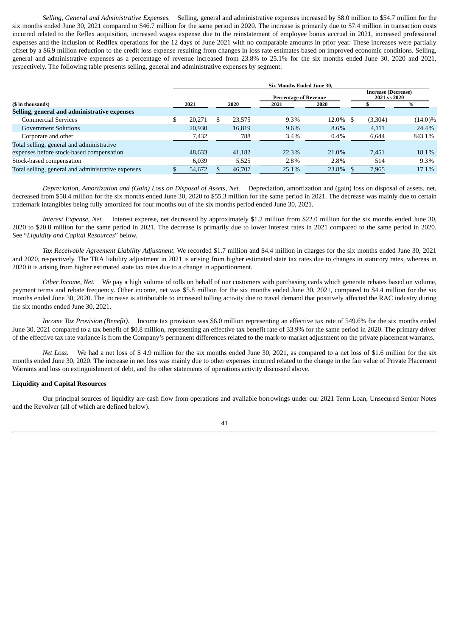*Selling, General and Administrative Expenses.* Selling, general and administrative expenses increased by \$8.0 million to \$54.7 million for the six months ended June 30, 2021 compared to \$46.7 million for the same period in 2020. The increase is primarily due to \$7.4 million in transaction costs incurred related to the Reflex acquisition, increased wages expense due to the reinstatement of employee bonus accrual in 2021, increased professional expenses and the inclusion of Redflex operations for the 12 days of June 2021 with no comparable amounts in prior year. These increases were partially offset by a \$6.9 million reduction to the credit loss expense resulting from changes in loss rate estimates based on improved economic conditions. Selling, general and administrative expenses as a percentage of revenue increased from 23.8% to 25.1% for the six months ended June 30, 2020 and 2021, respectively. The following table presents selling, general and administrative expenses by segment:

|                                                    |              |              | <b>Six Months Ended June 30.</b> |                              |  |         |                                            |
|----------------------------------------------------|--------------|--------------|----------------------------------|------------------------------|--|---------|--------------------------------------------|
|                                                    |              |              |                                  | <b>Percentage of Revenue</b> |  |         | <b>Increase (Decrease)</b><br>2021 vs 2020 |
| (\$ in thousands)                                  | 2021         | 2020         | 2021                             | 2020                         |  |         | $\%$                                       |
| Selling, general and administrative expenses       |              |              |                                  |                              |  |         |                                            |
| <b>Commercial Services</b>                         | \$<br>20.271 | \$<br>23,575 | 9.3%                             | $12.0\%$ \$                  |  | (3,304) | $(14.0)\%$                                 |
| <b>Government Solutions</b>                        | 20,930       | 16,819       | 9.6%                             | 8.6%                         |  | 4,111   | 24.4%                                      |
| Corporate and other                                | 7,432        | 788          | 3.4%                             | $0.4\%$                      |  | 6,644   | 843.1%                                     |
| Total selling, general and administrative          |              |              |                                  |                              |  |         |                                            |
| expenses before stock-based compensation           | 48.633       | 41.182       | 22.3%                            | 21.0%                        |  | 7,451   | 18.1%                                      |
| Stock-based compensation                           | 6,039        | 5,525        | 2.8%                             | 2.8%                         |  | 514     | 9.3%                                       |
| Total selling, general and administrative expenses | 54.672       | 46,707       | 25.1%                            | 23.8% \$                     |  | 7.965   | 17.1%                                      |

*Depreciation, Amortization and (Gain) Loss on Disposal of Assets, Net.* Depreciation, amortization and (gain) loss on disposal of assets, net, decreased from \$58.4 million for the six months ended June 30, 2020 to \$55.3 million for the same period in 2021. The decrease was mainly due to certain trademark intangibles being fully amortized for four months out of the six months period ended June 30, 2021.

*Interest Expense, Net.* Interest expense, net decreased by approximately \$1.2 million from \$22.0 million for the six months ended June 30, 2020 to \$20.8 million for the same period in 2021. The decrease is primarily due to lower interest rates in 2021 compared to the same period in 2020. See "*Liquidity and Capital Resources*" below.

*Tax Receivable Agreement Liability Adjustment*. We recorded \$1.7 million and \$4.4 million in charges for the six months ended June 30, 2021 and 2020, respectively. The TRA liability adjustment in 2021 is arising from higher estimated state tax rates due to changes in statutory rates, whereas in 2020 it is arising from higher estimated state tax rates due to a change in apportionment.

*Other Income, Net.* We pay a high volume of tolls on behalf of our customers with purchasing cards which generate rebates based on volume, payment terms and rebate frequency. Other income, net was \$5.8 million for the six months ended June 30, 2021, compared to \$4.4 million for the six months ended June 30, 2020. The increase is attributable to increased tolling activity due to travel demand that positively affected the RAC industry during the six months ended June 30, 2021.

*Income Tax Provision (Benefit).* Income tax provision was \$6.0 million representing an effective tax rate of 549.6% for the six months ended June 30, 2021 compared to a tax benefit of \$0.8 million, representing an effective tax benefit rate of 33.9% for the same period in 2020. The primary driver of the effective tax rate variance is from the Company's permanent differences related to the mark-to-market adjustment on the private placement warrants.

*Net Loss.* We had a net loss of \$ 4.9 million for the six months ended June 30, 2021, as compared to a net loss of \$1.6 million for the six months ended June 30, 2020. The increase in net loss was mainly due to other expenses incurred related to the change in the fair value of Private Placement Warrants and loss on extinguishment of debt, and the other statements of operations activity discussed above.

#### **Liquidity and Capital Resources**

Our principal sources of liquidity are cash flow from operations and available borrowings under our 2021 Term Loan, Unsecured Senior Notes and the Revolver (all of which are defined below).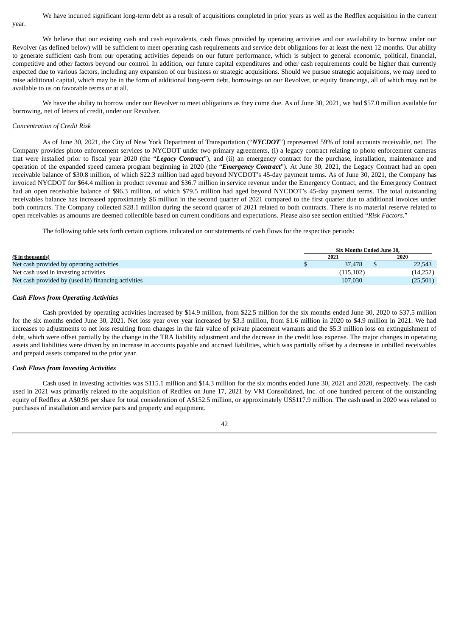We have incurred significant long-term debt as a result of acquisitions completed in prior years as well as the Redflex acquisition in the current

year.

We believe that our existing cash and cash equivalents, cash flows provided by operating activities and our availability to borrow under our Revolver (as defined below) will be sufficient to meet operating cash requirements and service debt obligations for at least the next 12 months. Our ability to generate sufficient cash from our operating activities depends on our future performance, which is subject to general economic, political, financial, competitive and other factors beyond our control. In addition, our future capital expenditures and other cash requirements could be higher than currently expected due to various factors, including any expansion of our business or strategic acquisitions. Should we pursue strategic acquisitions, we may need to raise additional capital, which may be in the form of additional long-term debt, borrowings on our Revolver, or equity financings, all of which may not be available to us on favorable terms or at all.

We have the ability to borrow under our Revolver to meet obligations as they come due. As of June 30, 2021, we had \$57.0 million available for borrowing, net of letters of credit, under our Revolver.

### *Concentration of Credit Risk*

As of June 30, 2021, the City of New York Department of Transportation ("*NYCDOT*") represented 59% of total accounts receivable, net. The Company provides photo enforcement services to NYCDOT under two primary agreements, (i) a legacy contract relating to photo enforcement cameras that were installed prior to fiscal year 2020 (the "*Legacy Contract*"), and (ii) an emergency contract for the purchase, installation, maintenance and operation of the expanded speed camera program beginning in 2020 (the "*Emergency Contract*"). At June 30, 2021, the Legacy Contract had an open receivable balance of \$30.8 million, of which \$22.3 million had aged beyond NYCDOT's 45-day payment terms. As of June 30, 2021, the Company has invoiced NYCDOT for \$64.4 million in product revenue and \$36.7 million in service revenue under the Emergency Contract, and the Emergency Contract had an open receivable balance of \$96.3 million, of which \$79.5 million had aged beyond NYCDOT's 45-day payment terms. The total outstanding receivables balance has increased approximately \$6 million in the second quarter of 2021 compared to the first quarter due to additional invoices under both contracts. The Company collected \$28.1 million during the second quarter of 2021 related to both contracts. There is no material reserve related to open receivables as amounts are deemed collectible based on current conditions and expectations. Please also see section entitled "*Risk Factors*."

The following table sets forth certain captions indicated on our statements of cash flows for the respective periods:

|                                                     | <b>Six Months Ended June 30.</b> |  |           |  |  |  |
|-----------------------------------------------------|----------------------------------|--|-----------|--|--|--|
| (\$ in thousands)                                   | 2021                             |  | 2020      |  |  |  |
| Net cash provided by operating activities           | 37.478                           |  | 22,543    |  |  |  |
| Net cash used in investing activities               | (115.102)                        |  | (14,252)  |  |  |  |
| Net cash provided by (used in) financing activities | 107,030                          |  | (25, 501) |  |  |  |

#### *Cash Flows from Operating Activities*

Cash provided by operating activities increased by \$14.9 million, from \$22.5 million for the six months ended June 30, 2020 to \$37.5 million for the six months ended June 30, 2021. Net loss year over year increased by \$3.3 million, from \$1.6 million in 2020 to \$4.9 million in 2021. We had increases to adjustments to net loss resulting from changes in the fair value of private placement warrants and the \$5.3 million loss on extinguishment of debt, which were offset partially by the change in the TRA liability adjustment and the decrease in the credit loss expense. The major changes in operating assets and liabilities were driven by an increase in accounts payable and accrued liabilities, which was partially offset by a decrease in unbilled receivables and prepaid assets compared to the prior year.

## *Cash Flows from Investing Activities*

Cash used in investing activities was \$115.1 million and \$14.3 million for the six months ended June 30, 2021 and 2020, respectively. The cash used in 2021 was primarily related to the acquisition of Redflex on June 17, 2021 by VM Consolidated, Inc. of one hundred percent of the outstanding equity of Redflex at A\$0.96 per share for total consideration of A\$152.5 million, or approximately US\$117.9 million. The cash used in 2020 was related to purchases of installation and service parts and property and equipment.

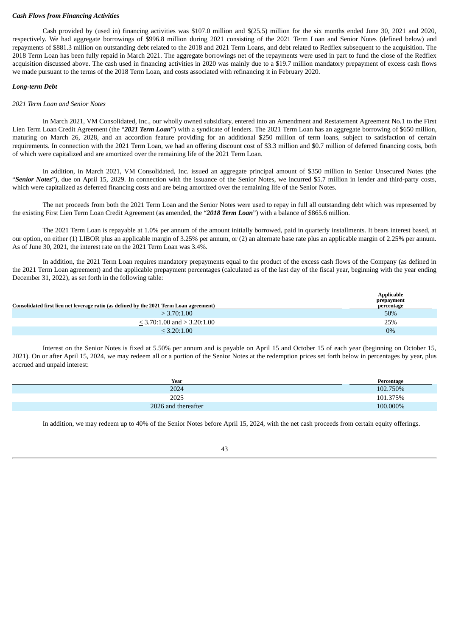#### *Cash Flows from Financing Activities*

Cash provided by (used in) financing activities was \$107.0 million and \$(25.5) million for the six months ended June 30, 2021 and 2020, respectively. We had aggregate borrowings of \$996.8 million during 2021 consisting of the 2021 Term Loan and Senior Notes (defined below) and repayments of \$881.3 million on outstanding debt related to the 2018 and 2021 Term Loans, and debt related to Redflex subsequent to the acquisition. The 2018 Term Loan has been fully repaid in March 2021. The aggregate borrowings net of the repayments were used in part to fund the close of the Redflex acquisition discussed above. The cash used in financing activities in 2020 was mainly due to a \$19.7 million mandatory prepayment of excess cash flows we made pursuant to the terms of the 2018 Term Loan, and costs associated with refinancing it in February 2020.

#### *Long-term Debt*

#### *2021 Term Loan and Senior Notes*

In March 2021, VM Consolidated, Inc., our wholly owned subsidiary, entered into an Amendment and Restatement Agreement No.1 to the First Lien Term Loan Credit Agreement (the "*2021 Term Loan*") with a syndicate of lenders. The 2021 Term Loan has an aggregate borrowing of \$650 million, maturing on March 26, 2028, and an accordion feature providing for an additional \$250 million of term loans, subject to satisfaction of certain requirements. In connection with the 2021 Term Loan, we had an offering discount cost of \$3.3 million and \$0.7 million of deferred financing costs, both of which were capitalized and are amortized over the remaining life of the 2021 Term Loan.

In addition, in March 2021, VM Consolidated, Inc. issued an aggregate principal amount of \$350 million in Senior Unsecured Notes (the "*Senior Notes*"), due on April 15, 2029. In connection with the issuance of the Senior Notes, we incurred \$5.7 million in lender and third-party costs, which were capitalized as deferred financing costs and are being amortized over the remaining life of the Senior Notes.

The net proceeds from both the 2021 Term Loan and the Senior Notes were used to repay in full all outstanding debt which was represented by the existing First Lien Term Loan Credit Agreement (as amended, the "*2018 Term Loan*") with a balance of \$865.6 million.

The 2021 Term Loan is repayable at 1.0% per annum of the amount initially borrowed, paid in quarterly installments. It bears interest based, at our option, on either (1) LIBOR plus an applicable margin of 3.25% per annum, or (2) an alternate base rate plus an applicable margin of 2.25% per annum. As of June 30, 2021, the interest rate on the 2021 Term Loan was 3.4%.

In addition, the 2021 Term Loan requires mandatory prepayments equal to the product of the excess cash flows of the Company (as defined in the 2021 Term Loan agreement) and the applicable prepayment percentages (calculated as of the last day of the fiscal year, beginning with the year ending December 31, 2022), as set forth in the following table:

| Consolidated first lien net leverage ratio (as defined by the 2021 Term Loan agreement) | <b>Applicable</b><br>prepayment<br>percentage |
|-----------------------------------------------------------------------------------------|-----------------------------------------------|
| > 3.70:1.00                                                                             | 50%                                           |
| $<$ 3.70:1.00 and $>$ 3.20:1.00                                                         | 25%                                           |
| $<$ 3.20:1.00                                                                           | 0%                                            |

Interest on the Senior Notes is fixed at 5.50% per annum and is payable on April 15 and October 15 of each year (beginning on October 15, 2021). On or after April 15, 2024, we may redeem all or a portion of the Senior Notes at the redemption prices set forth below in percentages by year, plus accrued and unpaid interest:

| Year                | Percentage |
|---------------------|------------|
| 2024                | 102.750%   |
| 2025                | 101.375%   |
| 2026 and thereafter | 100.000%   |

In addition, we may redeem up to 40% of the Senior Notes before April 15, 2024, with the net cash proceeds from certain equity offerings.

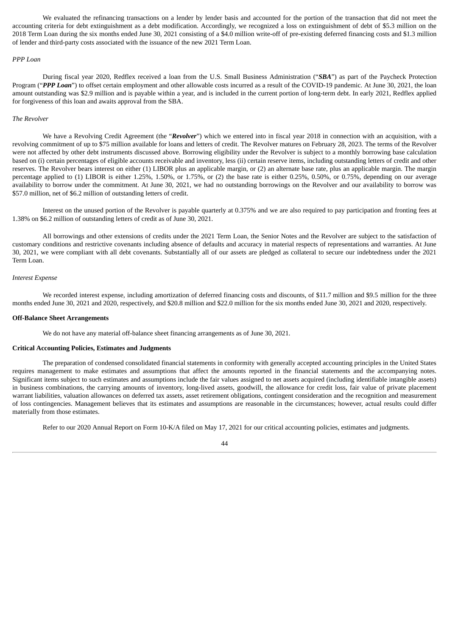We evaluated the refinancing transactions on a lender by lender basis and accounted for the portion of the transaction that did not meet the accounting criteria for debt extinguishment as a debt modification. Accordingly, we recognized a loss on extinguishment of debt of \$5.3 million on the 2018 Term Loan during the six months ended June 30, 2021 consisting of a \$4.0 million write-off of pre-existing deferred financing costs and \$1.3 million of lender and third-party costs associated with the issuance of the new 2021 Term Loan.

### *PPP Loan*

During fiscal year 2020, Redflex received a loan from the U.S. Small Business Administration ("*SBA*") as part of the Paycheck Protection Program ("*PPP Loan*") to offset certain employment and other allowable costs incurred as a result of the COVID-19 pandemic. At June 30, 2021, the loan amount outstanding was \$2.9 million and is payable within a year, and is included in the current portion of long-term debt. In early 2021, Redflex applied for forgiveness of this loan and awaits approval from the SBA.

#### *The Revolver*

We have a Revolving Credit Agreement (the "*Revolver*") which we entered into in fiscal year 2018 in connection with an acquisition, with a revolving commitment of up to \$75 million available for loans and letters of credit. The Revolver matures on February 28, 2023. The terms of the Revolver were not affected by other debt instruments discussed above. Borrowing eligibility under the Revolver is subject to a monthly borrowing base calculation based on (i) certain percentages of eligible accounts receivable and inventory, less (ii) certain reserve items, including outstanding letters of credit and other reserves. The Revolver bears interest on either (1) LIBOR plus an applicable margin, or (2) an alternate base rate, plus an applicable margin. The margin percentage applied to (1) LIBOR is either 1.25%, 1.50%, or 1.75%, or (2) the base rate is either 0.25%, 0.50%, or 0.75%, depending on our average availability to borrow under the commitment. At June 30, 2021, we had no outstanding borrowings on the Revolver and our availability to borrow was \$57.0 million, net of \$6.2 million of outstanding letters of credit.

Interest on the unused portion of the Revolver is payable quarterly at 0.375% and we are also required to pay participation and fronting fees at 1.38% on \$6.2 million of outstanding letters of credit as of June 30, 2021.

All borrowings and other extensions of credits under the 2021 Term Loan, the Senior Notes and the Revolver are subject to the satisfaction of customary conditions and restrictive covenants including absence of defaults and accuracy in material respects of representations and warranties. At June 30, 2021, we were compliant with all debt covenants. Substantially all of our assets are pledged as collateral to secure our indebtedness under the 2021 Term Loan.

### *Interest Expense*

We recorded interest expense, including amortization of deferred financing costs and discounts, of \$11.7 million and \$9.5 million for the three months ended June 30, 2021 and 2020, respectively, and \$20.8 million and \$22.0 million for the six months ended June 30, 2021 and 2020, respectively.

### **Off-Balance Sheet Arrangements**

We do not have any material off-balance sheet financing arrangements as of June 30, 2021.

#### **Critical Accounting Policies, Estimates and Judgments**

The preparation of condensed consolidated financial statements in conformity with generally accepted accounting principles in the United States requires management to make estimates and assumptions that affect the amounts reported in the financial statements and the accompanying notes. Significant items subject to such estimates and assumptions include the fair values assigned to net assets acquired (including identifiable intangible assets) in business combinations, the carrying amounts of inventory, long-lived assets, goodwill, the allowance for credit loss, fair value of private placement warrant liabilities, valuation allowances on deferred tax assets, asset retirement obligations, contingent consideration and the recognition and measurement of loss contingencies. Management believes that its estimates and assumptions are reasonable in the circumstances; however, actual results could differ materially from those estimates.

Refer to our 2020 Annual Report on Form 10-K/A filed on May 17, 2021 for our critical accounting policies, estimates and judgments.

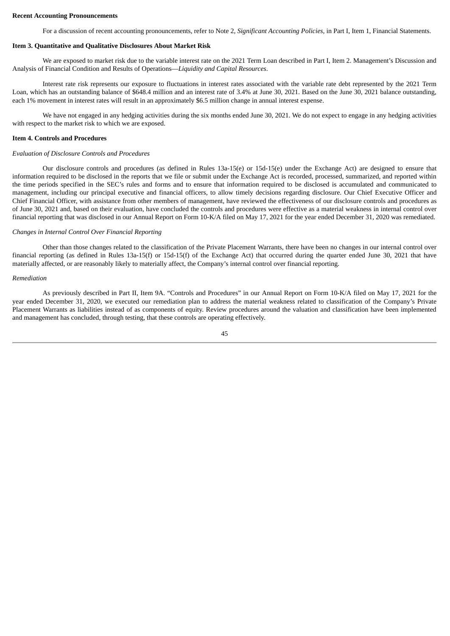#### **Recent Accounting Pronouncements**

For a discussion of recent accounting pronouncements, refer to Note 2, *Significant Accounting Policies*, in Part I, Item 1, Financial Statements.

#### <span id="page-44-0"></span>**Item 3. Quantitative and Qualitative Disclosures About Market Risk**

We are exposed to market risk due to the variable interest rate on the 2021 Term Loan described in Part I, Item 2. Management's Discussion and Analysis of Financial Condition and Results of Operations—*Liquidity and Capital Resources*.

Interest rate risk represents our exposure to fluctuations in interest rates associated with the variable rate debt represented by the 2021 Term Loan, which has an outstanding balance of \$648.4 million and an interest rate of 3.4% at June 30, 2021. Based on the June 30, 2021 balance outstanding, each 1% movement in interest rates will result in an approximately \$6.5 million change in annual interest expense.

We have not engaged in any hedging activities during the six months ended June 30, 2021. We do not expect to engage in any hedging activities with respect to the market risk to which we are exposed.

#### <span id="page-44-1"></span>**Item 4. Controls and Procedures**

#### *Evaluation of Disclosure Controls and Procedures*

Our disclosure controls and procedures (as defined in Rules 13a-15(e) or 15d-15(e) under the Exchange Act) are designed to ensure that information required to be disclosed in the reports that we file or submit under the Exchange Act is recorded, processed, summarized, and reported within the time periods specified in the SEC's rules and forms and to ensure that information required to be disclosed is accumulated and communicated to management, including our principal executive and financial officers, to allow timely decisions regarding disclosure. Our Chief Executive Officer and Chief Financial Officer, with assistance from other members of management, have reviewed the effectiveness of our disclosure controls and procedures as of June 30, 2021 and, based on their evaluation, have concluded the controls and procedures were effective as a material weakness in internal control over financial reporting that was disclosed in our Annual Report on Form 10-K/A filed on May 17, 2021 for the year ended December 31, 2020 was remediated.

#### *Changes in Internal Control Over Financial Reporting*

Other than those changes related to the classification of the Private Placement Warrants, there have been no changes in our internal control over financial reporting (as defined in Rules 13a-15(f) or 15d-15(f) of the Exchange Act) that occurred during the quarter ended June 30, 2021 that have materially affected, or are reasonably likely to materially affect, the Company's internal control over financial reporting.

#### *Remediation*

As previously described in Part II, Item 9A. "Controls and Procedures" in our Annual Report on Form 10-K/A filed on May 17, 2021 for the year ended December 31, 2020, we executed our remediation plan to address the material weakness related to classification of the Company's Private Placement Warrants as liabilities instead of as components of equity. Review procedures around the valuation and classification have been implemented and management has concluded, through testing, that these controls are operating effectively.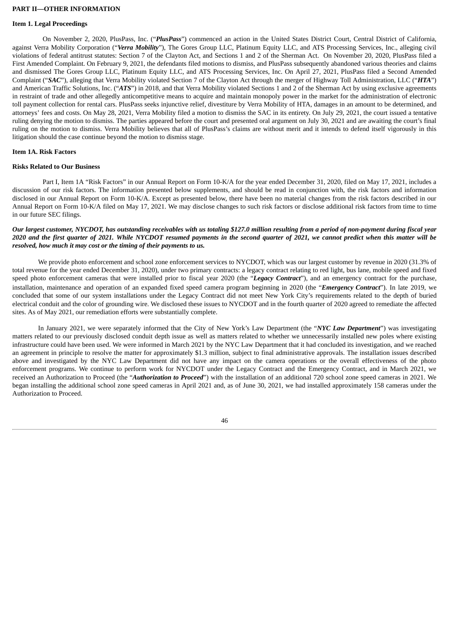#### <span id="page-45-0"></span>**PART II—OTHER INFORMATION**

# <span id="page-45-1"></span>**Item 1. Legal Proceedings**

On November 2, 2020, PlusPass, Inc. ("*PlusPass*") commenced an action in the United States District Court, Central District of California, against Verra Mobility Corporation ("*Verra Mobility*"), The Gores Group LLC, Platinum Equity LLC, and ATS Processing Services, Inc., alleging civil violations of federal antitrust statutes: Section 7 of the Clayton Act, and Sections 1 and 2 of the Sherman Act. On November 20, 2020, PlusPass filed a First Amended Complaint. On February 9, 2021, the defendants filed motions to dismiss, and PlusPass subsequently abandoned various theories and claims and dismissed The Gores Group LLC, Platinum Equity LLC, and ATS Processing Services, Inc. On April 27, 2021, PlusPass filed a Second Amended Complaint ("*SAC*"), alleging that Verra Mobility violated Section 7 of the Clayton Act through the merger of Highway Toll Administration, LLC ("*HTA*") and American Traffic Solutions, Inc. ("*ATS*") in 2018, and that Verra Mobility violated Sections 1 and 2 of the Sherman Act by using exclusive agreements in restraint of trade and other allegedly anticompetitive means to acquire and maintain monopoly power in the market for the administration of electronic toll payment collection for rental cars. PlusPass seeks injunctive relief, divestiture by Verra Mobility of HTA, damages in an amount to be determined, and attorneys' fees and costs. On May 28, 2021, Verra Mobility filed a motion to dismiss the SAC in its entirety. On July 29, 2021, the court issued a tentative ruling denying the motion to dismiss. The parties appeared before the court and presented oral argument on July 30, 2021 and are awaiting the court's final ruling on the motion to dismiss. Verra Mobility believes that all of PlusPass's claims are without merit and it intends to defend itself vigorously in this litigation should the case continue beyond the motion to dismiss stage.

#### <span id="page-45-2"></span>**Item 1A. Risk Factors**

#### **Risks Related to Our Business**

Part I, Item 1A "Risk Factors" in our Annual Report on Form 10-K/A for the year ended December 31, 2020, filed on May 17, 2021, includes a discussion of our risk factors. The information presented below supplements, and should be read in conjunction with, the risk factors and information disclosed in our Annual Report on Form 10-K/A. Except as presented below, there have been no material changes from the risk factors described in our Annual Report on Form 10-K/A filed on May 17, 2021. We may disclose changes to such risk factors or disclose additional risk factors from time to time in our future SEC filings.

# Our largest customer, NYCDOT, has outstanding receivables with us totaling \$127.0 million resulting from a period of non-payment during fiscal year 2020 and the first auarter of 2021. While NYCDOT resumed payments in the second auarter of 2021, we cannot predict when this matter will be *resolved, how much it may cost or the timing of their payments to us.*

We provide photo enforcement and school zone enforcement services to NYCDOT, which was our largest customer by revenue in 2020 (31.3% of total revenue for the year ended December 31, 2020), under two primary contracts: a legacy contract relating to red light, bus lane, mobile speed and fixed speed photo enforcement cameras that were installed prior to fiscal year 2020 (the "*Legacy Contract*"), and an emergency contract for the purchase, installation, maintenance and operation of an expanded fixed speed camera program beginning in 2020 (the "*Emergency Contract*"). In late 2019, we concluded that some of our system installations under the Legacy Contract did not meet New York City's requirements related to the depth of buried electrical conduit and the color of grounding wire. We disclosed these issues to NYCDOT and in the fourth quarter of 2020 agreed to remediate the affected sites. As of May 2021, our remediation efforts were substantially complete.

In January 2021, we were separately informed that the City of New York's Law Department (the "*NYC Law Department*") was investigating matters related to our previously disclosed conduit depth issue as well as matters related to whether we unnecessarily installed new poles where existing infrastructure could have been used. We were informed in March 2021 by the NYC Law Department that it had concluded its investigation, and we reached an agreement in principle to resolve the matter for approximately \$1.3 million, subject to final administrative approvals. The installation issues described above and investigated by the NYC Law Department did not have any impact on the camera operations or the overall effectiveness of the photo enforcement programs. We continue to perform work for NYCDOT under the Legacy Contract and the Emergency Contract, and in March 2021, we received an Authorization to Proceed (the "*Authorization to Proceed*") with the installation of an additional 720 school zone speed cameras in 2021. We began installing the additional school zone speed cameras in April 2021 and, as of June 30, 2021, we had installed approximately 158 cameras under the Authorization to Proceed.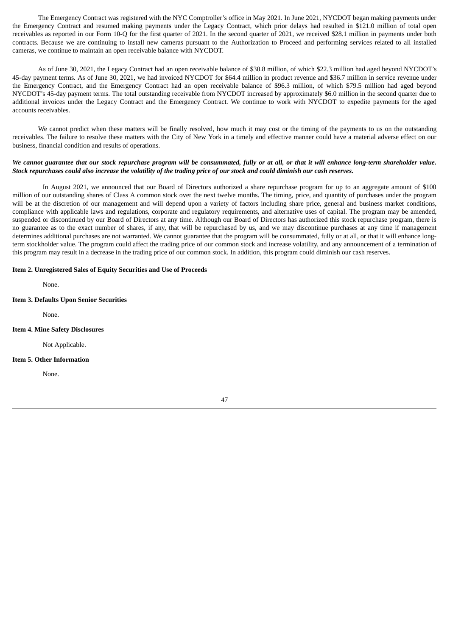The Emergency Contract was registered with the NYC Comptroller's office in May 2021. In June 2021, NYCDOT began making payments under the Emergency Contract and resumed making payments under the Legacy Contract, which prior delays had resulted in \$121.0 million of total open receivables as reported in our Form 10-Q for the first quarter of 2021. In the second quarter of 2021, we received \$28.1 million in payments under both contracts. Because we are continuing to install new cameras pursuant to the Authorization to Proceed and performing services related to all installed cameras, we continue to maintain an open receivable balance with NYCDOT.

As of June 30, 2021, the Legacy Contract had an open receivable balance of \$30.8 million, of which \$22.3 million had aged beyond NYCDOT's 45-day payment terms. As of June 30, 2021, we had invoiced NYCDOT for \$64.4 million in product revenue and \$36.7 million in service revenue under the Emergency Contract, and the Emergency Contract had an open receivable balance of \$96.3 million, of which \$79.5 million had aged beyond NYCDOT's 45-day payment terms. The total outstanding receivable from NYCDOT increased by approximately \$6.0 million in the second quarter due to additional invoices under the Legacy Contract and the Emergency Contract. We continue to work with NYCDOT to expedite payments for the aged accounts receivables.

We cannot predict when these matters will be finally resolved, how much it may cost or the timing of the payments to us on the outstanding receivables. The failure to resolve these matters with the City of New York in a timely and effective manner could have a material adverse effect on our business, financial condition and results of operations.

### We cannot guarantee that our stock repurchase program will be consummated, fully or at all, or that it will enhance long-term shareholder value. Stock repurchases could also increase the volatility of the trading price of our stock and could diminish our cash reserves.

In August 2021, we announced that our Board of Directors authorized a share repurchase program for up to an aggregate amount of \$100 million of our outstanding shares of Class A common stock over the next twelve months. The timing, price, and quantity of purchases under the program will be at the discretion of our management and will depend upon a variety of factors including share price, general and business market conditions, compliance with applicable laws and regulations, corporate and regulatory requirements, and alternative uses of capital. The program may be amended, suspended or discontinued by our Board of Directors at any time. Although our Board of Directors has authorized this stock repurchase program, there is no guarantee as to the exact number of shares, if any, that will be repurchased by us, and we may discontinue purchases at any time if management determines additional purchases are not warranted. We cannot guarantee that the program will be consummated, fully or at all, or that it will enhance longterm stockholder value. The program could affect the trading price of our common stock and increase volatility, and any announcement of a termination of this program may result in a decrease in the trading price of our common stock. In addition, this program could diminish our cash reserves.

### <span id="page-46-0"></span>**Item 2. Unregistered Sales of Equity Securities and Use of Proceeds**

None.

# <span id="page-46-1"></span>**Item 3. Defaults Upon Senior Securities**

None.

#### <span id="page-46-2"></span>**Item 4. Mine Safety Disclosures**

Not Applicable.

#### <span id="page-46-3"></span>**Item 5. Other Information**

None.

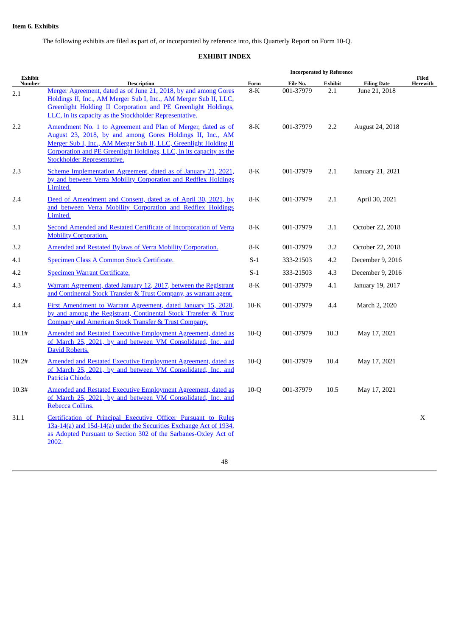<span id="page-47-0"></span>The following exhibits are filed as part of, or incorporated by reference into, this Quarterly Report on Form 10-Q.

# **EXHIBIT INDEX**

|                                 |                                                                                                                                                                                                                                                                                                            |        | <b>Incorporated by Reference</b> |                |                    |                   |
|---------------------------------|------------------------------------------------------------------------------------------------------------------------------------------------------------------------------------------------------------------------------------------------------------------------------------------------------------|--------|----------------------------------|----------------|--------------------|-------------------|
| <b>Exhibit</b><br><b>Number</b> | <b>Description</b>                                                                                                                                                                                                                                                                                         | Form   | File No.                         | <b>Exhibit</b> | <b>Filing Date</b> | Filed<br>Herewith |
| 2.1                             | Merger Agreement, dated as of June 21, 2018, by and among Gores<br>Holdings II, Inc., AM Merger Sub I, Inc., AM Merger Sub II, LLC,<br>Greenlight Holding II Corporation and PE Greenlight Holdings,<br>LLC, in its capacity as the Stockholder Representative.                                            | $8-K$  | 001-37979                        | 2.1            | June 21, 2018      |                   |
| 2.2                             | Amendment No. 1 to Agreement and Plan of Merger, dated as of<br>August 23, 2018, by and among Gores Holdings II, Inc., AM<br>Merger Sub I, Inc., AM Merger Sub II, LLC, Greenlight Holding II<br>Corporation and PE Greenlight Holdings, LLC, in its capacity as the<br><b>Stockholder Representative.</b> | $8-K$  | 001-37979                        | 2.2            | August 24, 2018    |                   |
| 2.3                             | Scheme Implementation Agreement, dated as of January 21, 2021,<br>by and between Verra Mobility Corporation and Redflex Holdings<br>Limited.                                                                                                                                                               | $8-K$  | 001-37979                        | 2.1            | January 21, 2021   |                   |
| 2.4                             | Deed of Amendment and Consent, dated as of April 30, 2021, by<br>and between Verra Mobility Corporation and Redflex Holdings<br>Limited.                                                                                                                                                                   | $8-K$  | 001-37979                        | 2.1            | April 30, 2021     |                   |
| 3.1                             | Second Amended and Restated Certificate of Incorporation of Verra<br><b>Mobility Corporation.</b>                                                                                                                                                                                                          | $8-K$  | 001-37979                        | 3.1            | October 22, 2018   |                   |
| 3.2                             | Amended and Restated Bylaws of Verra Mobility Corporation.                                                                                                                                                                                                                                                 | 8-K    | 001-37979                        | 3.2            | October 22, 2018   |                   |
| 4.1                             | <b>Specimen Class A Common Stock Certificate.</b>                                                                                                                                                                                                                                                          | $S-1$  | 333-21503                        | 4.2            | December 9, 2016   |                   |
| 4.2                             | Specimen Warrant Certificate.                                                                                                                                                                                                                                                                              | $S-1$  | 333-21503                        | 4.3            | December 9, 2016   |                   |
| 4.3                             | Warrant Agreement, dated January 12, 2017, between the Registrant<br>and Continental Stock Transfer & Trust Company, as warrant agent.                                                                                                                                                                     | $8-K$  | 001-37979                        | 4.1            | January 19, 2017   |                   |
| 4.4                             | First Amendment to Warrant Agreement, dated January 15, 2020,<br>by and among the Registrant, Continental Stock Transfer & Trust<br>Company and American Stock Transfer & Trust Company.                                                                                                                   | $10-K$ | 001-37979                        | 4.4            | March 2, 2020      |                   |
| 10.1#                           | Amended and Restated Executive Employment Agreement, dated as<br>of March 25, 2021, by and between VM Consolidated, Inc. and<br>David Roberts.                                                                                                                                                             | $10-o$ | 001-37979                        | 10.3           | May 17, 2021       |                   |
| 10.2#                           | <b>Amended and Restated Executive Employment Agreement, dated as</b><br>of March 25, 2021, by and between VM Consolidated, Inc. and<br>Patricia Chiodo.                                                                                                                                                    | $10-Q$ | 001-37979                        | 10.4           | May 17, 2021       |                   |
| 10.3#                           | Amended and Restated Executive Employment Agreement, dated as<br>of March 25, 2021, by and between VM Consolidated, Inc. and<br>Rebecca Collins.                                                                                                                                                           | $10-Q$ | 001-37979                        | 10.5           | May 17, 2021       |                   |
| 31.1                            | Certification of Principal Executive Officer Pursuant to Rules<br>13a-14(a) and 15d-14(a) under the Securities Exchange Act of 1934,<br>as Adopted Pursuant to Section 302 of the Sarbanes-Oxley Act of<br>2002.                                                                                           |        |                                  |                |                    | X                 |
|                                 | 48                                                                                                                                                                                                                                                                                                         |        |                                  |                |                    |                   |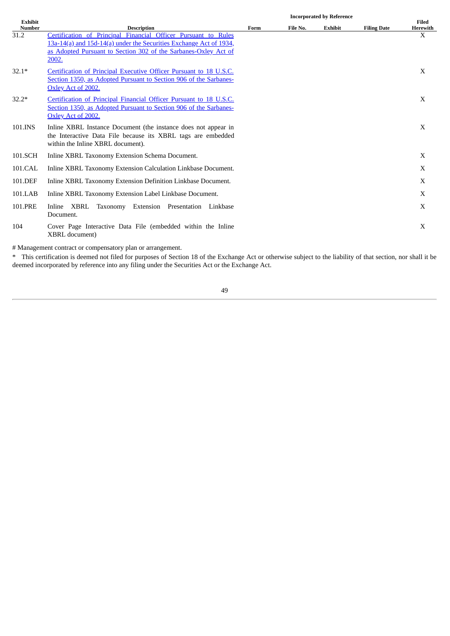| <b>Exhibit</b> |                                                                                                                                                                                                                  | <b>Incorporated by Reference</b> |          |                |                    | Filed    |
|----------------|------------------------------------------------------------------------------------------------------------------------------------------------------------------------------------------------------------------|----------------------------------|----------|----------------|--------------------|----------|
| <b>Number</b>  | <b>Description</b>                                                                                                                                                                                               | Form                             | File No. | <b>Exhibit</b> | <b>Filing Date</b> | Herewith |
| 31.2           | Certification of Principal Financial Officer Pursuant to Rules<br>13a-14(a) and 15d-14(a) under the Securities Exchange Act of 1934,<br>as Adopted Pursuant to Section 302 of the Sarbanes-Oxley Act of<br>2002. |                                  |          |                |                    | X        |
| $32.1*$        | Certification of Principal Executive Officer Pursuant to 18 U.S.C.<br>Section 1350, as Adopted Pursuant to Section 906 of the Sarbanes-<br>Oxley Act of 2002.                                                    |                                  |          |                |                    | X        |
| $32.2*$        | Certification of Principal Financial Officer Pursuant to 18 U.S.C.<br>Section 1350, as Adopted Pursuant to Section 906 of the Sarbanes-<br>Oxley Act of 2002.                                                    |                                  |          |                |                    | X        |
| 101.INS        | Inline XBRL Instance Document (the instance does not appear in<br>the Interactive Data File because its XBRL tags are embedded<br>within the Inline XBRL document).                                              |                                  |          |                |                    | X        |
| 101.SCH        | Inline XBRL Taxonomy Extension Schema Document.                                                                                                                                                                  |                                  |          |                |                    | X        |
| 101.CAL        | Inline XBRL Taxonomy Extension Calculation Linkbase Document.                                                                                                                                                    |                                  |          |                |                    | X        |
| 101.DEF        | Inline XBRL Taxonomy Extension Definition Linkbase Document.                                                                                                                                                     |                                  |          |                |                    | X        |
| 101.LAB        | Inline XBRL Taxonomy Extension Label Linkbase Document.                                                                                                                                                          |                                  |          |                |                    | X        |
| 101.PRE        | XBRL<br>Taxonomy<br>Extension Presentation<br>Inline<br>Linkbase<br>Document.                                                                                                                                    |                                  |          |                |                    | X        |
| 104            | Cover Page Interactive Data File (embedded within the Inline<br>XBRL document)                                                                                                                                   |                                  |          |                |                    | X        |

# Management contract or compensatory plan or arrangement.

\* This certification is deemed not filed for purposes of Section 18 of the Exchange Act or otherwise subject to the liability of that section, nor shall it be deemed incorporated by reference into any filing under the Securities Act or the Exchange Act.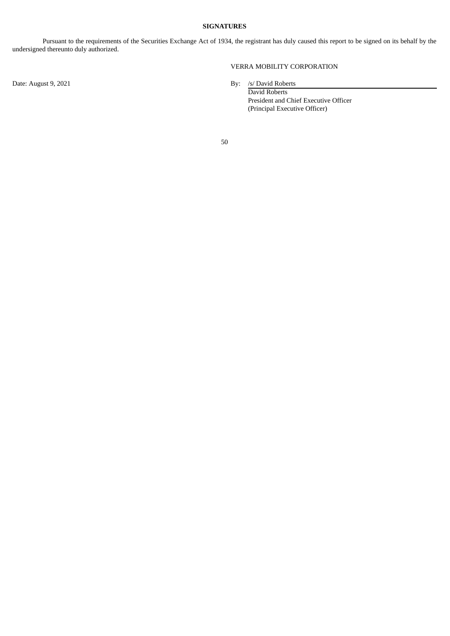# **SIGNATURES**

<span id="page-49-0"></span>Pursuant to the requirements of the Securities Exchange Act of 1934, the registrant has duly caused this report to be signed on its behalf by the undersigned thereunto duly authorized.

# VERRA MOBILITY CORPORATION

Date: August 9, 2021 By: /s/ David Roberts

David Roberts President and Chief Executive Officer (Principal Executive Officer)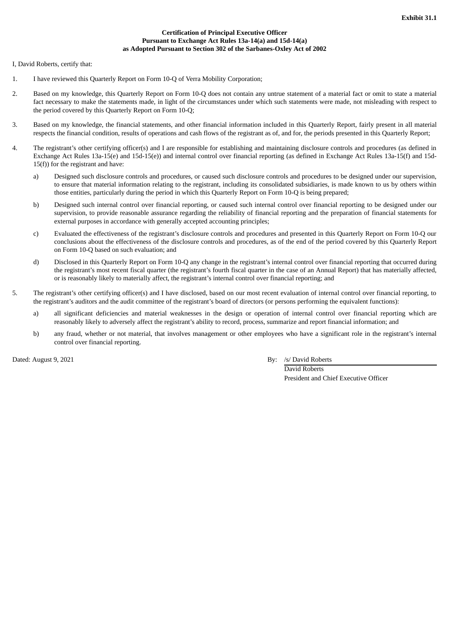# **Certification of Principal Executive Officer Pursuant to Exchange Act Rules 13a-14(a) and 15d-14(a) as Adopted Pursuant to Section 302 of the Sarbanes-Oxley Act of 2002**

<span id="page-50-0"></span>I, David Roberts, certify that:

- 1. I have reviewed this Quarterly Report on Form 10-Q of Verra Mobility Corporation;
- 2. Based on my knowledge, this Quarterly Report on Form 10-Q does not contain any untrue statement of a material fact or omit to state a material fact necessary to make the statements made, in light of the circumstances under which such statements were made, not misleading with respect to the period covered by this Quarterly Report on Form 10-Q;
- 3. Based on my knowledge, the financial statements, and other financial information included in this Quarterly Report, fairly present in all material respects the financial condition, results of operations and cash flows of the registrant as of, and for, the periods presented in this Quarterly Report;
- 4. The registrant's other certifying officer(s) and I are responsible for establishing and maintaining disclosure controls and procedures (as defined in Exchange Act Rules 13a-15(e) and 15d-15(e)) and internal control over financial reporting (as defined in Exchange Act Rules 13a-15(f) and 15d-15(f)) for the registrant and have:
	- a) Designed such disclosure controls and procedures, or caused such disclosure controls and procedures to be designed under our supervision, to ensure that material information relating to the registrant, including its consolidated subsidiaries, is made known to us by others within those entities, particularly during the period in which this Quarterly Report on Form 10-Q is being prepared;
	- b) Designed such internal control over financial reporting, or caused such internal control over financial reporting to be designed under our supervision, to provide reasonable assurance regarding the reliability of financial reporting and the preparation of financial statements for external purposes in accordance with generally accepted accounting principles;
	- c) Evaluated the effectiveness of the registrant's disclosure controls and procedures and presented in this Quarterly Report on Form 10-Q our conclusions about the effectiveness of the disclosure controls and procedures, as of the end of the period covered by this Quarterly Report on Form 10-Q based on such evaluation; and
	- d) Disclosed in this Quarterly Report on Form 10-Q any change in the registrant's internal control over financial reporting that occurred during the registrant's most recent fiscal quarter (the registrant's fourth fiscal quarter in the case of an Annual Report) that has materially affected, or is reasonably likely to materially affect, the registrant's internal control over financial reporting; and
- 5. The registrant's other certifying officer(s) and I have disclosed, based on our most recent evaluation of internal control over financial reporting, to the registrant's auditors and the audit committee of the registrant's board of directors (or persons performing the equivalent functions):
	- a) all significant deficiencies and material weaknesses in the design or operation of internal control over financial reporting which are reasonably likely to adversely affect the registrant's ability to record, process, summarize and report financial information; and
	- b) any fraud, whether or not material, that involves management or other employees who have a significant role in the registrant's internal control over financial reporting.

Dated: August 9, 2021 **By:** /s/ David Roberts

David Roberts President and Chief Executive Officer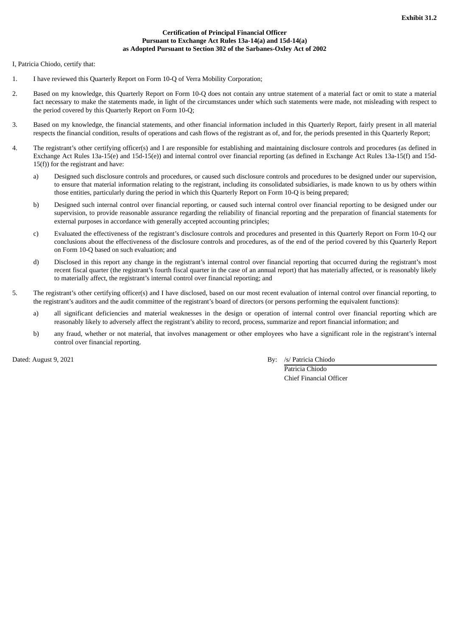# **Certification of Principal Financial Officer Pursuant to Exchange Act Rules 13a-14(a) and 15d-14(a) as Adopted Pursuant to Section 302 of the Sarbanes-Oxley Act of 2002**

<span id="page-51-0"></span>I, Patricia Chiodo, certify that:

- 1. I have reviewed this Quarterly Report on Form 10-Q of Verra Mobility Corporation;
- 2. Based on my knowledge, this Quarterly Report on Form 10-Q does not contain any untrue statement of a material fact or omit to state a material fact necessary to make the statements made, in light of the circumstances under which such statements were made, not misleading with respect to the period covered by this Quarterly Report on Form 10-Q;
- 3. Based on my knowledge, the financial statements, and other financial information included in this Quarterly Report, fairly present in all material respects the financial condition, results of operations and cash flows of the registrant as of, and for, the periods presented in this Quarterly Report;
- 4. The registrant's other certifying officer(s) and I are responsible for establishing and maintaining disclosure controls and procedures (as defined in Exchange Act Rules 13a-15(e) and 15d-15(e)) and internal control over financial reporting (as defined in Exchange Act Rules 13a-15(f) and 15d-15(f)) for the registrant and have:
	- a) Designed such disclosure controls and procedures, or caused such disclosure controls and procedures to be designed under our supervision, to ensure that material information relating to the registrant, including its consolidated subsidiaries, is made known to us by others within those entities, particularly during the period in which this Quarterly Report on Form 10-Q is being prepared;
	- b) Designed such internal control over financial reporting, or caused such internal control over financial reporting to be designed under our supervision, to provide reasonable assurance regarding the reliability of financial reporting and the preparation of financial statements for external purposes in accordance with generally accepted accounting principles;
	- c) Evaluated the effectiveness of the registrant's disclosure controls and procedures and presented in this Quarterly Report on Form 10-Q our conclusions about the effectiveness of the disclosure controls and procedures, as of the end of the period covered by this Quarterly Report on Form 10-Q based on such evaluation; and
	- d) Disclosed in this report any change in the registrant's internal control over financial reporting that occurred during the registrant's most recent fiscal quarter (the registrant's fourth fiscal quarter in the case of an annual report) that has materially affected, or is reasonably likely to materially affect, the registrant's internal control over financial reporting; and
- 5. The registrant's other certifying officer(s) and I have disclosed, based on our most recent evaluation of internal control over financial reporting, to the registrant's auditors and the audit committee of the registrant's board of directors (or persons performing the equivalent functions):
	- a) all significant deficiencies and material weaknesses in the design or operation of internal control over financial reporting which are reasonably likely to adversely affect the registrant's ability to record, process, summarize and report financial information; and
	- b) any fraud, whether or not material, that involves management or other employees who have a significant role in the registrant's internal control over financial reporting.

Dated: August 9, 2021 By: /s/ Patricia Chiodo Patricia Chiodo Chief Financial Officer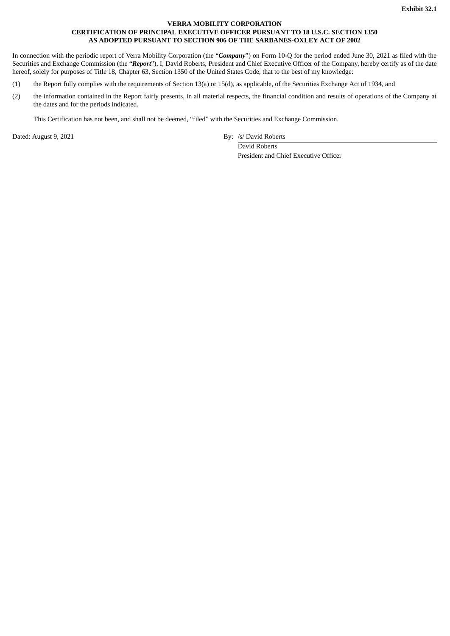# **VERRA MOBILITY CORPORATION CERTIFICATION OF PRINCIPAL EXECUTIVE OFFICER PURSUANT TO 18 U.S.C. SECTION 1350 AS ADOPTED PURSUANT TO SECTION 906 OF THE SARBANES-OXLEY ACT OF 2002**

<span id="page-52-0"></span>In connection with the periodic report of Verra Mobility Corporation (the "*Company*") on Form 10-Q for the period ended June 30, 2021 as filed with the Securities and Exchange Commission (the "*Report*"), I, David Roberts, President and Chief Executive Officer of the Company, hereby certify as of the date hereof, solely for purposes of Title 18, Chapter 63, Section 1350 of the United States Code, that to the best of my knowledge:

- (1) the Report fully complies with the requirements of Section 13(a) or 15(d), as applicable, of the Securities Exchange Act of 1934, and
- (2) the information contained in the Report fairly presents, in all material respects, the financial condition and results of operations of the Company at the dates and for the periods indicated.

This Certification has not been, and shall not be deemed, "filed" with the Securities and Exchange Commission.

Dated: August 9, 2021 By: /s/ David Roberts

David Roberts President and Chief Executive Officer